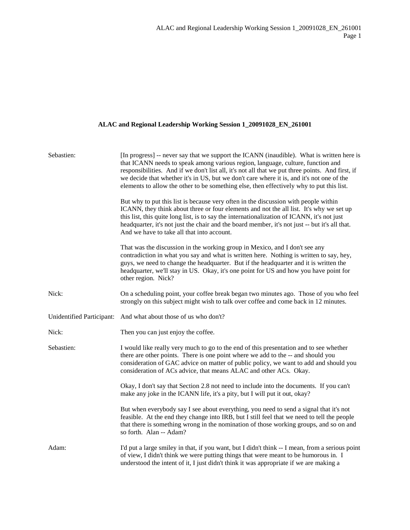## **ALAC and Regional Leadership Working Session 1\_20091028\_EN\_261001**

| Sebastien: | [In progress] -- never say that we support the ICANN (inaudible). What is written here is<br>that ICANN needs to speak among various region, language, culture, function and<br>responsibilities. And if we don't list all, it's not all that we put three points. And first, if<br>we decide that whether it's in US, but we don't care where it is, and it's not one of the<br>elements to allow the other to be something else, then effectively why to put this list. |
|------------|---------------------------------------------------------------------------------------------------------------------------------------------------------------------------------------------------------------------------------------------------------------------------------------------------------------------------------------------------------------------------------------------------------------------------------------------------------------------------|
|            | But why to put this list is because very often in the discussion with people within<br>ICANN, they think about three or four elements and not the all list. It's why we set up<br>this list, this quite long list, is to say the internationalization of ICANN, it's not just<br>headquarter, it's not just the chair and the board member, it's not just -- but it's all that.<br>And we have to take all that into account.                                             |
|            | That was the discussion in the working group in Mexico, and I don't see any<br>contradiction in what you say and what is written here. Nothing is written to say, hey,<br>guys, we need to change the headquarter. But if the headquarter and it is written the<br>headquarter, we'll stay in US. Okay, it's one point for US and how you have point for<br>other region. Nick?                                                                                           |
| Nick:      | On a scheduling point, your coffee break began two minutes ago. Those of you who feel<br>strongly on this subject might wish to talk over coffee and come back in 12 minutes.                                                                                                                                                                                                                                                                                             |
|            | Unidentified Participant: And what about those of us who don't?                                                                                                                                                                                                                                                                                                                                                                                                           |
| Nick:      | Then you can just enjoy the coffee.                                                                                                                                                                                                                                                                                                                                                                                                                                       |
| Sebastien: | I would like really very much to go to the end of this presentation and to see whether<br>there are other points. There is one point where we add to the -- and should you<br>consideration of GAC advice on matter of public policy, we want to add and should you<br>consideration of ACs advice, that means ALAC and other ACs. Okay.                                                                                                                                  |
|            | Okay, I don't say that Section 2.8 not need to include into the documents. If you can't<br>make any joke in the ICANN life, it's a pity, but I will put it out, okay?                                                                                                                                                                                                                                                                                                     |
|            | But when everybody say I see about everything, you need to send a signal that it's not<br>feasible. At the end they change into IRB, but I still feel that we need to tell the people<br>that there is something wrong in the nomination of those working groups, and so on and<br>so forth. Alan -- Adam?                                                                                                                                                                |
| Adam:      | I'd put a large smiley in that, if you want, but I didn't think -- I mean, from a serious point<br>of view, I didn't think we were putting things that were meant to be humorous in. I<br>understood the intent of it, I just didn't think it was appropriate if we are making a                                                                                                                                                                                          |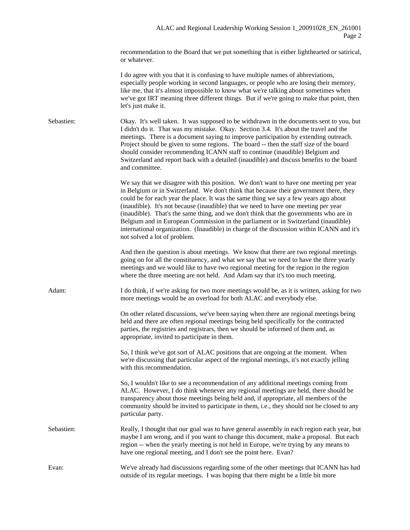recommendation to the Board that we put something that is either lighthearted or satirical, or whatever.

I do agree with you that it is confusing to have multiple names of abbreviations, especially people working in second languages, or people who are losing their memory, like me, that it's almost impossible to know what we're talking about sometimes when we've got IRT meaning three different things. But if we're going to make that point, then let's just make it.

Sebastien: Okay. It's well taken. It was supposed to be withdrawn in the documents sent to you, but I didn't do it. That was my mistake. Okay. Section 3.4. It's about the travel and the meetings. There is a document saying to improve participation by extending outreach. Project should be given to some regions. The board -- then the staff size of the board should consider recommending ICANN staff to continue (inaudible) Belgium and Switzerland and report back with a detailed (inaudible) and discuss benefits to the board and committee.

> We say that we disagree with this position. We don't want to have one meeting per year in Belgium or in Switzerland. We don't think that because their government there, they could be for each year the place. It was the same thing we say a few years ago about (inaudible). It's not because (inaudible) that we need to have one meeting per year (inaudible). That's the same thing, and we don't think that the governments who are in Belgium and in European Commission in the parliament or in Switzerland (inaudible) international organization. (Inaudible) in charge of the discussion within ICANN and it's not solved a lot of problem.

And then the question is about meetings. We know that there are two regional meetings going on for all the constituency, and what we say that we need to have the three yearly meetings and we would like to have two regional meeting for the region in the region where the three meeting are not held. And Adam say that it's too much meeting.

Adam: I do think, if we're asking for two more meetings would be, as it is written, asking for two more meetings would be an overload for both ALAC and everybody else.

> On other related discussions, we've been saying when there are regional meetings being held and there are often regional meetings being held specifically for the contracted parties, the registries and registrars, then we should be informed of them and, as appropriate, invited to participate in them.

So, I think we've got sort of ALAC positions that are ongoing at the moment. When we're discussing that particular aspect of the regional meetings, it's not exactly jelling with this recommendation.

So, I wouldn't like to see a recommendation of any additional meetings coming from ALAC. However, I do think whenever any regional meetings are held, there should be transparency about those meetings being held and, if appropriate, all members of the community should be invited to participate in them, i.e., they should not be closed to any particular party.

Sebastien: Really, I thought that our goal was to have general assembly in each region each year, but maybe I am wrong, and if you want to change this document, make a proposal. But each region -- when the yearly meeting is not held in Europe, we're trying by any means to have one regional meeting, and I don't see the point here. Evan?

Evan: We've already had discussions regarding some of the other meetings that ICANN has had outside of its regular meetings. I was hoping that there might be a little bit more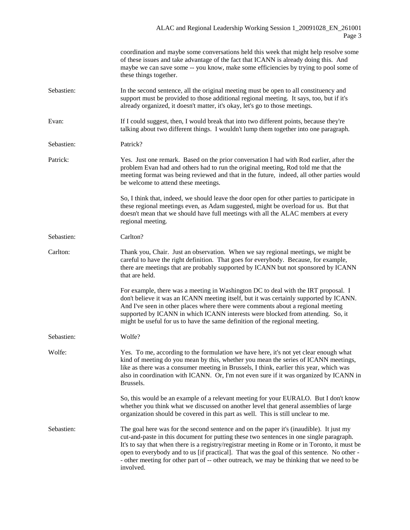|            | coordination and maybe some conversations held this week that might help resolve some<br>of these issues and take advantage of the fact that ICANN is already doing this. And<br>maybe we can save some -- you know, make some efficiencies by trying to pool some of<br>these things together.                                                                                                                                                                                              |
|------------|----------------------------------------------------------------------------------------------------------------------------------------------------------------------------------------------------------------------------------------------------------------------------------------------------------------------------------------------------------------------------------------------------------------------------------------------------------------------------------------------|
| Sebastien: | In the second sentence, all the original meeting must be open to all constituency and<br>support must be provided to those additional regional meeting. It says, too, but if it's<br>already organized, it doesn't matter, it's okay, let's go to those meetings.                                                                                                                                                                                                                            |
| Evan:      | If I could suggest, then, I would break that into two different points, because they're<br>talking about two different things. I wouldn't lump them together into one paragraph.                                                                                                                                                                                                                                                                                                             |
| Sebastien: | Patrick?                                                                                                                                                                                                                                                                                                                                                                                                                                                                                     |
| Patrick:   | Yes. Just one remark. Based on the prior conversation I had with Rod earlier, after the<br>problem Evan had and others had to run the original meeting, Rod told me that the<br>meeting format was being reviewed and that in the future, indeed, all other parties would<br>be welcome to attend these meetings.                                                                                                                                                                            |
|            | So, I think that, indeed, we should leave the door open for other parties to participate in<br>these regional meetings even, as Adam suggested, might be overload for us. But that<br>doesn't mean that we should have full meetings with all the ALAC members at every<br>regional meeting.                                                                                                                                                                                                 |
| Sebastien: | Carlton?                                                                                                                                                                                                                                                                                                                                                                                                                                                                                     |
| Carlton:   | Thank you, Chair. Just an observation. When we say regional meetings, we might be<br>careful to have the right definition. That goes for everybody. Because, for example,<br>there are meetings that are probably supported by ICANN but not sponsored by ICANN<br>that are held.                                                                                                                                                                                                            |
|            | For example, there was a meeting in Washington DC to deal with the IRT proposal. I<br>don't believe it was an ICANN meeting itself, but it was certainly supported by ICANN.<br>And I've seen in other places where there were comments about a regional meeting<br>supported by ICANN in which ICANN interests were blocked from attending. So, it<br>might be useful for us to have the same definition of the regional meeting.                                                           |
| Sebastien: | Wolfe?                                                                                                                                                                                                                                                                                                                                                                                                                                                                                       |
| Wolfe:     | Yes. To me, according to the formulation we have here, it's not yet clear enough what<br>kind of meeting do you mean by this, whether you mean the series of ICANN meetings,<br>like as there was a consumer meeting in Brussels, I think, earlier this year, which was<br>also in coordination with ICANN. Or, I'm not even sure if it was organized by ICANN in<br>Brussels.                                                                                                               |
|            | So, this would be an example of a relevant meeting for your EURALO. But I don't know<br>whether you think what we discussed on another level that general assemblies of large<br>organization should be covered in this part as well. This is still unclear to me.                                                                                                                                                                                                                           |
| Sebastien: | The goal here was for the second sentence and on the paper it's (inaudible). It just my<br>cut-and-paste in this document for putting these two sentences in one single paragraph.<br>It's to say that when there is a registry/registrar meeting in Rome or in Toronto, it must be<br>open to everybody and to us [if practical]. That was the goal of this sentence. No other -<br>- other meeting for other part of -- other outreach, we may be thinking that we need to be<br>involved. |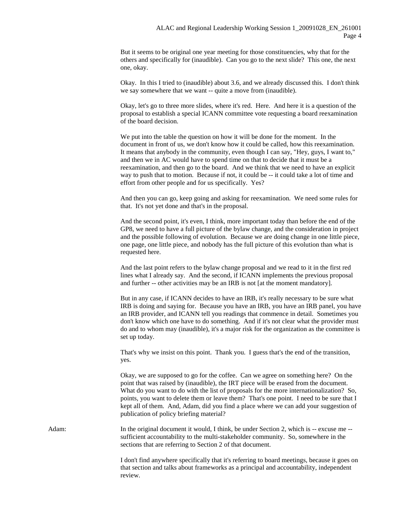But it seems to be original one year meeting for those constituencies, why that for the others and specifically for (inaudible). Can you go to the next slide? This one, the next one, okay.

Okay. In this I tried to (inaudible) about 3.6, and we already discussed this. I don't think we say somewhere that we want -- quite a move from (inaudible).

Okay, let's go to three more slides, where it's red. Here. And here it is a question of the proposal to establish a special ICANN committee vote requesting a board reexamination of the board decision.

We put into the table the question on how it will be done for the moment. In the document in front of us, we don't know how it could be called, how this reexamination. It means that anybody in the community, even though I can say, "Hey, guys, I want to," and then we in AC would have to spend time on that to decide that it must be a reexamination, and then go to the board. And we think that we need to have an explicit way to push that to motion. Because if not, it could be -- it could take a lot of time and effort from other people and for us specifically. Yes?

And then you can go, keep going and asking for reexamination. We need some rules for that. It's not yet done and that's in the proposal.

And the second point, it's even, I think, more important today than before the end of the GP8, we need to have a full picture of the bylaw change, and the consideration in project and the possible following of evolution. Because we are doing change in one little piece, one page, one little piece, and nobody has the full picture of this evolution than what is requested here.

And the last point refers to the bylaw change proposal and we read to it in the first red lines what I already say. And the second, if ICANN implements the previous proposal and further -- other activities may be an IRB is not [at the moment mandatory].

But in any case, if ICANN decides to have an IRB, it's really necessary to be sure what IRB is doing and saying for. Because you have an IRB, you have an IRB panel, you have an IRB provider, and ICANN tell you readings that commence in detail. Sometimes you don't know which one have to do something. And if it's not clear what the provider must do and to whom may (inaudible), it's a major risk for the organization as the committee is set up today.

That's why we insist on this point. Thank you. I guess that's the end of the transition, yes.

Okay, we are supposed to go for the coffee. Can we agree on something here? On the point that was raised by (inaudible), the IRT piece will be erased from the document. What do you want to do with the list of proposals for the more internationalization? So, points, you want to delete them or leave them? That's one point. I need to be sure that I kept all of them. And, Adam, did you find a place where we can add your suggestion of publication of policy briefing material?

Adam: In the original document it would, I think, be under Section 2, which is -- excuse me -sufficient accountability to the multi-stakeholder community. So, somewhere in the sections that are referring to Section 2 of that document.

> I don't find anywhere specifically that it's referring to board meetings, because it goes on that section and talks about frameworks as a principal and accountability, independent review.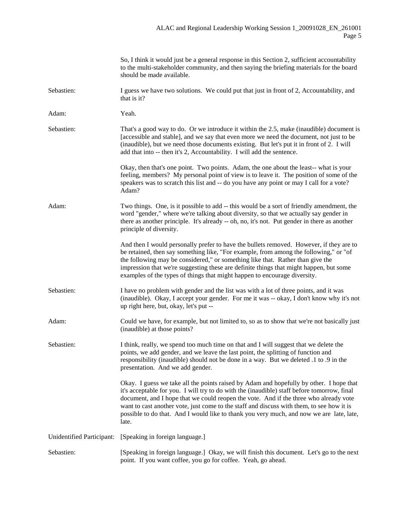|                           | So, I think it would just be a general response in this Section 2, sufficient accountability<br>to the multi-stakeholder community, and then saying the briefing materials for the board<br>should be made available.                                                                                                                                                                                                                                                             |
|---------------------------|-----------------------------------------------------------------------------------------------------------------------------------------------------------------------------------------------------------------------------------------------------------------------------------------------------------------------------------------------------------------------------------------------------------------------------------------------------------------------------------|
| Sebastien:                | I guess we have two solutions. We could put that just in front of 2, Accountability, and<br>that is it?                                                                                                                                                                                                                                                                                                                                                                           |
| Adam:                     | Yeah.                                                                                                                                                                                                                                                                                                                                                                                                                                                                             |
| Sebastien:                | That's a good way to do. Or we introduce it within the 2.5, make (inaudible) document is<br>[accessible and stable], and we say that even more we need the document, not just to be<br>(inaudible), but we need those documents existing. But let's put it in front of 2. I will<br>add that into -- then it's 2, Accountability. I will add the sentence.                                                                                                                        |
|                           | Okay, then that's one point. Two points. Adam, the one about the least-- what is your<br>feeling, members? My personal point of view is to leave it. The position of some of the<br>speakers was to scratch this list and -- do you have any point or may I call for a vote?<br>Adam?                                                                                                                                                                                             |
| Adam:                     | Two things. One, is it possible to add -- this would be a sort of friendly amendment, the<br>word "gender," where we're talking about diversity, so that we actually say gender in<br>there as another principle. It's already -- oh, no, it's not. Put gender in there as another<br>principle of diversity.                                                                                                                                                                     |
|                           | And then I would personally prefer to have the bullets removed. However, if they are to<br>be retained, then say something like, "For example, from among the following," or "of<br>the following may be considered," or something like that. Rather than give the<br>impression that we're suggesting these are definite things that might happen, but some<br>examples of the types of things that might happen to encourage diversity.                                         |
| Sebastien:                | I have no problem with gender and the list was with a lot of three points, and it was<br>(inaudible). Okay, I accept your gender. For me it was -- okay, I don't know why it's not<br>up right here, but, okay, let's put --                                                                                                                                                                                                                                                      |
| Adam:                     | Could we have, for example, but not limited to, so as to show that we're not basically just<br>(inaudible) at those points?                                                                                                                                                                                                                                                                                                                                                       |
| Sebastien:                | I think, really, we spend too much time on that and I will suggest that we delete the<br>points, we add gender, and we leave the last point, the splitting of function and<br>responsibility (inaudible) should not be done in a way. But we deleted .1 to .9 in the<br>presentation. And we add gender.                                                                                                                                                                          |
|                           | Okay. I guess we take all the points raised by Adam and hopefully by other. I hope that<br>it's acceptable for you. I will try to do with the (inaudible) staff before tomorrow, final<br>document, and I hope that we could reopen the vote. And if the three who already vote<br>want to cast another vote, just come to the staff and discuss with them, to see how it is<br>possible to do that. And I would like to thank you very much, and now we are late, late,<br>late. |
| Unidentified Participant: | [Speaking in foreign language.]                                                                                                                                                                                                                                                                                                                                                                                                                                                   |
| Sebastien:                | [Speaking in foreign language.] Okay, we will finish this document. Let's go to the next<br>point. If you want coffee, you go for coffee. Yeah, go ahead.                                                                                                                                                                                                                                                                                                                         |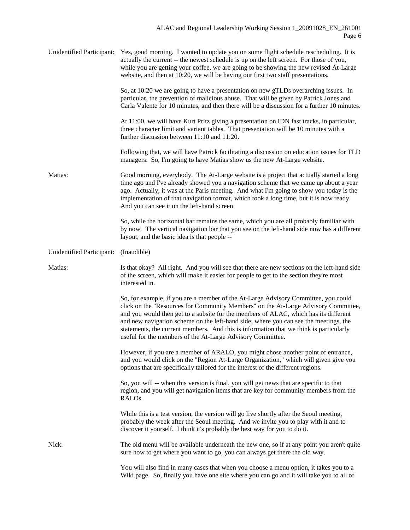| Unidentified Participant: | Yes, good morning. I wanted to update you on some flight schedule rescheduling. It is<br>actually the current -- the newest schedule is up on the left screen. For those of you,<br>while you are getting your coffee, we are going to be showing the new revised At-Large<br>website, and then at 10:20, we will be having our first two staff presentations.                                                                                                                                                   |
|---------------------------|------------------------------------------------------------------------------------------------------------------------------------------------------------------------------------------------------------------------------------------------------------------------------------------------------------------------------------------------------------------------------------------------------------------------------------------------------------------------------------------------------------------|
|                           | So, at 10:20 we are going to have a presentation on new gTLDs overarching issues. In<br>particular, the prevention of malicious abuse. That will be given by Patrick Jones and<br>Carla Valente for 10 minutes, and then there will be a discussion for a further 10 minutes.                                                                                                                                                                                                                                    |
|                           | At 11:00, we will have Kurt Pritz giving a presentation on IDN fast tracks, in particular,<br>three character limit and variant tables. That presentation will be 10 minutes with a<br>further discussion between 11:10 and 11:20.                                                                                                                                                                                                                                                                               |
|                           | Following that, we will have Patrick facilitating a discussion on education issues for TLD<br>managers. So, I'm going to have Matias show us the new At-Large website.                                                                                                                                                                                                                                                                                                                                           |
| Matias:                   | Good morning, everybody. The At-Large website is a project that actually started a long<br>time ago and I've already showed you a navigation scheme that we came up about a year<br>ago. Actually, it was at the Paris meeting. And what I'm going to show you today is the<br>implementation of that navigation format, which took a long time, but it is now ready.<br>And you can see it on the left-hand screen.                                                                                             |
|                           | So, while the horizontal bar remains the same, which you are all probably familiar with<br>by now. The vertical navigation bar that you see on the left-hand side now has a different<br>layout, and the basic idea is that people --                                                                                                                                                                                                                                                                            |
| Unidentified Participant: | (Inaudible)                                                                                                                                                                                                                                                                                                                                                                                                                                                                                                      |
| Matias:                   | Is that okay? All right. And you will see that there are new sections on the left-hand side<br>of the screen, which will make it easier for people to get to the section they're most<br>interested in.                                                                                                                                                                                                                                                                                                          |
|                           | So, for example, if you are a member of the At-Large Advisory Committee, you could<br>click on the "Resources for Community Members" on the At-Large Advisory Committee,<br>and you would then get to a subsite for the members of ALAC, which has its different<br>and new navigation scheme on the left-hand side, where you can see the meetings, the<br>statements, the current members. And this is information that we think is particularly<br>useful for the members of the At-Large Advisory Committee. |
|                           | However, if you are a member of ARALO, you might chose another point of entrance,<br>and you would click on the "Region At-Large Organization," which will given give you<br>options that are specifically tailored for the interest of the different regions.                                                                                                                                                                                                                                                   |
|                           | So, you will -- when this version is final, you will get news that are specific to that<br>region, and you will get navigation items that are key for community members from the<br>RALO <sub>s</sub> .                                                                                                                                                                                                                                                                                                          |
|                           | While this is a test version, the version will go live shortly after the Seoul meeting,<br>probably the week after the Seoul meeting. And we invite you to play with it and to<br>discover it yourself. I think it's probably the best way for you to do it.                                                                                                                                                                                                                                                     |
| Nick:                     | The old menu will be available underneath the new one, so if at any point you aren't quite<br>sure how to get where you want to go, you can always get there the old way.                                                                                                                                                                                                                                                                                                                                        |
|                           | You will also find in many cases that when you choose a menu option, it takes you to a<br>Wiki page. So, finally you have one site where you can go and it will take you to all of                                                                                                                                                                                                                                                                                                                               |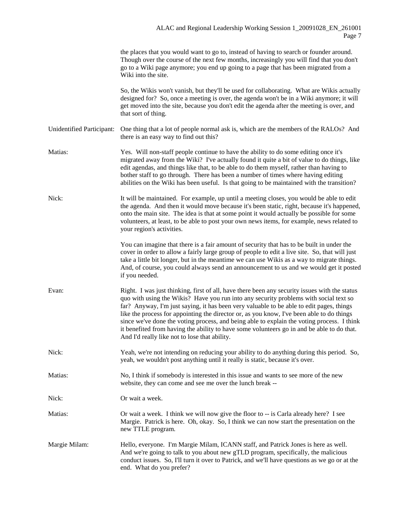|                           | the places that you would want to go to, instead of having to search or founder around.<br>Though over the course of the next few months, increasingly you will find that you don't<br>go to a Wiki page anymore; you end up going to a page that has been migrated from a<br>Wiki into the site.                                                                                                                                                                 |
|---------------------------|-------------------------------------------------------------------------------------------------------------------------------------------------------------------------------------------------------------------------------------------------------------------------------------------------------------------------------------------------------------------------------------------------------------------------------------------------------------------|
|                           | So, the Wikis won't vanish, but they'll be used for collaborating. What are Wikis actually<br>designed for? So, once a meeting is over, the agenda won't be in a Wiki anymore; it will<br>get moved into the site, because you don't edit the agenda after the meeting is over, and<br>that sort of thing.                                                                                                                                                        |
| Unidentified Participant: | One thing that a lot of people normal ask is, which are the members of the RALOs? And<br>there is an easy way to find out this?                                                                                                                                                                                                                                                                                                                                   |
| Matias:                   | Yes. Will non-staff people continue to have the ability to do some editing once it's<br>migrated away from the Wiki? I've actually found it quite a bit of value to do things, like<br>edit agendas, and things like that, to be able to do them myself, rather than having to<br>bother staff to go through. There has been a number of times where having editing<br>abilities on the Wiki has been useful. Is that going to be maintained with the transition? |
| Nick:                     | It will be maintained. For example, up until a meeting closes, you would be able to edit<br>the agenda. And then it would move because it's been static, right, because it's happened,<br>onto the main site. The idea is that at some point it would actually be possible for some<br>volunteers, at least, to be able to post your own news items, for example, news related to<br>your region's activities.                                                    |

You can imagine that there is a fair amount of security that has to be built in under the cover in order to allow a fairly large group of people to edit a live site. So, that will just take a little bit longer, but in the meantime we can use Wikis as a way to migrate things. And, of course, you could always send an announcement to us and we would get it posted if you needed.

- Evan: Right. I was just thinking, first of all, have there been any security issues with the status quo with using the Wikis? Have you run into any security problems with social text so far? Anyway, I'm just saying, it has been very valuable to be able to edit pages, things like the process for appointing the director or, as you know, I've been able to do things since we've done the voting process, and being able to explain the voting process. I think it benefited from having the ability to have some volunteers go in and be able to do that. And I'd really like not to lose that ability.
- Nick: Yeah, we're not intending on reducing your ability to do anything during this period. So, yeah, we wouldn't post anything until it really is static, because it's over.
- Matias: No, I think if somebody is interested in this issue and wants to see more of the new website, they can come and see me over the lunch break --
- Nick: Or wait a week.
- Matias: Or wait a week. I think we will now give the floor to -- is Carla already here? I see Margie. Patrick is here. Oh, okay. So, I think we can now start the presentation on the new TTLE program.
- Margie Milam: Hello, everyone. I'm Margie Milam, ICANN staff, and Patrick Jones is here as well. And we're going to talk to you about new gTLD program, specifically, the malicious conduct issues. So, I'll turn it over to Patrick, and we'll have questions as we go or at the end. What do you prefer?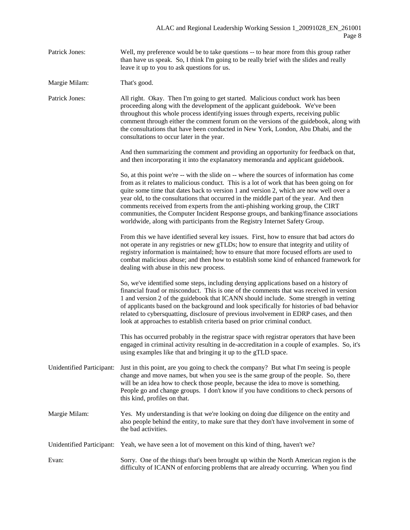Patrick Jones: Well, my preference would be to take questions -- to hear more from this group rather than have us speak. So, I think I'm going to be really brief with the slides and really leave it up to you to ask questions for us.

Margie Milam: That's good.

Patrick Jones: All right. Okay. Then I'm going to get started. Malicious conduct work has been proceeding along with the development of the applicant guidebook. We've been throughout this whole process identifying issues through experts, receiving public comment through either the comment forum on the versions of the guidebook, along with the consultations that have been conducted in New York, London, Abu Dhabi, and the consultations to occur later in the year.

> And then summarizing the comment and providing an opportunity for feedback on that, and then incorporating it into the explanatory memoranda and applicant guidebook.

So, at this point we're -- with the slide on -- where the sources of information has come from as it relates to malicious conduct. This is a lot of work that has been going on for quite some time that dates back to version 1 and version 2, which are now well over a year old, to the consultations that occurred in the middle part of the year. And then comments received from experts from the anti-phishing working group, the CIRT communities, the Computer Incident Response groups, and banking/finance associations worldwide, along with participants from the Registry Internet Safety Group.

From this we have identified several key issues. First, how to ensure that bad actors do not operate in any registries or new gTLDs; how to ensure that integrity and utility of registry information is maintained; how to ensure that more focused efforts are used to combat malicious abuse; and then how to establish some kind of enhanced framework for dealing with abuse in this new process.

So, we've identified some steps, including denying applications based on a history of financial fraud or misconduct. This is one of the comments that was received in version 1 and version 2 of the guidebook that ICANN should include. Some strength in vetting of applicants based on the background and look specifically for histories of bad behavior related to cybersquatting, disclosure of previous involvement in EDRP cases, and then look at approaches to establish criteria based on prior criminal conduct.

This has occurred probably in the registrar space with registrar operators that have been engaged in criminal activity resulting in de-accreditation in a couple of examples. So, it's using examples like that and bringing it up to the gTLD space.

- Unidentified Participant: Just in this point, are you going to check the company? But what I'm seeing is people change and move names, but when you see is the same group of the people. So, there will be an idea how to check those people, because the idea to move is something. People go and change groups. I don't know if you have conditions to check persons of this kind, profiles on that.
- Margie Milam: Yes. My understanding is that we're looking on doing due diligence on the entity and also people behind the entity, to make sure that they don't have involvement in some of the bad activities.
- Unidentified Participant: Yeah, we have seen a lot of movement on this kind of thing, haven't we?

Evan: Sorry. One of the things that's been brought up within the North American region is the difficulty of ICANN of enforcing problems that are already occurring. When you find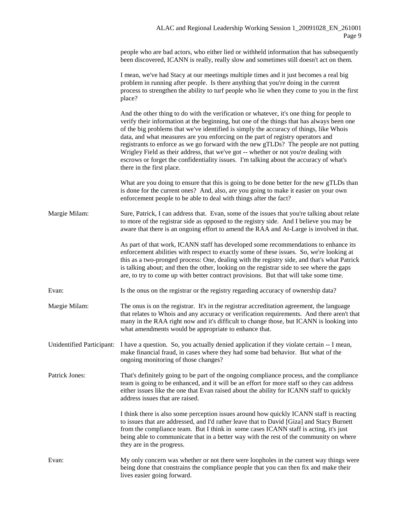people who are bad actors, who either lied or withheld information that has subsequently been discovered, ICANN is really, really slow and sometimes still doesn't act on them.

I mean, we've had Stacy at our meetings multiple times and it just becomes a real big problem in running after people. Is there anything that you're doing in the current process to strengthen the ability to turf people who lie when they come to you in the first place?

And the other thing to do with the verification or whatever, it's one thing for people to verify their information at the beginning, but one of the things that has always been one of the big problems that we've identified is simply the accuracy of things, like Whois data, and what measures are you enforcing on the part of registry operators and registrants to enforce as we go forward with the new gTLDs? The people are not putting Wrigley Field as their address, that we've got -- whether or not you're dealing with escrows or forget the confidentiality issues. I'm talking about the accuracy of what's there in the first place.

What are you doing to ensure that this is going to be done better for the new gTLDs than is done for the current ones? And, also, are you going to make it easier on your own enforcement people to be able to deal with things after the fact?

Margie Milam: Sure, Patrick, I can address that. Evan, some of the issues that you're talking about relate to more of the registrar side as opposed to the registry side. And I believe you may be aware that there is an ongoing effort to amend the RAA and At-Large is involved in that.

> As part of that work, ICANN staff has developed some recommendations to enhance its enforcement abilities with respect to exactly some of these issues. So, we're looking at this as a two-pronged process: One, dealing with the registry side, and that's what Patrick is talking about; and then the other, looking on the registrar side to see where the gaps are, to try to come up with better contract provisions. But that will take some time.

Evan: Is the onus on the registrar or the registry regarding accuracy of ownership data?

Margie Milam: The onus is on the registrar. It's in the registrar accreditation agreement, the language that relates to Whois and any accuracy or verification requirements. And there aren't that many in the RAA right now and it's difficult to change those, but ICANN is looking into what amendments would be appropriate to enhance that.

Unidentified Participant: I have a question. So, you actually denied application if they violate certain -- I mean, make financial fraud, in cases where they had some bad behavior. But what of the ongoing monitoring of those changes?

Patrick Jones: That's definitely going to be part of the ongoing compliance process, and the compliance team is going to be enhanced, and it will be an effort for more staff so they can address either issues like the one that Evan raised about the ability for ICANN staff to quickly address issues that are raised.

> I think there is also some perception issues around how quickly ICANN staff is reacting to issues that are addressed, and I'd rather leave that to David [Giza] and Stacy Burnett from the compliance team. But I think in some cases ICANN staff is acting, it's just being able to communicate that in a better way with the rest of the community on where they are in the progress.

Evan: My only concern was whether or not there were loopholes in the current way things were being done that constrains the compliance people that you can then fix and make their lives easier going forward.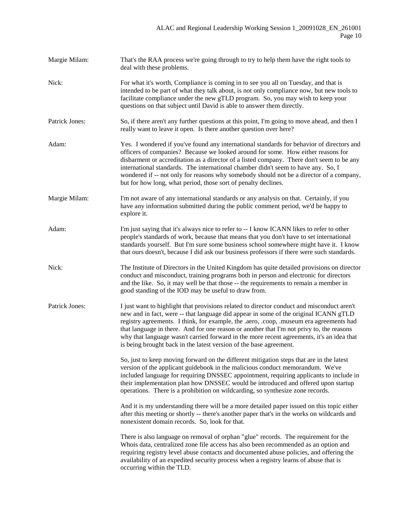Margie Milam: That's the RAA process we're going through to try to help them have the right tools to deal with these problems. Nick: For what it's worth, Compliance is coming in to see you all on Tuesday, and that is intended to be part of what they talk about, is not only compliance now, but new tools to facilitate compliance under the new gTLD program. So, you may wish to keep your questions on that subject until David is able to answer them directly. Patrick Jones: So, if there aren't any further questions at this point, I'm going to move ahead, and then I really want to leave it open. Is there another question over here? Adam: Yes. I wondered if you've found any international standards for behavior of directors and officers of companies? Because we looked around for some. How either reasons for disbarment or accreditation as a director of a listed company. There don't seem to be any international standards. The international chamber didn't seem to have any. So, I wondered if -- not only for reasons why somebody should not be a director of a company, but for how long, what period, those sort of penalty declines. Margie Milam: I'm not aware of any international standards or any analysis on that. Certainly, if you have any information submitted during the public comment period, we'd be happy to explore it. Adam: I'm just saying that it's always nice to refer to -- I know ICANN likes to refer to other people's standards of work, because that means that you don't have to set international standards yourself. But I'm sure some business school somewhere might have it. I know that ours doesn't, because I did ask our business professors if there were such standards. Nick: The Institute of Directors in the United Kingdom has quite detailed provisions on director conduct and misconduct, training programs both in person and electronic for directors and the like. So, it may well be that those -- the requirements to remain a member in good standing of the IOD may be useful to draw from. Patrick Jones: I just want to highlight that provisions related to director conduct and misconduct aren't new and in fact, were -- that language did appear in some of the original ICANN gTLD registry agreements. I think, for example, the .aero, .coop, .museum era agreements had that language in there. And for one reason or another that I'm not privy to, the reasons why that language wasn't carried forward in the more recent agreements, it's an idea that is being brought back in the latest version of the base agreement. So, just to keep moving forward on the different mitigation steps that are in the latest version of the applicant guidebook in the malicious conduct memorandum. We've included language for requiring DNSSEC appointment, requiring applicants to include in their implementation plan how DNSSEC would be introduced and offered upon startup operations. There is a prohibition on wildcarding, so synthesize zone records. And it is my understanding there will be a more detailed paper issued on this topic either after this meeting or shortly -- there's another paper that's in the works on wildcards and nonexistent domain records. So, look for that. There is also language on removal of orphan "glue" records. The requirement for the Whois data, centralized zone file access has also been recommended as an option and requiring registry level abuse contacts and documented abuse policies, and offering the availability of an expedited security process when a registry learns of abuse that is occurring within the TLD.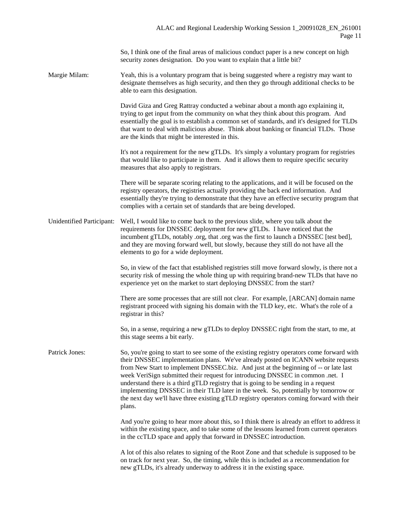So, I think one of the final areas of malicious conduct paper is a new concept on high security zones designation. Do you want to explain that a little bit?

Margie Milam: Yeah, this is a voluntary program that is being suggested where a registry may want to designate themselves as high security, and then they go through additional checks to be able to earn this designation.

> David Giza and Greg Rattray conducted a webinar about a month ago explaining it, trying to get input from the community on what they think about this program. And essentially the goal is to establish a common set of standards, and it's designed for TLDs that want to deal with malicious abuse. Think about banking or financial TLDs. Those are the kinds that might be interested in this.

It's not a requirement for the new gTLDs. It's simply a voluntary program for registries that would like to participate in them. And it allows them to require specific security measures that also apply to registrars.

There will be separate scoring relating to the applications, and it will be focused on the registry operators, the registries actually providing the back end information. And essentially they're trying to demonstrate that they have an effective security program that complies with a certain set of standards that are being developed.

Unidentified Participant: Well, I would like to come back to the previous slide, where you talk about the requirements for DNSSEC deployment for new gTLDs. I have noticed that the incumbent gTLDs, notably .org, that .org was the first to launch a DNSSEC [test bed], and they are moving forward well, but slowly, because they still do not have all the elements to go for a wide deployment.

> So, in view of the fact that established registries still move forward slowly, is there not a security risk of messing the whole thing up with requiring brand-new TLDs that have no experience yet on the market to start deploying DNSSEC from the start?

There are some processes that are still not clear. For example, [ARCAN] domain name registrant proceed with signing his domain with the TLD key, etc. What's the role of a registrar in this?

So, in a sense, requiring a new gTLDs to deploy DNSSEC right from the start, to me, at this stage seems a bit early.

Patrick Jones: So, you're going to start to see some of the existing registry operators come forward with their DNSSEC implementation plans. We've already posted on ICANN website requests from New Start to implement DNSSEC.biz. And just at the beginning of -- or late last week VeriSign submitted their request for introducing DNSSEC in common .net. I understand there is a third gTLD registry that is going to be sending in a request implementing DNSSEC in their TLD later in the week. So, potentially by tomorrow or the next day we'll have three existing gTLD registry operators coming forward with their plans.

> And you're going to hear more about this, so I think there is already an effort to address it within the existing space, and to take some of the lessons learned from current operators in the ccTLD space and apply that forward in DNSSEC introduction.

A lot of this also relates to signing of the Root Zone and that schedule is supposed to be on track for next year. So, the timing, while this is included as a recommendation for new gTLDs, it's already underway to address it in the existing space.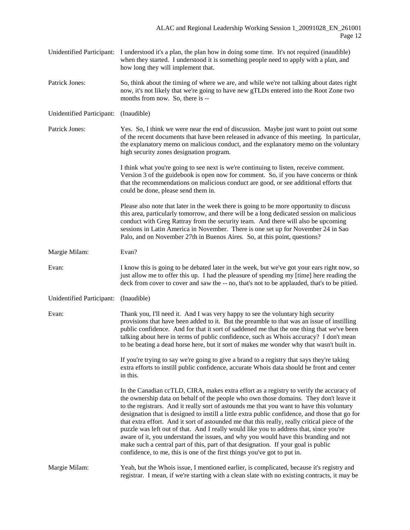| Unidentified Participant: I understood it's a plan, the plan how in doing some time. It's not required (inaudible) |
|--------------------------------------------------------------------------------------------------------------------|
| when they started. I understood it is something people need to apply with a plan, and                              |
| how long they will implement that.                                                                                 |

Patrick Jones: So, think about the timing of where we are, and while we're not talking about dates right now, it's not likely that we're going to have new gTLDs entered into the Root Zone two months from now. So, there is --

Unidentified Participant: (Inaudible)

Patrick Jones: Yes. So, I think we were near the end of discussion. Maybe just want to point out some of the recent documents that have been released in advance of this meeting. In particular, the explanatory memo on malicious conduct, and the explanatory memo on the voluntary high security zones designation program.

> I think what you're going to see next is we're continuing to listen, receive comment. Version 3 of the guidebook is open now for comment. So, if you have concerns or think that the recommendations on malicious conduct are good, or see additional efforts that could be done, please send them in.

> Please also note that later in the week there is going to be more opportunity to discuss this area, particularly tomorrow, and there will be a long dedicated session on malicious conduct with Greg Rattray from the security team. And there will also be upcoming sessions in Latin America in November. There is one set up for November 24 in Sao Palo, and on November 27th in Buenos Aires. So, at this point, questions?

Margie Milam: Evan?

Evan: I know this is going to be debated later in the week, but we've got your ears right now, so just allow me to offer this up. I had the pleasure of spending my [time] here reading the deck from cover to cover and saw the -- no, that's not to be applauded, that's to be pitied.

Unidentified Participant: (Inaudible)

Evan: Thank you, I'll need it. And I was very happy to see the voluntary high security provisions that have been added to it. But the preamble to that was an issue of instilling public confidence. And for that it sort of saddened me that the one thing that we've been talking about here in terms of public confidence, such as Whois accuracy? I don't mean to be beating a dead horse here, but it sort of makes me wonder why that wasn't built in.

> If you're trying to say we're going to give a brand to a registry that says they're taking extra efforts to instill public confidence, accurate Whois data should be front and center in this.

In the Canadian ccTLD, CIRA, makes extra effort as a registry to verify the accuracy of the ownership data on behalf of the people who own those domains. They don't leave it to the registrars. And it really sort of astounds me that you want to have this voluntary designation that is designed to instill a little extra public confidence, and those that go for that extra effort. And it sort of astounded me that this really, really critical piece of the puzzle was left out of that. And I really would like you to address that, since you're aware of it, you understand the issues, and why you would have this branding and not make such a central part of this, part of that designation. If your goal is public confidence, to me, this is one of the first things you've got to put in.

Margie Milam: Yeah, but the Whois issue, I mentioned earlier, is complicated, because it's registry and registrar. I mean, if we're starting with a clean slate with no existing contracts, it may be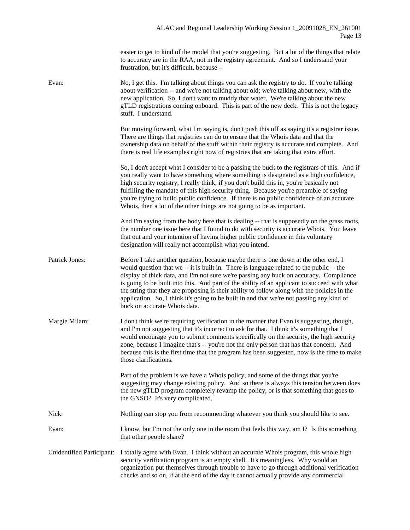easier to get to kind of the model that you're suggesting. But a lot of the things that relate to accuracy are in the RAA, not in the registry agreement. And so I understand your frustration, but it's difficult, because --

| Evan:                     | No, I get this. I'm talking about things you can ask the registry to do. If you're talking<br>about verification -- and we're not talking about old; we're talking about new, with the<br>new application. So, I don't want to muddy that water. We're talking about the new<br>gTLD registrations coming onboard. This is part of the new deck. This is not the legacy<br>stuff. I understand.                                                                                                                                                                                                        |
|---------------------------|--------------------------------------------------------------------------------------------------------------------------------------------------------------------------------------------------------------------------------------------------------------------------------------------------------------------------------------------------------------------------------------------------------------------------------------------------------------------------------------------------------------------------------------------------------------------------------------------------------|
|                           | But moving forward, what I'm saying is, don't push this off as saying it's a registrar issue.<br>There are things that registries can do to ensure that the Whois data and that the<br>ownership data on behalf of the stuff within their registry is accurate and complete. And<br>there is real life examples right now of registries that are taking that extra effort.                                                                                                                                                                                                                             |
|                           | So, I don't accept what I consider to be a passing the buck to the registrars of this. And if<br>you really want to have something where something is designated as a high confidence,<br>high security registry, I really think, if you don't build this in, you're basically not<br>fulfilling the mandate of this high security thing. Because you're preamble of saying<br>you're trying to build public confidence. If there is no public confidence of an accurate<br>Whois, then a lot of the other things are not going to be as important.                                                    |
|                           | And I'm saying from the body here that is dealing -- that is supposedly on the grass roots,<br>the number one issue here that I found to do with security is accurate Whois. You leave<br>that out and your intention of having higher public confidence in this voluntary<br>designation will really not accomplish what you intend.                                                                                                                                                                                                                                                                  |
| Patrick Jones:            | Before I take another question, because maybe there is one down at the other end, I<br>would question that we -- it is built in. There is language related to the public -- the<br>display of thick data, and I'm not sure we're passing any buck on accuracy. Compliance<br>is going to be built into this. And part of the ability of an applicant to succeed with what<br>the string that they are proposing is their ability to follow along with the policies in the<br>application. So, I think it's going to be built in and that we're not passing any kind of<br>buck on accurate Whois data. |
| Margie Milam:             | I don't think we're requiring verification in the manner that Evan is suggesting, though,<br>and I'm not suggesting that it's incorrect to ask for that. I think it's something that I<br>would encourage you to submit comments specifically on the security, the high security<br>zone, because I imagine that's -- you're not the only person that has that concern. And<br>because this is the first time that the program has been suggested, now is the time to make<br>those clarifications.                                                                                                    |
|                           | Part of the problem is we have a Whois policy, and some of the things that you're<br>suggesting may change existing policy. And so there is always this tension between does<br>the new gTLD program completely revamp the policy, or is that something that goes to<br>the GNSO? It's very complicated.                                                                                                                                                                                                                                                                                               |
| Nick:                     | Nothing can stop you from recommending whatever you think you should like to see.                                                                                                                                                                                                                                                                                                                                                                                                                                                                                                                      |
| Evan:                     | I know, but I'm not the only one in the room that feels this way, am I? Is this something<br>that other people share?                                                                                                                                                                                                                                                                                                                                                                                                                                                                                  |
| Unidentified Participant: | I totally agree with Evan. I think without an accurate Whois program, this whole high<br>security verification program is an empty shell. It's meaningless. Why would an<br>organization put themselves through trouble to have to go through additional verification<br>checks and so on, if at the end of the day it cannot actually provide any commercial                                                                                                                                                                                                                                          |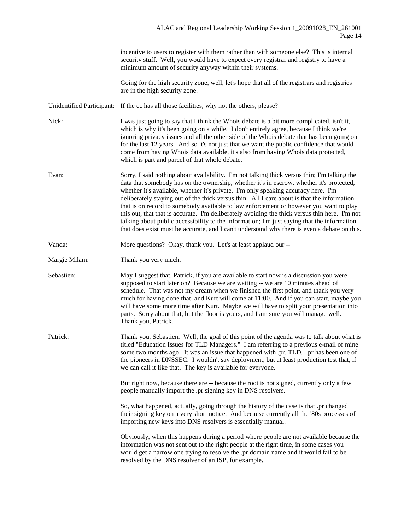|               | incentive to users to register with them rather than with someone else? This is internal<br>security stuff. Well, you would have to expect every registrar and registry to have a<br>minimum amount of security anyway within their systems.                                                                                                                                                                                                                                                                                                                                                                                                                                                                                                                             |
|---------------|--------------------------------------------------------------------------------------------------------------------------------------------------------------------------------------------------------------------------------------------------------------------------------------------------------------------------------------------------------------------------------------------------------------------------------------------------------------------------------------------------------------------------------------------------------------------------------------------------------------------------------------------------------------------------------------------------------------------------------------------------------------------------|
|               | Going for the high security zone, well, let's hope that all of the registrars and registries<br>are in the high security zone.                                                                                                                                                                                                                                                                                                                                                                                                                                                                                                                                                                                                                                           |
|               | Unidentified Participant: If the cc has all those facilities, why not the others, please?                                                                                                                                                                                                                                                                                                                                                                                                                                                                                                                                                                                                                                                                                |
| Nick:         | I was just going to say that I think the Whois debate is a bit more complicated, isn't it,<br>which is why it's been going on a while. I don't entirely agree, because I think we're<br>ignoring privacy issues and all the other side of the Whois debate that has been going on<br>for the last 12 years. And so it's not just that we want the public confidence that would<br>come from having Whois data available, it's also from having Whois data protected,<br>which is part and parcel of that whole debate.                                                                                                                                                                                                                                                   |
| Evan:         | Sorry, I said nothing about availability. I'm not talking thick versus thin; I'm talking the<br>data that somebody has on the ownership, whether it's in escrow, whether it's protected,<br>whether it's available, whether it's private. I'm only speaking accuracy here. I'm<br>deliberately staying out of the thick versus thin. All I care about is that the information<br>that is on record to somebody available to law enforcement or however you want to play<br>this out, that that is accurate. I'm deliberately avoiding the thick versus thin here. I'm not<br>talking about public accessibility to the information; I'm just saying that the information<br>that does exist must be accurate, and I can't understand why there is even a debate on this. |
| Vanda:        | More questions? Okay, thank you. Let's at least applaud our --                                                                                                                                                                                                                                                                                                                                                                                                                                                                                                                                                                                                                                                                                                           |
| Margie Milam: | Thank you very much.                                                                                                                                                                                                                                                                                                                                                                                                                                                                                                                                                                                                                                                                                                                                                     |
| Sebastien:    | May I suggest that, Patrick, if you are available to start now is a discussion you were<br>supposed to start later on? Because we are waiting -- we are 10 minutes ahead of<br>schedule. That was not my dream when we finished the first point, and thank you very<br>much for having done that, and Kurt will come at 11:00. And if you can start, maybe you<br>will have some more time after Kurt. Maybe we will have to split your presentation into<br>parts. Sorry about that, but the floor is yours, and I am sure you will manage well.<br>Thank you, Patrick.                                                                                                                                                                                                 |
| Patrick:      | Thank you, Sebastien. Well, the goal of this point of the agenda was to talk about what is<br>titled "Education Issues for TLD Managers." I am referring to a previous e-mail of mine<br>some two months ago. It was an issue that happened with .pr, TLD. .pr has been one of<br>the pioneers in DNSSEC. I wouldn't say deployment, but at least production test that, if<br>we can call it like that. The key is available for everyone.                                                                                                                                                                                                                                                                                                                               |
|               | But right now, because there are -- because the root is not signed, currently only a few<br>people manually import the .pr signing key in DNS resolvers.                                                                                                                                                                                                                                                                                                                                                                                                                                                                                                                                                                                                                 |
|               | So, what happened, actually, going through the history of the case is that .pr changed<br>their signing key on a very short notice. And because currently all the '80s processes of<br>importing new keys into DNS resolvers is essentially manual.                                                                                                                                                                                                                                                                                                                                                                                                                                                                                                                      |
|               | Obviously, when this happens during a period where people are not available because the<br>information was not sent out to the right people at the right time, in some cases you<br>would get a narrow one trying to resolve the .pr domain name and it would fail to be<br>resolved by the DNS resolver of an ISP, for example.                                                                                                                                                                                                                                                                                                                                                                                                                                         |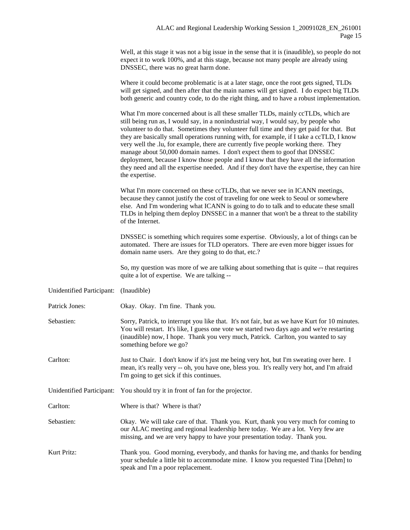Well, at this stage it was not a big issue in the sense that it is (inaudible), so people do not expect it to work 100%, and at this stage, because not many people are already using DNSSEC, there was no great harm done.

|                           | Where it could become problematic is at a later stage, once the root gets signed, TLDs<br>will get signed, and then after that the main names will get signed. I do expect big TLDs<br>both generic and country code, to do the right thing, and to have a robust implementation.                                                                                                                                                                                                                                                                                                                                                                                                                                                              |
|---------------------------|------------------------------------------------------------------------------------------------------------------------------------------------------------------------------------------------------------------------------------------------------------------------------------------------------------------------------------------------------------------------------------------------------------------------------------------------------------------------------------------------------------------------------------------------------------------------------------------------------------------------------------------------------------------------------------------------------------------------------------------------|
|                           | What I'm more concerned about is all these smaller TLDs, mainly ccTLDs, which are<br>still being run as, I would say, in a nonindustrial way, I would say, by people who<br>volunteer to do that. Sometimes they volunteer full time and they get paid for that. But<br>they are basically small operations running with, for example, if I take a ccTLD, I know<br>very well the .lu, for example, there are currently five people working there. They<br>manage about 50,000 domain names. I don't expect them to goof that DNSSEC<br>deployment, because I know those people and I know that they have all the information<br>they need and all the expertise needed. And if they don't have the expertise, they can hire<br>the expertise. |
|                           | What I'm more concerned on these ccTLDs, that we never see in ICANN meetings,<br>because they cannot justify the cost of traveling for one week to Seoul or somewhere<br>else. And I'm wondering what ICANN is going to do to talk and to educate these small<br>TLDs in helping them deploy DNSSEC in a manner that won't be a threat to the stability<br>of the Internet.                                                                                                                                                                                                                                                                                                                                                                    |
|                           | DNSSEC is something which requires some expertise. Obviously, a lot of things can be<br>automated. There are issues for TLD operators. There are even more bigger issues for<br>domain name users. Are they going to do that, etc.?                                                                                                                                                                                                                                                                                                                                                                                                                                                                                                            |
|                           | So, my question was more of we are talking about something that is quite -- that requires<br>quite a lot of expertise. We are talking --                                                                                                                                                                                                                                                                                                                                                                                                                                                                                                                                                                                                       |
| Unidentified Participant: | (Inaudible)                                                                                                                                                                                                                                                                                                                                                                                                                                                                                                                                                                                                                                                                                                                                    |
| Patrick Jones:            | Okay. Okay. I'm fine. Thank you.                                                                                                                                                                                                                                                                                                                                                                                                                                                                                                                                                                                                                                                                                                               |
| Sebastien:                | Sorry, Patrick, to interrupt you like that. It's not fair, but as we have Kurt for 10 minutes.<br>You will restart. It's like, I guess one vote we started two days ago and we're restarting<br>(inaudible) now, I hope. Thank you very much, Patrick. Carlton, you wanted to say<br>something before we go?                                                                                                                                                                                                                                                                                                                                                                                                                                   |
| Carlton:                  | Just to Chair. I don't know if it's just me being very hot, but I'm sweating over here. I<br>mean, it's really very -- oh, you have one, bless you. It's really very hot, and I'm afraid<br>I'm going to get sick if this continues.                                                                                                                                                                                                                                                                                                                                                                                                                                                                                                           |
|                           | Unidentified Participant: You should try it in front of fan for the projector.                                                                                                                                                                                                                                                                                                                                                                                                                                                                                                                                                                                                                                                                 |
| Carlton:                  | Where is that? Where is that?                                                                                                                                                                                                                                                                                                                                                                                                                                                                                                                                                                                                                                                                                                                  |
| Sebastien:                | Okay. We will take care of that. Thank you. Kurt, thank you very much for coming to<br>our ALAC meeting and regional leadership here today. We are a lot. Very few are<br>missing, and we are very happy to have your presentation today. Thank you.                                                                                                                                                                                                                                                                                                                                                                                                                                                                                           |
| Kurt Pritz:               | Thank you. Good morning, everybody, and thanks for having me, and thanks for bending                                                                                                                                                                                                                                                                                                                                                                                                                                                                                                                                                                                                                                                           |

Kurt Pritz: Thank you. Good morning, everybody, and thanks for having me, and thanks for bending your schedule a little bit to accommodate mine. I know you requested Tina [Dehm] to speak and I'm a poor replacement.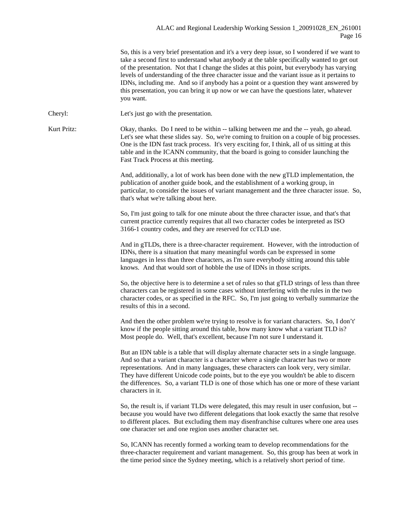## ALAC and Regional Leadership Working Session 1\_20091028\_EN\_261001 Page 16

So, this is a very brief presentation and it's a very deep issue, so I wondered if we want to take a second first to understand what anybody at the table specifically wanted to get out of the presentation. Not that I change the slides at this point, but everybody has varying levels of understanding of the three character issue and the variant issue as it pertains to IDNs, including me. And so if anybody has a point or a question they want answered by this presentation, you can bring it up now or we can have the questions later, whatever you want.

Cheryl: Let's just go with the presentation.

Kurt Pritz: Okay, thanks. Do I need to be within -- talking between me and the -- yeah, go ahead. Let's see what these slides say. So, we're coming to fruition on a couple of big processes. One is the IDN fast track process. It's very exciting for, I think, all of us sitting at this table and in the ICANN community, that the board is going to consider launching the Fast Track Process at this meeting.

> And, additionally, a lot of work has been done with the new gTLD implementation, the publication of another guide book, and the establishment of a working group, in particular, to consider the issues of variant management and the three character issue. So, that's what we're talking about here.

So, I'm just going to talk for one minute about the three character issue, and that's that current practice currently requires that all two character codes be interpreted as ISO 3166-1 country codes, and they are reserved for ccTLD use.

And in gTLDs, there is a three-character requirement. However, with the introduction of IDNs, there is a situation that many meaningful words can be expressed in some languages in less than three characters, as I'm sure everybody sitting around this table knows. And that would sort of hobble the use of IDNs in those scripts.

So, the objective here is to determine a set of rules so that gTLD strings of less than three characters can be registered in some cases without interfering with the rules in the two character codes, or as specified in the RFC. So, I'm just going to verbally summarize the results of this in a second.

And then the other problem we're trying to resolve is for variant characters. So, I don't' know if the people sitting around this table, how many know what a variant TLD is? Most people do. Well, that's excellent, because I'm not sure I understand it.

But an IDN table is a table that will display alternate character sets in a single language. And so that a variant character is a character where a single character has two or more representations. And in many languages, these characters can look very, very similar. They have different Unicode code points, but to the eye you wouldn't be able to discern the differences. So, a variant TLD is one of those which has one or more of these variant characters in it.

So, the result is, if variant TLDs were delegated, this may result in user confusion, but - because you would have two different delegations that look exactly the same that resolve to different places. But excluding them may disenfranchise cultures where one area uses one character set and one region uses another character set.

So, ICANN has recently formed a working team to develop recommendations for the three-character requirement and variant management. So, this group has been at work in the time period since the Sydney meeting, which is a relatively short period of time.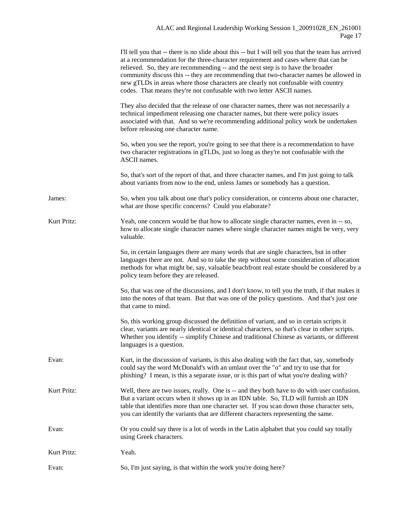|             | I'll tell you that -- there is no slide about this -- but I will tell you that the team has arrived<br>at a recommendation for the three-character requirement and cases where that can be<br>relieved. So, they are recommending -- and the next step is to have the broader<br>community discuss this -- they are recommending that two-character names be allowed in<br>new gTLDs in areas where those characters are clearly not confusable with country<br>codes. That means they're not confusable with two letter ASCII names. |
|-------------|---------------------------------------------------------------------------------------------------------------------------------------------------------------------------------------------------------------------------------------------------------------------------------------------------------------------------------------------------------------------------------------------------------------------------------------------------------------------------------------------------------------------------------------|
|             | They also decided that the release of one character names, there was not necessarily a<br>technical impediment releasing one character names, but there were policy issues<br>associated with that. And so we're recommending additional policy work be undertaken<br>before releasing one character name.                                                                                                                                                                                                                            |
|             | So, when you see the report, you're going to see that there is a recommendation to have<br>two character registrations in gTLDs, just so long as they're not confusable with the<br>ASCII names.                                                                                                                                                                                                                                                                                                                                      |
|             | So, that's sort of the report of that, and three character names, and I'm just going to talk<br>about variants from now to the end, unless James or somebody has a question.                                                                                                                                                                                                                                                                                                                                                          |
| James:      | So, when you talk about one that's policy consideration, or concerns about one character,<br>what are those specific concerns? Could you elaborate?                                                                                                                                                                                                                                                                                                                                                                                   |
| Kurt Pritz: | Yeah, one concern would be that how to allocate single character names, even in -- so,<br>how to allocate single character names where single character names might be very, very<br>valuable.                                                                                                                                                                                                                                                                                                                                        |
|             | So, in certain languages there are many words that are single characters, but in other<br>languages there are not. And so to take the step without some consideration of allocation<br>methods for what might be, say, valuable beachfront real estate should be considered by a<br>policy team before they are released.                                                                                                                                                                                                             |
|             | So, that was one of the discussions, and I don't know, to tell you the truth, if that makes it<br>into the notes of that team. But that was one of the policy questions. And that's just one<br>that came to mind.                                                                                                                                                                                                                                                                                                                    |
|             | So, this working group discussed the definition of variant, and so in certain scripts it<br>clear, variants are nearly identical or identical characters, so that's clear in other scripts.<br>Whether you identify -- simplify Chinese and traditional Chinese as variants, or different<br>languages is a question.                                                                                                                                                                                                                 |
| Evan:       | Kurt, in the discussion of variants, is this also dealing with the fact that, say, somebody<br>could say the word McDonald's with an umlaut over the "o" and try to use that for<br>phishing? I mean, is this a separate issue, or is this part of what you're dealing with?                                                                                                                                                                                                                                                          |
| Kurt Pritz: | Well, there are two issues, really. One is -- and they both have to do with user confusion.<br>But a variant occurs when it shows up in an IDN table. So, TLD will furnish an IDN<br>table that identifies more than one character set. If you scan down those character sets,<br>you can identify the variants that are different characters representing the same.                                                                                                                                                                  |
| Evan:       | Or you could say there is a lot of words in the Latin alphabet that you could say totally<br>using Greek characters.                                                                                                                                                                                                                                                                                                                                                                                                                  |
| Kurt Pritz: | Yeah.                                                                                                                                                                                                                                                                                                                                                                                                                                                                                                                                 |
| Evan:       | So, I'm just saying, is that within the work you're doing here?                                                                                                                                                                                                                                                                                                                                                                                                                                                                       |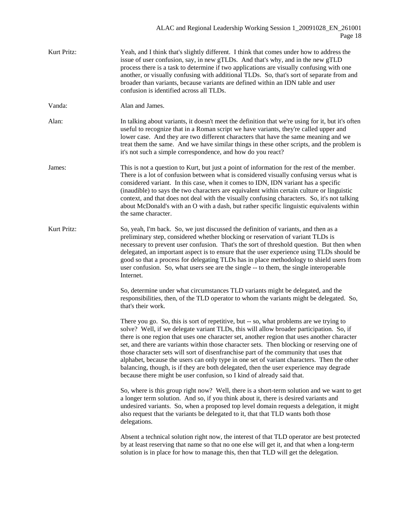Kurt Pritz: Yeah, and I think that's slightly different. I think that comes under how to address the issue of user confusion, say, in new gTLDs. And that's why, and in the new gTLD process there is a task to determine if two applications are visually confusing with one another, or visually confusing with additional TLDs. So, that's sort of separate from and broader than variants, because variants are defined within an IDN table and user confusion is identified across all TLDs. Vanda: Alan and James. Alan: In talking about variants, it doesn't meet the definition that we're using for it, but it's often useful to recognize that in a Roman script we have variants, they're called upper and lower case. And they are two different characters that have the same meaning and we treat them the same. And we have similar things in these other scripts, and the problem is it's not such a simple correspondence, and how do you react? James: This is not a question to Kurt, but just a point of information for the rest of the member. There is a lot of confusion between what is considered visually confusing versus what is considered variant. In this case, when it comes to IDN, IDN variant has a specific (inaudible) to says the two characters are equivalent within certain culture or linguistic context, and that does not deal with the visually confusing characters. So, it's not talking about McDonald's with an O with a dash, but rather specific linguistic equivalents within the same character. Kurt Pritz: So, yeah, I'm back. So, we just discussed the definition of variants, and then as a preliminary step, considered whether blocking or reservation of variant TLDs is necessary to prevent user confusion. That's the sort of threshold question. But then when delegated, an important aspect is to ensure that the user experience using TLDs should be good so that a process for delegating TLDs has in place methodology to shield users from user confusion. So, what users see are the single -- to them, the single interoperable Internet. So, determine under what circumstances TLD variants might be delegated, and the responsibilities, then, of the TLD operator to whom the variants might be delegated. So, that's their work. There you go. So, this is sort of repetitive, but -- so, what problems are we trying to solve? Well, if we delegate variant TLDs, this will allow broader participation. So, if there is one region that uses one character set, another region that uses another character set, and there are variants within those character sets. Then blocking or reserving one of those character sets will sort of disenfranchise part of the community that uses that alphabet, because the users can only type in one set of variant characters. Then the other balancing, though, is if they are both delegated, then the user experience may degrade because there might be user confusion, so I kind of already said that. So, where is this group right now? Well, there is a short-term solution and we want to get a longer term solution. And so, if you think about it, there is desired variants and undesired variants. So, when a proposed top level domain requests a delegation, it might also request that the variants be delegated to it, that that TLD wants both those delegations. Absent a technical solution right now, the interest of that TLD operator are best protected by at least reserving that name so that no one else will get it, and that when a long-term solution is in place for how to manage this, then that TLD will get the delegation.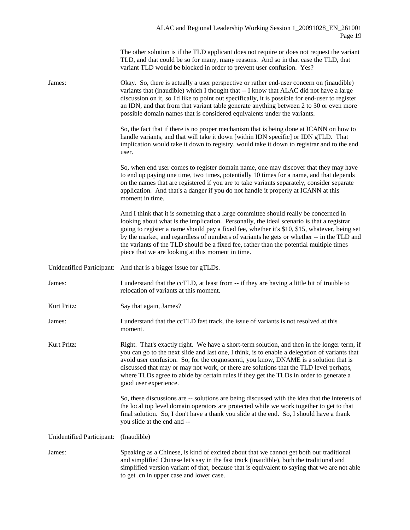|                           | The other solution is if the TLD applicant does not require or does not request the variant<br>TLD, and that could be so for many, many reasons. And so in that case the TLD, that<br>variant TLD would be blocked in order to prevent user confusion. Yes?                                                                                                                                                                                                                                                                      |
|---------------------------|----------------------------------------------------------------------------------------------------------------------------------------------------------------------------------------------------------------------------------------------------------------------------------------------------------------------------------------------------------------------------------------------------------------------------------------------------------------------------------------------------------------------------------|
| James:                    | Okay. So, there is actually a user perspective or rather end-user concern on (inaudible)<br>variants that (inaudible) which I thought that -- I know that ALAC did not have a large<br>discussion on it, so I'd like to point out specifically, it is possible for end-user to register<br>an IDN, and that from that variant table generate anything between 2 to 30 or even more<br>possible domain names that is considered equivalents under the variants.                                                                   |
|                           | So, the fact that if there is no proper mechanism that is being done at ICANN on how to<br>handle variants, and that will take it down [within IDN specific] or IDN gTLD. That<br>implication would take it down to registry, would take it down to registrar and to the end<br>user.                                                                                                                                                                                                                                            |
|                           | So, when end user comes to register domain name, one may discover that they may have<br>to end up paying one time, two times, potentially 10 times for a name, and that depends<br>on the names that are registered if you are to take variants separately, consider separate<br>application. And that's a danger if you do not handle it properly at ICANN at this<br>moment in time.                                                                                                                                           |
|                           | And I think that it is something that a large committee should really be concerned in<br>looking about what is the implication. Personally, the ideal scenario is that a registrar<br>going to register a name should pay a fixed fee, whether it's \$10, \$15, whatever, being set<br>by the market, and regardless of numbers of variants he gets or whether -- in the TLD and<br>the variants of the TLD should be a fixed fee, rather than the potential multiple times<br>piece that we are looking at this moment in time. |
| Unidentified Participant: | And that is a bigger issue for gTLDs.                                                                                                                                                                                                                                                                                                                                                                                                                                                                                            |
| James:                    | I understand that the ccTLD, at least from -- if they are having a little bit of trouble to<br>relocation of variants at this moment.                                                                                                                                                                                                                                                                                                                                                                                            |
| Kurt Pritz:               | Say that again, James?                                                                                                                                                                                                                                                                                                                                                                                                                                                                                                           |
| James:                    | I understand that the ccTLD fast track, the issue of variants is not resolved at this<br>moment.                                                                                                                                                                                                                                                                                                                                                                                                                                 |
| Kurt Pritz:               | Right. That's exactly right. We have a short-term solution, and then in the longer term, if<br>you can go to the next slide and last one, I think, is to enable a delegation of variants that<br>avoid user confusion. So, for the cognoscenti, you know, DNAME is a solution that is<br>discussed that may or may not work, or there are solutions that the TLD level perhaps,<br>where TLDs agree to abide by certain rules if they get the TLDs in order to generate a<br>good user experience.                               |
|                           | So, these discussions are -- solutions are being discussed with the idea that the interests of<br>the local top level domain operators are protected while we work together to get to that<br>final solution. So, I don't have a thank you slide at the end. So, I should have a thank<br>you slide at the end and --                                                                                                                                                                                                            |
| Unidentified Participant: | (Inaudible)                                                                                                                                                                                                                                                                                                                                                                                                                                                                                                                      |
| James:                    | Speaking as a Chinese, is kind of excited about that we cannot get both our traditional<br>and simplified Chinese let's say in the fast track (inaudible), both the traditional and<br>simplified version variant of that, because that is equivalent to saying that we are not able<br>to get .cn in upper case and lower case.                                                                                                                                                                                                 |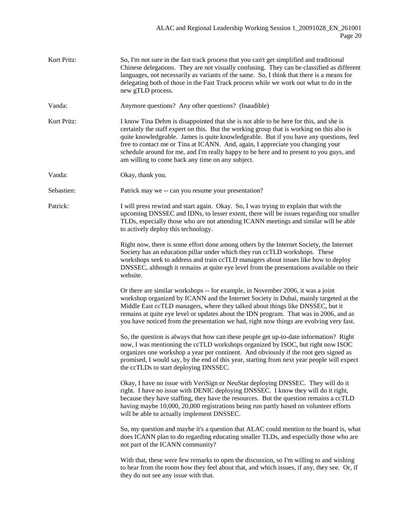| Kurt Pritz: | So, I'm not sure in the fast track process that you can't get simplified and traditional<br>Chinese delegations. They are not visually confusing. They can be classified as different<br>languages, not necessarily as variants of the same. So, I think that there is a means for<br>delegating both of those in the Fast Track process while we work out what to do in the<br>new gTLD process.                                                                                                              |
|-------------|----------------------------------------------------------------------------------------------------------------------------------------------------------------------------------------------------------------------------------------------------------------------------------------------------------------------------------------------------------------------------------------------------------------------------------------------------------------------------------------------------------------|
| Vanda:      | Anymore questions? Any other questions? (Inaudible)                                                                                                                                                                                                                                                                                                                                                                                                                                                            |
| Kurt Pritz: | I know Tina Dehm is disappointed that she is not able to be here for this, and she is<br>certainly the staff expert on this. But the working group that is working on this also is<br>quite knowledgeable. James is quite knowledgeable. But if you have any questions, feel<br>free to contact me or Tina at ICANN. And, again, I appreciate you changing your<br>schedule around for me, and I'm really happy to be here and to present to you guys, and<br>am willing to come back any time on any subject. |
| Vanda:      | Okay, thank you.                                                                                                                                                                                                                                                                                                                                                                                                                                                                                               |
| Sebastien:  | Patrick may we -- can you resume your presentation?                                                                                                                                                                                                                                                                                                                                                                                                                                                            |
| Patrick:    | I will press rewind and start again. Okay. So, I was trying to explain that with the<br>upcoming DNSSEC and IDNs, to lesser extent, there will be issues regarding our smaller<br>TLDs, especially those who are not attending ICANN meetings and similar will be able<br>to actively deploy this technology.                                                                                                                                                                                                  |
|             | Right now, there is some effort done among others by the Internet Society, the Internet<br>Society has an education pillar under which they run ccTLD workshops. These<br>workshops seek to address and train ccTLD managers about issues like how to deploy<br>DNSSEC, although it remains at quite eye level from the presentations available on their<br>website.                                                                                                                                           |
|             | Or there are similar workshops -- for example, in November 2006, it was a joint<br>workshop organized by ICANN and the Internet Society in Dubai, mainly targeted at the<br>Middle East ccTLD managers, where they talked about things like DNSSEC, but it<br>remains at quite eye level or updates about the IDN program. That was in 2006, and as<br>you have noticed from the presentation we had, right now things are evolving very fast.                                                                 |
|             | So, the question is always that how can these people get up-to-date information? Right<br>now, I was mentioning the ccTLD workshops organized by ISOC, but right now ISOC<br>organizes one workshop a year per continent. And obviously if the root gets signed as<br>promised, I would say, by the end of this year, starting from next year people will expect<br>the ccTLDs to start deploying DNSSEC.                                                                                                      |
|             | Okay, I have no issue with VeriSign or NeuStar deploying DNSSEC. They will do it<br>right. I have no issue with DENIC deploying DNSSEC. I know they will do it right,<br>because they have staffing, they have the resources. But the question remains a ccTLD<br>having maybe 10,000, 20,000 registrations being run partly based on volunteer efforts<br>will be able to actually implement DNSSEC.                                                                                                          |
|             | So, my question and maybe it's a question that ALAC could mention to the board is, what<br>does ICANN plan to do regarding educating smaller TLDs, and especially those who are<br>not part of the ICANN community?                                                                                                                                                                                                                                                                                            |
|             | With that, these were few remarks to open the discussion, so I'm willing to and wishing<br>to hear from the room how they feel about that, and which issues, if any, they see. Or, if<br>they do not see any issue with that.                                                                                                                                                                                                                                                                                  |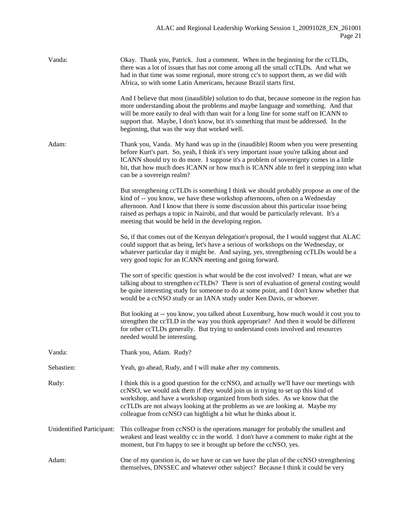| Vanda:                    | Okay. Thank you, Patrick. Just a comment. When in the beginning for the ccTLDs,<br>there was a lot of issues that has not come among all the small ccTLDs. And what we<br>had in that time was some regional, more strong cc's to support them, as we did with<br>Africa, so with some Latin Americans, because Brazil starts first.                                                                             |
|---------------------------|------------------------------------------------------------------------------------------------------------------------------------------------------------------------------------------------------------------------------------------------------------------------------------------------------------------------------------------------------------------------------------------------------------------|
|                           | And I believe that most (inaudible) solution to do that, because someone in the region has<br>more understanding about the problems and maybe language and something. And that<br>will be more easily to deal with than wait for a long line for some staff on ICANN to<br>support that. Maybe, I don't know, but it's something that must be addressed. In the<br>beginning, that was the way that worked well. |
| Adam:                     | Thank you, Vanda. My hand was up in the (inaudible) Room when you were presenting<br>before Kurt's part. So, yeah, I think it's very important issue you're talking about and<br>ICANN should try to do more. I suppose it's a problem of sovereignty comes in a little<br>bit, that how much does ICANN or how much is ICANN able to feel it stepping into what<br>can be a sovereign realm?                    |
|                           | But strengthening ccTLDs is something I think we should probably propose as one of the<br>kind of -- you know, we have these workshop afternoons, often on a Wednesday<br>afternoon. And I know that there is some discussion about this particular issue being<br>raised as perhaps a topic in Nairobi, and that would be particularly relevant. It's a<br>meeting that would be held in the developing region. |
|                           | So, if that comes out of the Kenyan delegation's proposal, the I would suggest that ALAC<br>could support that as being, let's have a serious of workshops on the Wednesday, or<br>whatever particular day it might be. And saying, yes, strengthening ccTLDs would be a<br>very good topic for an ICANN meeting and going forward.                                                                              |
|                           | The sort of specific question is what would be the cost involved? I mean, what are we<br>talking about to strengthen ccTLDs? There is sort of evaluation of general costing would<br>be quite interesting study for someone to do at some point, and I don't know whether that<br>would be a ccNSO study or an IANA study under Ken Davis, or whoever.                                                           |
|                           | But looking at -- you know, you talked about Luxemburg, how much would it cost you to<br>strengthen the ccTLD in the way you think appropriate? And then it would be different<br>for other ccTLDs generally. But trying to understand costs involved and resources<br>needed would be interesting.                                                                                                              |
| Vanda:                    | Thank you, Adam. Rudy?                                                                                                                                                                                                                                                                                                                                                                                           |
| Sebastien:                | Yeah, go ahead, Rudy, and I will make after my comments.                                                                                                                                                                                                                                                                                                                                                         |
| Rudy:                     | I think this is a good question for the ccNSO, and actually we'll have our meetings with<br>ccNSO, we would ask them if they would join us in trying to set up this kind of<br>workshop, and have a workshop organized from both sides. As we know that the<br>ccTLDs are not always looking at the problems as we are looking at. Maybe my<br>colleague from ccNSO can highlight a bit what he thinks about it. |
| Unidentified Participant: | This colleague from ccNSO is the operations manager for probably the smallest and<br>weakest and least wealthy cc in the world. I don't have a comment to make right at the<br>moment, but I'm happy to see it brought up before the ccNSO, yes.                                                                                                                                                                 |
| Adam:                     | One of my question is, do we have or can we have the plan of the ccNSO strengthening<br>themselves, DNSSEC and whatever other subject? Because I think it could be very                                                                                                                                                                                                                                          |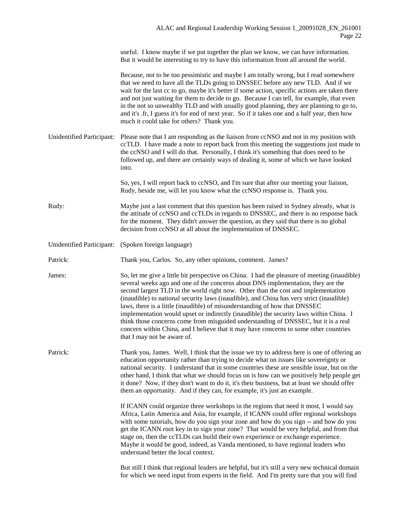useful. I know maybe if we put together the plan we know, we can have information. But it would be interesting to try to have this information from all around the world.

Because, not to be too pessimistic and maybe I am totally wrong, but I read somewhere that we need to have all the TLDs going to DNSSEC before any new TLD. And if we wait for the last cc to go, maybe it's better if some action, specific actions are taken there and not just waiting for them to decide to go. Because I can tell, for example, that even in the not so unwealthy TLD and with usually good planning, they are planning to go to, and it's .fr, I guess it's for end of next year. So if it takes one and a half year, then how much it could take for others? Thank you.

Unidentified Participant: Please note that I am responding as the liaison from ccNSO and not in my position with ccTLD. I have made a note to report back from this meeting the suggestions just made to the ccNSO and I will do that. Personally, I think it's something that does need to be followed up, and there are certainly ways of dealing it, some of which we have looked into.

> So, yes, I will report back to ccNSO, and I'm sure that after our meeting your liaison, Rudy, beside me, will let you know what the ccNSO response is. Thank you.

Rudy: Maybe just a last comment that this question has been raised in Sydney already, what is the attitude of ccNSO and ccTLDs in regards to DNSSEC, and there is no response back for the moment. They didn't answer the question, as they said that there is no global decision from ccNSO at all about the implementation of DNSSEC.

Unidentified Participant: (Spoken foreign language)

Patrick: Thank you, Carlos. So, any other opinions, comment. James?

James: So, let me give a little bit perspective on China. I had the pleasure of meeting (inaudible) several weeks ago and one of the concerns about DNS implementation, they are the second largest TLD in the world right now. Other than the cost and implementation (inaudible) to national security laws (inaudible), and China has very strict (inaudible) laws, there is a little (inaudible) of misunderstanding of how that DNSSEC implementation would upset or indirectly (inaudible) the security laws within China. I think those concerns come from misguided understanding of DNSSEC, but it is a real concern within China, and I believe that it may have concerns to some other countries that I may not be aware of.

Patrick: Thank you, James. Well, I think that the issue we try to address here is one of offering an education opportunity rather than trying to decide what on issues like sovereignty or national security. I understand that in some countries these are sensible issue, but on the other hand, I think that what we should focus on is how can we positively help people get it done? Now, if they don't want to do it, it's their business, but at least we should offer them an opportunity. And if they can, for example, it's just an example.

> If ICANN could organize three workshops in the regions that need it most, I would say Africa, Latin America and Asia, for example, if ICANN could offer regional workshops with some tutorials, how do you sign your zone and how do you sign -- and how do you get the ICANN root key in to sign your zone? That would be very helpful, and from that stage on, then the ccTLDs can build their own experience or exchange experience. Maybe it would be good, indeed, as Vanda mentioned, to have regional leaders who understand better the local context.

> But still I think that regional leaders are helpful, but it's still a very new technical domain for which we need input from experts in the field. And I'm pretty sure that you will find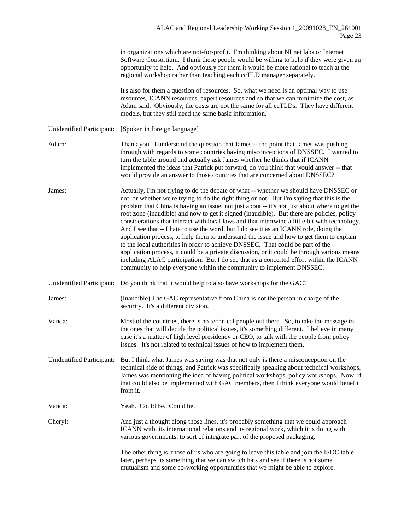in organizations which are not-for-profit. I'm thinking about NLnet labs or Internet Software Consortium. I think these people would be willing to help if they were given an opportunity to help. And obviously for them it would be more rational to teach at the regional workshop rather than teaching each ccTLD manager separately.

It's also for them a question of resources. So, what we need is an optimal way to use resources, ICANN resources, expert resources and so that we can minimize the cost, as Adam said. Obviously, the costs are not the same for all ccTLDs. They have different models, but they still need the same basic information.

Unidentified Participant: [Spoken in foreign language]

- Adam: Thank you. I understand the question that James -- the point that James was pushing through with regards to some countries having misconceptions of DNSSEC. I wanted to turn the table around and actually ask James whether he thinks that if ICANN implemented the ideas that Patrick put forward, do you think that would answer -- that would provide an answer to those countries that are concerned about DNSSEC?
- James: Actually, I'm not trying to do the debate of what -- whether we should have DNSSEC or not, or whether we're trying to do the right thing or not. But I'm saying that this is the problem that China is having an issue, not just about -- it's not just about where to get the root zone (inaudible) and now to get it signed (inaudible). But there are policies, policy considerations that interact with local laws and that intertwine a little bit with technology. And I see that -- I hate to use the word, but I do see it as an ICANN role, doing the application process, to help them to understand the issue and how to get them to explain to the local authorities in order to achieve DNSSEC. That could be part of the application process, it could be a private discussion, or it could be through various means including ALAC participation. But I do see that as a concerted effort within the ICANN community to help everyone within the community to implement DNSSEC.
- Unidentified Participant: Do you think that it would help to also have workshops for the GAC?
- James: (Inaudible) The GAC representative from China is not the person in charge of the security. It's a different division.
- Vanda: Most of the countries, there is no technical people out there. So, to take the message to the ones that will decide the political issues, it's something different. I believe in many case it's a matter of high level presidency or CEO, to talk with the people from policy issues. It's not related to technical issues of how to implement them.
- Unidentified Participant: But I think what James was saying was that not only is there a misconception on the technical side of things, and Patrick was specifically speaking about technical workshops. James was mentioning the idea of having political workshops, policy workshops. Now, if that could also be implemented with GAC members, then I think everyone would benefit from it.
- Vanda: Yeah. Could be. Could be.
- Cheryl: And just a thought along those lines, it's probably something that we could approach ICANN with, its international relations and its regional work, which it is doing with various governments, to sort of integrate part of the proposed packaging.

The other thing is, those of us who are going to leave this table and join the ISOC table later, perhaps its something that we can switch hats and see if there is not some mutualism and some co-working opportunities that we might be able to explore.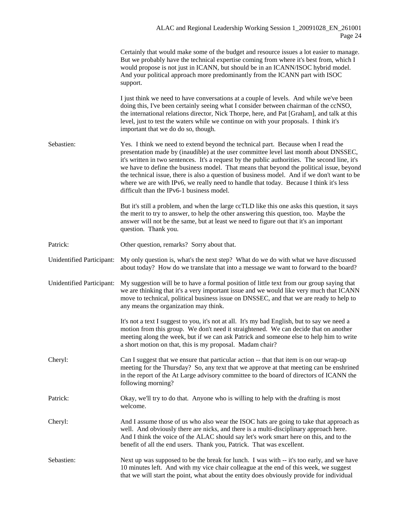|                           | Certainly that would make some of the budget and resource issues a lot easier to manage.<br>But we probably have the technical expertise coming from where it's best from, which I<br>would propose is not just in ICANN, but should be in an ICANN/ISOC hybrid model.<br>And your political approach more predominantly from the ICANN part with ISOC<br>support.                                                                                                                                                                                                                                             |
|---------------------------|----------------------------------------------------------------------------------------------------------------------------------------------------------------------------------------------------------------------------------------------------------------------------------------------------------------------------------------------------------------------------------------------------------------------------------------------------------------------------------------------------------------------------------------------------------------------------------------------------------------|
|                           | I just think we need to have conversations at a couple of levels. And while we've been<br>doing this, I've been certainly seeing what I consider between chairman of the ccNSO,<br>the international relations director, Nick Thorpe, here, and Pat [Graham], and talk at this<br>level, just to test the waters while we continue on with your proposals. I think it's<br>important that we do do so, though.                                                                                                                                                                                                 |
| Sebastien:                | Yes. I think we need to extend beyond the technical part. Because when I read the<br>presentation made by (inaudible) at the user committee level last month about DNSSEC,<br>it's written in two sentences. It's a request by the public authorities. The second line, it's<br>we have to define the business model. That means that beyond the political issue, beyond<br>the technical issue, there is also a question of business model. And if we don't want to be<br>where we are with IPv6, we really need to handle that today. Because I think it's less<br>difficult than the IPv6-1 business model. |
|                           | But it's still a problem, and when the large ccTLD like this one asks this question, it says<br>the merit to try to answer, to help the other answering this question, too. Maybe the<br>answer will not be the same, but at least we need to figure out that it's an important<br>question. Thank you.                                                                                                                                                                                                                                                                                                        |
| Patrick:                  | Other question, remarks? Sorry about that.                                                                                                                                                                                                                                                                                                                                                                                                                                                                                                                                                                     |
| Unidentified Participant: | My only question is, what's the next step? What do we do with what we have discussed<br>about today? How do we translate that into a message we want to forward to the board?                                                                                                                                                                                                                                                                                                                                                                                                                                  |
| Unidentified Participant: | My suggestion will be to have a formal position of little text from our group saying that<br>we are thinking that it's a very important issue and we would like very much that ICANN<br>move to technical, political business issue on DNSSEC, and that we are ready to help to<br>any means the organization may think.                                                                                                                                                                                                                                                                                       |
|                           | It's not a text I suggest to you, it's not at all. It's my bad English, but to say we need a<br>motion from this group. We don't need it straightened. We can decide that on another<br>meeting along the week, but if we can ask Patrick and someone else to help him to write<br>a short motion on that, this is my proposal. Madam chair?                                                                                                                                                                                                                                                                   |
| Cheryl:                   | Can I suggest that we ensure that particular action -- that that item is on our wrap-up<br>meeting for the Thursday? So, any text that we approve at that meeting can be enshrined<br>in the report of the At Large advisory committee to the board of directors of ICANN the<br>following morning?                                                                                                                                                                                                                                                                                                            |
| Patrick:                  | Okay, we'll try to do that. Anyone who is willing to help with the drafting is most<br>welcome.                                                                                                                                                                                                                                                                                                                                                                                                                                                                                                                |
| Cheryl:                   | And I assume those of us who also wear the ISOC hats are going to take that approach as<br>well. And obviously there are nicks, and there is a multi-disciplinary approach here.<br>And I think the voice of the ALAC should say let's work smart here on this, and to the<br>benefit of all the end users. Thank you, Patrick. That was excellent.                                                                                                                                                                                                                                                            |
| Sebastien:                | Next up was supposed to be the break for lunch. I was with -- it's too early, and we have<br>10 minutes left. And with my vice chair colleague at the end of this week, we suggest<br>that we will start the point, what about the entity does obviously provide for individual                                                                                                                                                                                                                                                                                                                                |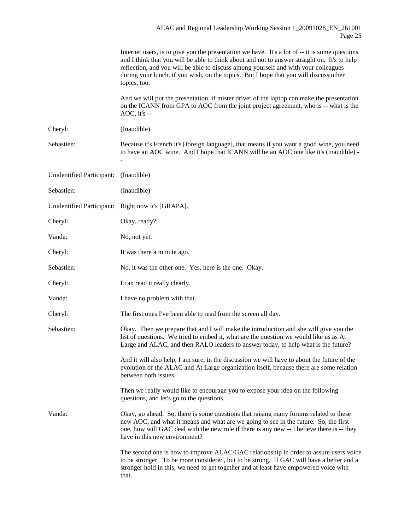|                           | Internet users, is to give you the presentation we have. It's a lot of -- it is some questions<br>and I think that you will be able to think about and not to answer straight on. It's to help<br>reflection, and you will be able to discuss among yourself and with your colleagues<br>during your lunch, if you wish, on the topics. But I hope that you will discuss other<br>topics, too. |
|---------------------------|------------------------------------------------------------------------------------------------------------------------------------------------------------------------------------------------------------------------------------------------------------------------------------------------------------------------------------------------------------------------------------------------|
|                           | And we will put the presentation, if mister driver of the laptop can make the presentation<br>on the ICANN from GPA to AOC from the joint project agreement, who is -- what is the<br>$AOC$ , it's $-$                                                                                                                                                                                         |
| Cheryl:                   | (Inaudible)                                                                                                                                                                                                                                                                                                                                                                                    |
| Sebastien:                | Because it's French it's [foreign language], that means if you want a good wine, you need<br>to have an AOC wine. And I hope that ICANN will be an AOC one like it's (inaudible) -                                                                                                                                                                                                             |
| Unidentified Participant: | (Inaudible)                                                                                                                                                                                                                                                                                                                                                                                    |
| Sebastien:                | (Inaudible)                                                                                                                                                                                                                                                                                                                                                                                    |
|                           | Unidentified Participant: Right now it's [GRAPA].                                                                                                                                                                                                                                                                                                                                              |
| Cheryl:                   | Okay, ready?                                                                                                                                                                                                                                                                                                                                                                                   |
| Vanda:                    | No, not yet.                                                                                                                                                                                                                                                                                                                                                                                   |
| Cheryl:                   | It was there a minute ago.                                                                                                                                                                                                                                                                                                                                                                     |
| Sebastien:                | No, it was the other one. Yes, here is the one. Okay.                                                                                                                                                                                                                                                                                                                                          |
| Cheryl:                   | I can read it really clearly.                                                                                                                                                                                                                                                                                                                                                                  |
| Vanda:                    | I have no problem with that.                                                                                                                                                                                                                                                                                                                                                                   |
| Cheryl:                   | The first ones I've been able to read from the screen all day.                                                                                                                                                                                                                                                                                                                                 |
| Sebastien:                | Okay. Then we prepare that and I will make the introduction and she will give you the<br>list of questions. We tried to embed it, what are the question we would like us as At<br>Large and ALAC, and then RALO leaders to answer today, to help what is the future?                                                                                                                           |
|                           | And it will also help, I am sure, in the discussion we will have to about the future of the<br>evolution of the ALAC and At Large organization itself, because there are some relation<br>between both issues.                                                                                                                                                                                 |
|                           | Then we really would like to encourage you to expose your idea on the following<br>questions, and let's go to the questions.                                                                                                                                                                                                                                                                   |
| Vanda:                    | Okay, go ahead. So, there is some questions that raising many forums related to these<br>new AOC, and what it means and what are we going to see in the future. So, the first<br>one, how will GAC deal with the new role if there is any new -- I believe there is -- they<br>have in this new environment?                                                                                   |
|                           | The second one is how to improve ALAC/GAC relationship in order to assure users voice<br>to be stronger. To be more considered, but to be strong. If GAC will have a better and a<br>stronger hold in this, we need to get together and at least have empowered voice with<br>that.                                                                                                            |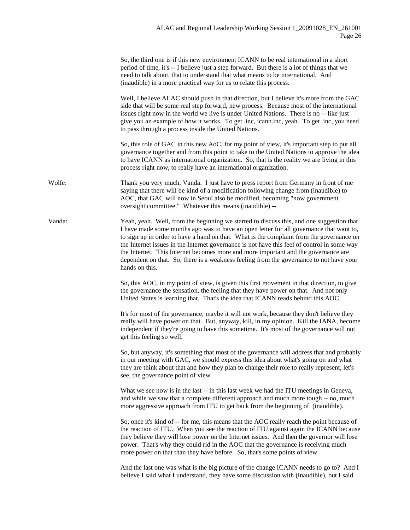|        | So, the third one is if this new environment ICANN to be real international in a short<br>period of time, it's -- I believe just a step forward. But there is a lot of things that we<br>need to talk about, that to understand that what means to be international. And<br>(inaudible) in a more practical way for us to relate this process.                                                                                                                                                                                                                                    |
|--------|-----------------------------------------------------------------------------------------------------------------------------------------------------------------------------------------------------------------------------------------------------------------------------------------------------------------------------------------------------------------------------------------------------------------------------------------------------------------------------------------------------------------------------------------------------------------------------------|
|        | Well, I believe ALAC should push in that direction, but I believe it's more from the GAC<br>side that will be some real step forward, new process. Because most of the international<br>issues right now in the world we live is under United Nations. There is no -- like just<br>give you an example of how it works. To get .inc, icann.inc, yeah. To get .inc, you need<br>to pass through a process inside the United Nations.                                                                                                                                               |
|        | So, this role of GAC in this new AoC, for my point of view, it's important step to put all<br>governance together and from this point to take to the United Nations to approve the idea<br>to have ICANN as international organization. So, that is the reality we are living in this<br>process right now, to really have an international organization.                                                                                                                                                                                                                         |
| Wolfe: | Thank you very much, Vanda. I just have to press report from Germany in front of me<br>saying that there will be kind of a modification following change from (inaudible) to<br>AOC, that GAC will now in Seoul also be modified, becoming "now government<br>oversight committee." Whatever this means (inaudible) --                                                                                                                                                                                                                                                            |
| Vanda: | Yeah, yeah. Well, from the beginning we started to discuss this, and one suggestion that<br>I have made some months ago was to have an open letter for all governance that want to,<br>to sign up in order to have a hand on that. What is the complaint from the governance on<br>the Internet issues in the Internet governance is not have this feel of control in some way<br>the Internet. This Internet becomes more and more important and the governance are<br>dependent on that. So, there is a weakness feeling from the governance to not have your<br>hands on this. |
|        | So, this AOC, in my point of view, is given this first movement in that direction, to give<br>the governance the sensation, the feeling that they have power on that. And not only<br>United States is learning that. That's the idea that ICANN reads behind this AOC.                                                                                                                                                                                                                                                                                                           |
|        | It's for most of the governance, maybe it will not work, because they don't believe they<br>really will have power on that. But, anyway, kill, in my opinion. Kill the IANA, become<br>independent if they're going to have this sometime. It's most of the governance will not<br>get this feeling so well.                                                                                                                                                                                                                                                                      |
|        | So, but anyway, it's something that most of the governance will address that and probably<br>in our meeting with GAC, we should express this idea about what's going on and what<br>they are think about that and how they plan to change their role to really represent, let's<br>see, the governance point of view.                                                                                                                                                                                                                                                             |
|        | What we see now is in the last -- in this last week we had the ITU meetings in Geneva,<br>and while we saw that a complete different approach and much more tough -- no, much<br>more aggressive approach from ITU to get back from the beginning of (inaudible).                                                                                                                                                                                                                                                                                                                 |
|        | So, once it's kind of -- for me, this means that the AOC really reach the point because of<br>the reaction of ITU. When you see the reaction of ITU against again the ICANN because<br>they believe they will lose power on the Internet issues. And then the governor will lose<br>power. That's why they could rid in the AOC that the governance is receiving much<br>more power on that than they have before. So, that's some points of view.                                                                                                                                |
|        | And the last one was what is the big picture of the change ICANN needs to go to? And I<br>believe I said what I understand, they have some discussion with (inaudible), but I said                                                                                                                                                                                                                                                                                                                                                                                                |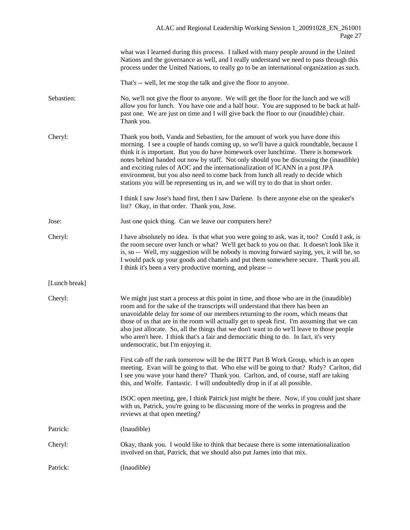|               | what was I learned during this process. I talked with many people around in the United<br>Nations and the governance as well, and I really understand we need to pass through this<br>process under the United Nations, to really go to be an international organization as such.                                                                                                                                                                                                                                                                                                                                     |
|---------------|-----------------------------------------------------------------------------------------------------------------------------------------------------------------------------------------------------------------------------------------------------------------------------------------------------------------------------------------------------------------------------------------------------------------------------------------------------------------------------------------------------------------------------------------------------------------------------------------------------------------------|
|               | That's -- well, let me stop the talk and give the floor to anyone.                                                                                                                                                                                                                                                                                                                                                                                                                                                                                                                                                    |
| Sebastien:    | No, we'll not give the floor to anyone. We will get the floor for the lunch and we will<br>allow you for lunch. You have one and a half hour. You are supposed to be back at half-<br>past one. We are just on time and I will give back the floor to our (inaudible) chair.<br>Thank you.                                                                                                                                                                                                                                                                                                                            |
| Cheryl:       | Thank you both, Vanda and Sebastien, for the amount of work you have done this<br>morning. I see a couple of hands coming up, so we'll have a quick roundtable, because I<br>think it is important. But you do have homework over lunchtime. There is homework<br>notes behind handed out now by staff. Not only should you be discussing the (inaudible)<br>and exciting rules of AOC and the internationalization of ICANN in a post JPA<br>environment, but you also need to come back from lunch all ready to decide which<br>stations you will be representing us in, and we will try to do that in short order. |
|               | I think I saw Jose's hand first, then I saw Darlene. Is there anyone else on the speaker's<br>list? Okay, in that order. Thank you, Jose.                                                                                                                                                                                                                                                                                                                                                                                                                                                                             |
| Jose:         | Just one quick thing. Can we leave our computers here?                                                                                                                                                                                                                                                                                                                                                                                                                                                                                                                                                                |
| Cheryl:       | I have absolutely no idea. Is that what you were going to ask, was it, too? Could I ask, is<br>the room secure over lunch or what? We'll get back to you on that. It doesn't look like it<br>is, so -- Well, my suggestion will be nobody is moving forward saying, yes, it will be, so<br>I would pack up your goods and chattels and put them somewhere secure. Thank you all.<br>I think it's been a very productive morning, and please --                                                                                                                                                                        |
| [Lunch break] |                                                                                                                                                                                                                                                                                                                                                                                                                                                                                                                                                                                                                       |
| Cheryl:       | We might just start a process at this point in time, and those who are in the (inaudible)<br>room and for the sake of the transcripts will understand that there has been an<br>unavoidable delay for some of our members returning to the room, which means that<br>those of us that are in the room will actually get to speak first. I'm assuming that we can<br>also just allocate. So, all the things that we don't want to do we'll leave to those people<br>who aren't here. I think that's a fair and democratic thing to do. In fact, it's very<br>undemocratic, but I'm enjoying it.                        |
|               | First cab off the rank tomorrow will be the IRTT Part B Work Group, which is an open<br>meeting. Evan will be going to that. Who else will be going to that? Rudy? Carlton, did<br>I see you wave your hand there? Thank you. Carlton, and, of course, staff are taking<br>this, and Wolfe. Fantastic. I will undoubtedly drop in if at all possible.                                                                                                                                                                                                                                                                 |
|               | ISOC open meeting, gee, I think Patrick just might be there. Now, if you could just share<br>with us, Patrick, you're going to be discussing more of the works in progress and the<br>reviews at that open meeting?                                                                                                                                                                                                                                                                                                                                                                                                   |
| Patrick:      | (Inaudible)                                                                                                                                                                                                                                                                                                                                                                                                                                                                                                                                                                                                           |
| Cheryl:       | Okay, thank you. I would like to think that because there is some internationalization<br>involved on that, Patrick, that we should also put James into that mix.                                                                                                                                                                                                                                                                                                                                                                                                                                                     |
| Patrick:      | (Inaudible)                                                                                                                                                                                                                                                                                                                                                                                                                                                                                                                                                                                                           |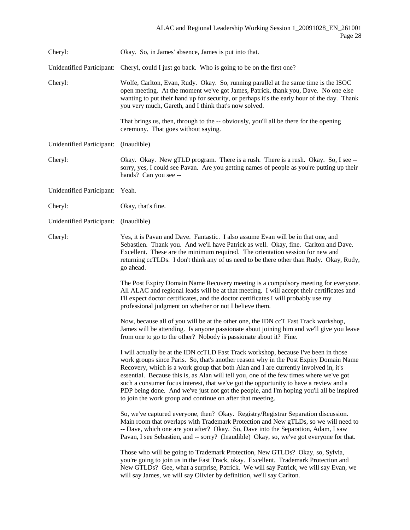| Cheryl:                          | Okay. So, in James' absence, James is put into that.                                                                                                                                                                                                                                                                                                                                                                                                                                                                                                                                                               |
|----------------------------------|--------------------------------------------------------------------------------------------------------------------------------------------------------------------------------------------------------------------------------------------------------------------------------------------------------------------------------------------------------------------------------------------------------------------------------------------------------------------------------------------------------------------------------------------------------------------------------------------------------------------|
| <b>Unidentified Participant:</b> | Cheryl, could I just go back. Who is going to be on the first one?                                                                                                                                                                                                                                                                                                                                                                                                                                                                                                                                                 |
| Cheryl:                          | Wolfe, Carlton, Evan, Rudy. Okay. So, running parallel at the same time is the ISOC<br>open meeting. At the moment we've got James, Patrick, thank you, Dave. No one else<br>wanting to put their hand up for security, or perhaps it's the early hour of the day. Thank<br>you very much, Gareth, and I think that's now solved.                                                                                                                                                                                                                                                                                  |
|                                  | That brings us, then, through to the -- obviously, you'll all be there for the opening<br>ceremony. That goes without saying.                                                                                                                                                                                                                                                                                                                                                                                                                                                                                      |
| <b>Unidentified Participant:</b> | (Inaudible)                                                                                                                                                                                                                                                                                                                                                                                                                                                                                                                                                                                                        |
| Cheryl:                          | Okay. Okay. New gTLD program. There is a rush. There is a rush. Okay. So, I see --<br>sorry, yes, I could see Pavan. Are you getting names of people as you're putting up their<br>hands? Can you see --                                                                                                                                                                                                                                                                                                                                                                                                           |
| <b>Unidentified Participant:</b> | Yeah.                                                                                                                                                                                                                                                                                                                                                                                                                                                                                                                                                                                                              |
| Cheryl:                          | Okay, that's fine.                                                                                                                                                                                                                                                                                                                                                                                                                                                                                                                                                                                                 |
| Unidentified Participant:        | (Inaudible)                                                                                                                                                                                                                                                                                                                                                                                                                                                                                                                                                                                                        |
| Cheryl:                          | Yes, it is Pavan and Dave. Fantastic. I also assume Evan will be in that one, and<br>Sebastien. Thank you. And we'll have Patrick as well. Okay, fine. Carlton and Dave.<br>Excellent. These are the minimum required. The orientation session for new and<br>returning ccTLDs. I don't think any of us need to be there other than Rudy. Okay, Rudy,<br>go ahead.                                                                                                                                                                                                                                                 |
|                                  | The Post Expiry Domain Name Recovery meeting is a compulsory meeting for everyone.<br>All ALAC and regional leads will be at that meeting. I will accept their certificates and<br>I'll expect doctor certificates, and the doctor certificates I will probably use my<br>professional judgment on whether or not I believe them.                                                                                                                                                                                                                                                                                  |
|                                  | Now, because all of you will be at the other one, the IDN ccT Fast Track workshop,<br>James will be attending. Is anyone passionate about joining him and we'll give you leave<br>from one to go to the other? Nobody is passionate about it? Fine.                                                                                                                                                                                                                                                                                                                                                                |
|                                  | I will actually be at the IDN ccTLD Fast Track workshop, because I've been in those<br>work groups since Paris. So, that's another reason why in the Post Expiry Domain Name<br>Recovery, which is a work group that both Alan and I are currently involved in, it's<br>essential. Because this is, as Alan will tell you, one of the few times where we've got<br>such a consumer focus interest, that we've got the opportunity to have a review and a<br>PDP being done. And we've just not got the people, and I'm hoping you'll all be inspired<br>to join the work group and continue on after that meeting. |
|                                  | So, we've captured everyone, then? Okay. Registry/Registrar Separation discussion.<br>Main room that overlaps with Trademark Protection and New gTLDs, so we will need to<br>-- Dave, which one are you after? Okay. So, Dave into the Separation, Adam, I saw<br>Pavan, I see Sebastien, and -- sorry? (Inaudible) Okay, so, we've got everyone for that.                                                                                                                                                                                                                                                         |
|                                  | Those who will be going to Trademark Protection, New GTLDs? Okay, so, Sylvia,<br>you're going to join us in the Fast Track, okay. Excellent. Trademark Protection and<br>New GTLDs? Gee, what a surprise, Patrick. We will say Patrick, we will say Evan, we<br>will say James, we will say Olivier by definition, we'll say Carlton.                                                                                                                                                                                                                                                                              |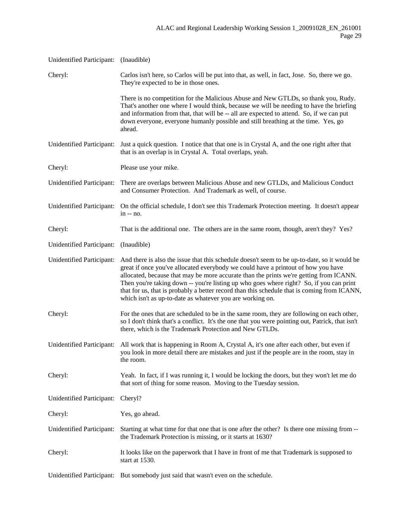| Unidentified Participant: (Inaudible) |                                                                                                                                                                                                                                                                                                                                                                                                                                                                                                                                    |
|---------------------------------------|------------------------------------------------------------------------------------------------------------------------------------------------------------------------------------------------------------------------------------------------------------------------------------------------------------------------------------------------------------------------------------------------------------------------------------------------------------------------------------------------------------------------------------|
| Cheryl:                               | Carlos isn't here, so Carlos will be put into that, as well, in fact, Jose. So, there we go.<br>They're expected to be in those ones.                                                                                                                                                                                                                                                                                                                                                                                              |
|                                       | There is no competition for the Malicious Abuse and New GTLDs, so thank you, Rudy.<br>That's another one where I would think, because we will be needing to have the briefing<br>and information from that, that will be -- all are expected to attend. So, if we can put<br>down everyone, everyone humanly possible and still breathing at the time. Yes, go<br>ahead.                                                                                                                                                           |
| <b>Unidentified Participant:</b>      | Just a quick question. I notice that that one is in Crystal A, and the one right after that<br>that is an overlap is in Crystal A. Total overlaps, yeah.                                                                                                                                                                                                                                                                                                                                                                           |
| Cheryl:                               | Please use your mike.                                                                                                                                                                                                                                                                                                                                                                                                                                                                                                              |
| <b>Unidentified Participant:</b>      | There are overlaps between Malicious Abuse and new GTLDs, and Malicious Conduct<br>and Consumer Protection. And Trademark as well, of course.                                                                                                                                                                                                                                                                                                                                                                                      |
| Unidentified Participant:             | On the official schedule, I don't see this Trademark Protection meeting. It doesn't appear<br>$in -- no.$                                                                                                                                                                                                                                                                                                                                                                                                                          |
| Cheryl:                               | That is the additional one. The others are in the same room, though, aren't they? Yes?                                                                                                                                                                                                                                                                                                                                                                                                                                             |
| Unidentified Participant:             | (Inaudible)                                                                                                                                                                                                                                                                                                                                                                                                                                                                                                                        |
| <b>Unidentified Participant:</b>      | And there is also the issue that this schedule doesn't seem to be up-to-date, so it would be<br>great if once you've allocated everybody we could have a printout of how you have<br>allocated, because that may be more accurate than the prints we're getting from ICANN.<br>Then you're taking down -- you're listing up who goes where right? So, if you can print<br>that for us, that is probably a better record than this schedule that is coming from ICANN,<br>which isn't as up-to-date as whatever you are working on. |
| Cheryl:                               | For the ones that are scheduled to be in the same room, they are following on each other,<br>so I don't think that's a conflict. It's the one that you were pointing out, Patrick, that isn't<br>there, which is the Trademark Protection and New GTLDs.                                                                                                                                                                                                                                                                           |
| Unidentified Participant:             | All work that is happening in Room A, Crystal A, it's one after each other, but even if<br>you look in more detail there are mistakes and just if the people are in the room, stay in<br>the room.                                                                                                                                                                                                                                                                                                                                 |
| Cheryl:                               | Yeah. In fact, if I was running it, I would be locking the doors, but they won't let me do<br>that sort of thing for some reason. Moving to the Tuesday session.                                                                                                                                                                                                                                                                                                                                                                   |
| Unidentified Participant:             | Cheryl?                                                                                                                                                                                                                                                                                                                                                                                                                                                                                                                            |
| Cheryl:                               | Yes, go ahead.                                                                                                                                                                                                                                                                                                                                                                                                                                                                                                                     |
| Unidentified Participant:             | Starting at what time for that one that is one after the other? Is there one missing from --<br>the Trademark Protection is missing, or it starts at 1630?                                                                                                                                                                                                                                                                                                                                                                         |
| Cheryl:                               | It looks like on the paperwork that I have in front of me that Trademark is supposed to<br>start at 1530.                                                                                                                                                                                                                                                                                                                                                                                                                          |
|                                       | Unidentified Participant: But somebody just said that wasn't even on the schedule.                                                                                                                                                                                                                                                                                                                                                                                                                                                 |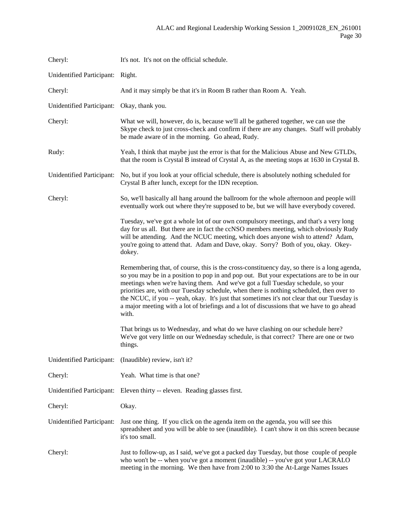| Cheryl:                                    | It's not. It's not on the official schedule.                                                                                                                                                                                                                                                                                                                                                                                                                                                                                                                                 |
|--------------------------------------------|------------------------------------------------------------------------------------------------------------------------------------------------------------------------------------------------------------------------------------------------------------------------------------------------------------------------------------------------------------------------------------------------------------------------------------------------------------------------------------------------------------------------------------------------------------------------------|
| Unidentified Participant: Right.           |                                                                                                                                                                                                                                                                                                                                                                                                                                                                                                                                                                              |
| Cheryl:                                    | And it may simply be that it's in Room B rather than Room A. Yeah.                                                                                                                                                                                                                                                                                                                                                                                                                                                                                                           |
| Unidentified Participant: Okay, thank you. |                                                                                                                                                                                                                                                                                                                                                                                                                                                                                                                                                                              |
| Cheryl:                                    | What we will, however, do is, because we'll all be gathered together, we can use the<br>Skype check to just cross-check and confirm if there are any changes. Staff will probably<br>be made aware of in the morning. Go ahead, Rudy.                                                                                                                                                                                                                                                                                                                                        |
| Rudy:                                      | Yeah, I think that maybe just the error is that for the Malicious Abuse and New GTLDs,<br>that the room is Crystal B instead of Crystal A, as the meeting stops at 1630 in Crystal B.                                                                                                                                                                                                                                                                                                                                                                                        |
| Unidentified Participant:                  | No, but if you look at your official schedule, there is absolutely nothing scheduled for<br>Crystal B after lunch, except for the IDN reception.                                                                                                                                                                                                                                                                                                                                                                                                                             |
| Cheryl:                                    | So, we'll basically all hang around the ballroom for the whole afternoon and people will<br>eventually work out where they're supposed to be, but we will have everybody covered.                                                                                                                                                                                                                                                                                                                                                                                            |
|                                            | Tuesday, we've got a whole lot of our own compulsory meetings, and that's a very long<br>day for us all. But there are in fact the ccNSO members meeting, which obviously Rudy<br>will be attending. And the NCUC meeting, which does anyone wish to attend? Adam,<br>you're going to attend that. Adam and Dave, okay. Sorry? Both of you, okay. Okey-<br>dokey.                                                                                                                                                                                                            |
|                                            | Remembering that, of course, this is the cross-constituency day, so there is a long agenda,<br>so you may be in a position to pop in and pop out. But your expectations are to be in our<br>meetings when we're having them. And we've got a full Tuesday schedule, so your<br>priorities are, with our Tuesday schedule, when there is nothing scheduled, then over to<br>the NCUC, if you -- yeah, okay. It's just that sometimes it's not clear that our Tuesday is<br>a major meeting with a lot of briefings and a lot of discussions that we have to go ahead<br>with. |
|                                            | That brings us to Wednesday, and what do we have clashing on our schedule here?<br>We've got very little on our Wednesday schedule, is that correct? There are one or two<br>things.                                                                                                                                                                                                                                                                                                                                                                                         |
|                                            | Unidentified Participant: (Inaudible) review, isn't it?                                                                                                                                                                                                                                                                                                                                                                                                                                                                                                                      |
| Cheryl:                                    | Yeah. What time is that one?                                                                                                                                                                                                                                                                                                                                                                                                                                                                                                                                                 |
| Unidentified Participant:                  | Eleven thirty -- eleven. Reading glasses first.                                                                                                                                                                                                                                                                                                                                                                                                                                                                                                                              |
| Cheryl:                                    | Okay.                                                                                                                                                                                                                                                                                                                                                                                                                                                                                                                                                                        |
| Unidentified Participant:                  | Just one thing. If you click on the agenda item on the agenda, you will see this<br>spreadsheet and you will be able to see (inaudible). I can't show it on this screen because<br>it's too small.                                                                                                                                                                                                                                                                                                                                                                           |
| Cheryl:                                    | Just to follow-up, as I said, we've got a packed day Tuesday, but those couple of people<br>who won't be -- when you've got a moment (inaudible) -- you've got your LACRALO<br>meeting in the morning. We then have from 2:00 to 3:30 the At-Large Names Issues                                                                                                                                                                                                                                                                                                              |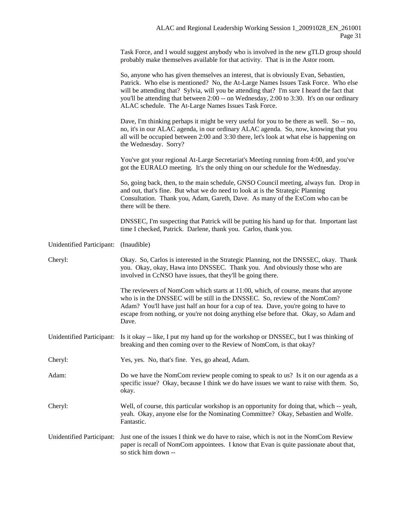Task Force, and I would suggest anybody who is involved in the new gTLD group should probably make themselves available for that activity. That is in the Astor room.

|                                  | So, anyone who has given themselves an interest, that is obviously Evan, Sebastien,<br>Patrick. Who else is mentioned? No, the At-Large Names Issues Task Force. Who else<br>will be attending that? Sylvia, will you be attending that? I'm sure I heard the fact that<br>you'll be attending that between 2:00 -- on Wednesday, 2:00 to 3:30. It's on our ordinary<br>ALAC schedule. The At-Large Names Issues Task Force. |
|----------------------------------|------------------------------------------------------------------------------------------------------------------------------------------------------------------------------------------------------------------------------------------------------------------------------------------------------------------------------------------------------------------------------------------------------------------------------|
|                                  | Dave, I'm thinking perhaps it might be very useful for you to be there as well. So -- no,<br>no, it's in our ALAC agenda, in our ordinary ALAC agenda. So, now, knowing that you<br>all will be occupied between 2:00 and 3:30 there, let's look at what else is happening on<br>the Wednesday. Sorry?                                                                                                                       |
|                                  | You've got your regional At-Large Secretariat's Meeting running from 4:00, and you've<br>got the EURALO meeting. It's the only thing on our schedule for the Wednesday.                                                                                                                                                                                                                                                      |
|                                  | So, going back, then, to the main schedule, GNSO Council meeting, always fun. Drop in<br>and out, that's fine. But what we do need to look at is the Strategic Planning<br>Consultation. Thank you, Adam, Gareth, Dave. As many of the ExCom who can be<br>there will be there.                                                                                                                                              |
|                                  | DNSSEC, I'm suspecting that Patrick will be putting his hand up for that. Important last<br>time I checked, Patrick. Darlene, thank you. Carlos, thank you.                                                                                                                                                                                                                                                                  |
| <b>Unidentified Participant:</b> | (Inaudible)                                                                                                                                                                                                                                                                                                                                                                                                                  |
| Cheryl:                          | Okay. So, Carlos is interested in the Strategic Planning, not the DNSSEC, okay. Thank<br>you. Okay, okay, Hawa into DNSSEC. Thank you. And obviously those who are<br>involved in CcNSO have issues, that they'll be going there.                                                                                                                                                                                            |
|                                  | The reviewers of NomCom which starts at 11:00, which, of course, means that anyone<br>who is in the DNSSEC will be still in the DNSSEC. So, review of the NomCom?<br>Adam? You'll have just half an hour for a cup of tea. Dave, you're going to have to<br>escape from nothing, or you're not doing anything else before that. Okay, so Adam and<br>Dave.                                                                   |
| <b>Unidentified Participant:</b> | Is it okay -- like, I put my hand up for the workshop or DNSSEC, but I was thinking of<br>breaking and then coming over to the Review of NomCom, is that okay?                                                                                                                                                                                                                                                               |
| Cheryl:                          | Yes, yes. No, that's fine. Yes, go ahead, Adam.                                                                                                                                                                                                                                                                                                                                                                              |
| Adam:                            | Do we have the NomCom review people coming to speak to us? Is it on our agenda as a<br>specific issue? Okay, because I think we do have issues we want to raise with them. So,<br>okay.                                                                                                                                                                                                                                      |
| Cheryl:                          | Well, of course, this particular workshop is an opportunity for doing that, which -- yeah,<br>yeah. Okay, anyone else for the Nominating Committee? Okay, Sebastien and Wolfe.<br>Fantastic.                                                                                                                                                                                                                                 |
| Unidentified Participant:        | Just one of the issues I think we do have to raise, which is not in the NomCom Review<br>paper is recall of NomCom appointees. I know that Evan is quite passionate about that,<br>so stick him down --                                                                                                                                                                                                                      |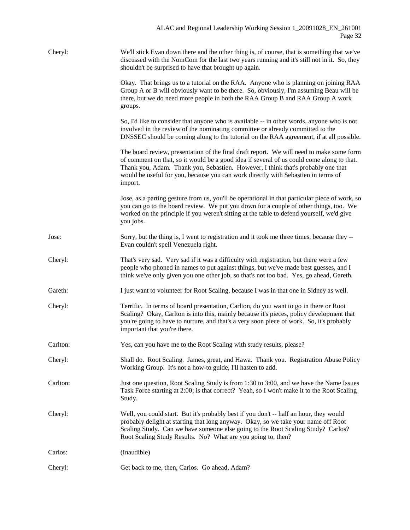| Cheryl:  | We'll stick Evan down there and the other thing is, of course, that is something that we've<br>discussed with the NomCom for the last two years running and it's still not in it. So, they<br>shouldn't be surprised to have that brought up again.                                                                                                                       |
|----------|---------------------------------------------------------------------------------------------------------------------------------------------------------------------------------------------------------------------------------------------------------------------------------------------------------------------------------------------------------------------------|
|          | Okay. That brings us to a tutorial on the RAA. Anyone who is planning on joining RAA<br>Group A or B will obviously want to be there. So, obviously, I'm assuming Beau will be<br>there, but we do need more people in both the RAA Group B and RAA Group A work<br>groups.                                                                                               |
|          | So, I'd like to consider that anyone who is available -- in other words, anyone who is not<br>involved in the review of the nominating committee or already committed to the<br>DNSSEC should be coming along to the tutorial on the RAA agreement, if at all possible.                                                                                                   |
|          | The board review, presentation of the final draft report. We will need to make some form<br>of comment on that, so it would be a good idea if several of us could come along to that.<br>Thank you, Adam. Thank you, Sebastien. However, I think that's probably one that<br>would be useful for you, because you can work directly with Sebastien in terms of<br>import. |
|          | Jose, as a parting gesture from us, you'll be operational in that particular piece of work, so<br>you can go to the board review. We put you down for a couple of other things, too. We<br>worked on the principle if you weren't sitting at the table to defend yourself, we'd give<br>you jobs.                                                                         |
| Jose:    | Sorry, but the thing is, I went to registration and it took me three times, because they --<br>Evan couldn't spell Venezuela right.                                                                                                                                                                                                                                       |
| Cheryl:  | That's very sad. Very sad if it was a difficulty with registration, but there were a few<br>people who phoned in names to put against things, but we've made best guesses, and I<br>think we've only given you one other job, so that's not too bad. Yes, go ahead, Gareth.                                                                                               |
| Gareth:  | I just want to volunteer for Root Scaling, because I was in that one in Sidney as well.                                                                                                                                                                                                                                                                                   |
| Cheryl:  | Terrific. In terms of board presentation, Carlton, do you want to go in there or Root<br>Scaling? Okay, Carlton is into this, mainly because it's pieces, policy development that<br>you're going to have to nurture, and that's a very soon piece of work. So, it's probably<br>important that you're there.                                                             |
| Carlton: | Yes, can you have me to the Root Scaling with study results, please?                                                                                                                                                                                                                                                                                                      |
| Cheryl:  | Shall do. Root Scaling. James, great, and Hawa. Thank you. Registration Abuse Policy<br>Working Group. It's not a how-to guide, I'll hasten to add.                                                                                                                                                                                                                       |
| Carlton: | Just one question, Root Scaling Study is from 1:30 to 3:00, and we have the Name Issues<br>Task Force starting at 2:00; is that correct? Yeah, so I won't make it to the Root Scaling<br>Study.                                                                                                                                                                           |
| Cheryl:  | Well, you could start. But it's probably best if you don't -- half an hour, they would<br>probably delight at starting that long anyway. Okay, so we take your name off Root<br>Scaling Study. Can we have someone else going to the Root Scaling Study? Carlos?<br>Root Scaling Study Results. No? What are you going to, then?                                          |
| Carlos:  | (Inaudible)                                                                                                                                                                                                                                                                                                                                                               |
| Cheryl:  | Get back to me, then, Carlos. Go ahead, Adam?                                                                                                                                                                                                                                                                                                                             |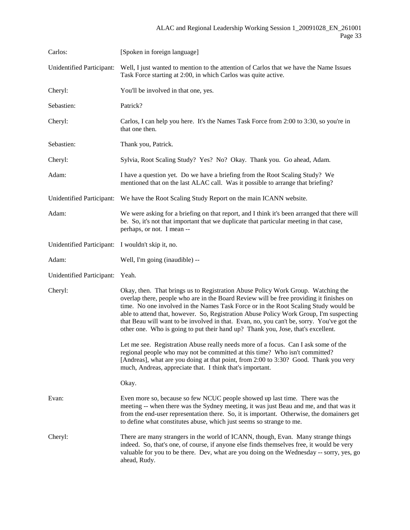| Carlos:                                           | [Spoken in foreign language]                                                                                                                                                                                                                                                                                                                                                                                                                                                                                                                  |
|---------------------------------------------------|-----------------------------------------------------------------------------------------------------------------------------------------------------------------------------------------------------------------------------------------------------------------------------------------------------------------------------------------------------------------------------------------------------------------------------------------------------------------------------------------------------------------------------------------------|
| <b>Unidentified Participant:</b>                  | Well, I just wanted to mention to the attention of Carlos that we have the Name Issues<br>Task Force starting at 2:00, in which Carlos was quite active.                                                                                                                                                                                                                                                                                                                                                                                      |
| Cheryl:                                           | You'll be involved in that one, yes.                                                                                                                                                                                                                                                                                                                                                                                                                                                                                                          |
| Sebastien:                                        | Patrick?                                                                                                                                                                                                                                                                                                                                                                                                                                                                                                                                      |
| Cheryl:                                           | Carlos, I can help you here. It's the Names Task Force from 2:00 to 3:30, so you're in<br>that one then.                                                                                                                                                                                                                                                                                                                                                                                                                                      |
| Sebastien:                                        | Thank you, Patrick.                                                                                                                                                                                                                                                                                                                                                                                                                                                                                                                           |
| Cheryl:                                           | Sylvia, Root Scaling Study? Yes? No? Okay. Thank you. Go ahead, Adam.                                                                                                                                                                                                                                                                                                                                                                                                                                                                         |
| Adam:                                             | I have a question yet. Do we have a briefing from the Root Scaling Study? We<br>mentioned that on the last ALAC call. Was it possible to arrange that briefing?                                                                                                                                                                                                                                                                                                                                                                               |
| Unidentified Participant:                         | We have the Root Scaling Study Report on the main ICANN website.                                                                                                                                                                                                                                                                                                                                                                                                                                                                              |
| Adam:                                             | We were asking for a briefing on that report, and I think it's been arranged that there will<br>be. So, it's not that important that we duplicate that particular meeting in that case,<br>perhaps, or not. I mean --                                                                                                                                                                                                                                                                                                                         |
| Unidentified Participant: I wouldn't skip it, no. |                                                                                                                                                                                                                                                                                                                                                                                                                                                                                                                                               |
| Adam:                                             | Well, I'm going (inaudible) --                                                                                                                                                                                                                                                                                                                                                                                                                                                                                                                |
| Unidentified Participant:                         | Yeah.                                                                                                                                                                                                                                                                                                                                                                                                                                                                                                                                         |
| Cheryl:                                           | Okay, then. That brings us to Registration Abuse Policy Work Group. Watching the<br>overlap there, people who are in the Board Review will be free providing it finishes on<br>time. No one involved in the Names Task Force or in the Root Scaling Study would be<br>able to attend that, however. So, Registration Abuse Policy Work Group, I'm suspecting<br>that Beau will want to be involved in that. Evan, no, you can't be, sorry. You've got the<br>other one. Who is going to put their hand up? Thank you, Jose, that's excellent. |
|                                                   | Let me see. Registration Abuse really needs more of a focus. Can I ask some of the<br>regional people who may not be committed at this time? Who isn't committed?<br>[Andreas], what are you doing at that point, from 2:00 to 3:30? Good. Thank you very<br>much, Andreas, appreciate that. I think that's important.                                                                                                                                                                                                                        |
|                                                   | Okay.                                                                                                                                                                                                                                                                                                                                                                                                                                                                                                                                         |
| Evan:                                             | Even more so, because so few NCUC people showed up last time. There was the<br>meeting -- when there was the Sydney meeting, it was just Beau and me, and that was it<br>from the end-user representation there. So, it is important. Otherwise, the domainers get<br>to define what constitutes abuse, which just seems so strange to me.                                                                                                                                                                                                    |
| Cheryl:                                           | There are many strangers in the world of ICANN, though, Evan. Many strange things<br>indeed. So, that's one, of course, if anyone else finds themselves free, it would be very<br>valuable for you to be there. Dev, what are you doing on the Wednesday -- sorry, yes, go<br>ahead, Rudy.                                                                                                                                                                                                                                                    |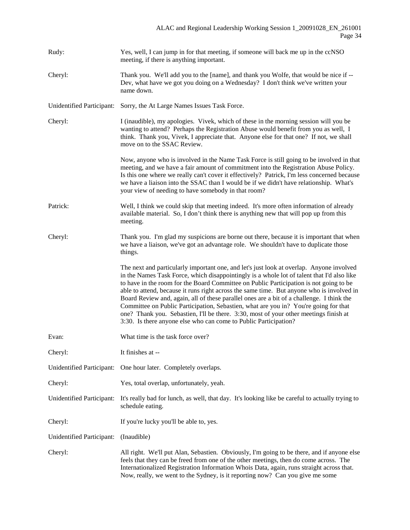| Rudy:                     | Yes, well, I can jump in for that meeting, if someone will back me up in the ccNSO<br>meeting, if there is anything important.                                                                                                                                                                                                                                                                                                                                                                                                                                                                                                                                                                                                  |
|---------------------------|---------------------------------------------------------------------------------------------------------------------------------------------------------------------------------------------------------------------------------------------------------------------------------------------------------------------------------------------------------------------------------------------------------------------------------------------------------------------------------------------------------------------------------------------------------------------------------------------------------------------------------------------------------------------------------------------------------------------------------|
| Cheryl:                   | Thank you. We'll add you to the [name], and thank you Wolfe, that would be nice if --<br>Dev, what have we got you doing on a Wednesday? I don't think we've written your<br>name down.                                                                                                                                                                                                                                                                                                                                                                                                                                                                                                                                         |
| Unidentified Participant: | Sorry, the At Large Names Issues Task Force.                                                                                                                                                                                                                                                                                                                                                                                                                                                                                                                                                                                                                                                                                    |
| Cheryl:                   | I (inaudible), my apologies. Vivek, which of these in the morning session will you be<br>wanting to attend? Perhaps the Registration Abuse would benefit from you as well, I<br>think. Thank you, Vivek, I appreciate that. Anyone else for that one? If not, we shall<br>move on to the SSAC Review.                                                                                                                                                                                                                                                                                                                                                                                                                           |
|                           | Now, anyone who is involved in the Name Task Force is still going to be involved in that<br>meeting, and we have a fair amount of commitment into the Registration Abuse Policy.<br>Is this one where we really can't cover it effectively? Patrick, I'm less concerned because<br>we have a liaison into the SSAC than I would be if we didn't have relationship. What's<br>your view of needing to have somebody in that room?                                                                                                                                                                                                                                                                                                |
| Patrick:                  | Well, I think we could skip that meeting indeed. It's more often information of already<br>available material. So, I don't think there is anything new that will pop up from this<br>meeting.                                                                                                                                                                                                                                                                                                                                                                                                                                                                                                                                   |
| Cheryl:                   | Thank you. I'm glad my suspicions are borne out there, because it is important that when<br>we have a liaison, we've got an advantage role. We shouldn't have to duplicate those<br>things.                                                                                                                                                                                                                                                                                                                                                                                                                                                                                                                                     |
|                           | The next and particularly important one, and let's just look at overlap. Anyone involved<br>in the Names Task Force, which disappointingly is a whole lot of talent that I'd also like<br>to have in the room for the Board Committee on Public Participation is not going to be<br>able to attend, because it runs right across the same time. But anyone who is involved in<br>Board Review and, again, all of these parallel ones are a bit of a challenge. I think the<br>Committee on Public Participation, Sebastien, what are you in? You're going for that<br>one? Thank you. Sebastien, I'll be there. 3:30, most of your other meetings finish at<br>3:30. Is there anyone else who can come to Public Participation? |
| Evan:                     | What time is the task force over?                                                                                                                                                                                                                                                                                                                                                                                                                                                                                                                                                                                                                                                                                               |
| Cheryl:                   | It finishes at --                                                                                                                                                                                                                                                                                                                                                                                                                                                                                                                                                                                                                                                                                                               |
| Unidentified Participant: | One hour later. Completely overlaps.                                                                                                                                                                                                                                                                                                                                                                                                                                                                                                                                                                                                                                                                                            |
| Cheryl:                   | Yes, total overlap, unfortunately, yeah.                                                                                                                                                                                                                                                                                                                                                                                                                                                                                                                                                                                                                                                                                        |
| Unidentified Participant: | It's really bad for lunch, as well, that day. It's looking like be careful to actually trying to<br>schedule eating.                                                                                                                                                                                                                                                                                                                                                                                                                                                                                                                                                                                                            |
| Cheryl:                   | If you're lucky you'll be able to, yes.                                                                                                                                                                                                                                                                                                                                                                                                                                                                                                                                                                                                                                                                                         |
| Unidentified Participant: | (Inaudible)                                                                                                                                                                                                                                                                                                                                                                                                                                                                                                                                                                                                                                                                                                                     |
| Cheryl:                   | All right. We'll put Alan, Sebastien. Obviously, I'm going to be there, and if anyone else<br>feels that they can be freed from one of the other meetings, then do come across. The<br>Internationalized Registration Information Whois Data, again, runs straight across that.<br>Now, really, we went to the Sydney, is it reporting now? Can you give me some                                                                                                                                                                                                                                                                                                                                                                |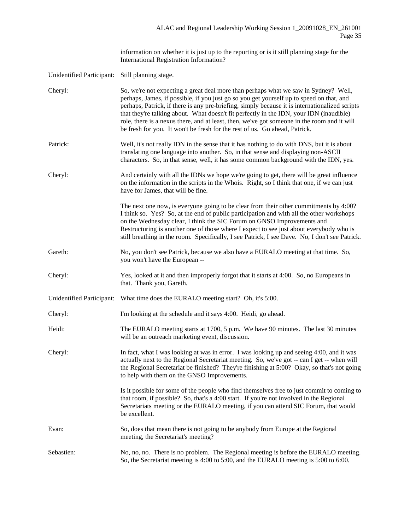information on whether it is just up to the reporting or is it still planning stage for the International Registration Information?

Unidentified Participant: Still planning stage.

| Cheryl:                   | So, we're not expecting a great deal more than perhaps what we saw in Sydney? Well,<br>perhaps, James, if possible, if you just go so you get yourself up to speed on that, and<br>perhaps, Patrick, if there is any pre-briefing, simply because it is internationalized scripts<br>that they're talking about. What doesn't fit perfectly in the IDN, your IDN (inaudible)<br>role, there is a nexus there, and at least, then, we've got someone in the room and it will |
|---------------------------|-----------------------------------------------------------------------------------------------------------------------------------------------------------------------------------------------------------------------------------------------------------------------------------------------------------------------------------------------------------------------------------------------------------------------------------------------------------------------------|
|                           | be fresh for you. It won't be fresh for the rest of us. Go ahead, Patrick.                                                                                                                                                                                                                                                                                                                                                                                                  |
| Patrick:                  | Well, it's not really IDN in the sense that it has nothing to do with DNS, but it is about<br>translating one language into another. So, in that sense and displaying non-ASCII<br>characters. So, in that sense, well, it has some common background with the IDN, yes.                                                                                                                                                                                                    |
| Cheryl:                   | And certainly with all the IDNs we hope we're going to get, there will be great influence<br>on the information in the scripts in the Whois. Right, so I think that one, if we can just<br>have for James, that will be fine.                                                                                                                                                                                                                                               |
|                           | The next one now, is everyone going to be clear from their other commitments by 4:00?<br>I think so. Yes? So, at the end of public participation and with all the other workshops<br>on the Wednesday clear, I think the SIC Forum on GNSO Improvements and<br>Restructuring is another one of those where I expect to see just about everybody who is<br>still breathing in the room. Specifically, I see Patrick, I see Dave. No, I don't see Patrick.                    |
| Gareth:                   | No, you don't see Patrick, because we also have a EURALO meeting at that time. So,<br>you won't have the European --                                                                                                                                                                                                                                                                                                                                                        |
| Cheryl:                   | Yes, looked at it and then improperly forgot that it starts at 4:00. So, no Europeans in<br>that. Thank you, Gareth.                                                                                                                                                                                                                                                                                                                                                        |
| Unidentified Participant: | What time does the EURALO meeting start? Oh, it's 5:00.                                                                                                                                                                                                                                                                                                                                                                                                                     |
| Cheryl:                   | I'm looking at the schedule and it says 4:00. Heidi, go ahead.                                                                                                                                                                                                                                                                                                                                                                                                              |
| Heidi:                    | The EURALO meeting starts at 1700, 5 p.m. We have 90 minutes. The last 30 minutes<br>will be an outreach marketing event, discussion.                                                                                                                                                                                                                                                                                                                                       |
| Cheryl:                   | In fact, what I was looking at was in error. I was looking up and seeing 4:00, and it was<br>actually next to the Regional Secretariat meeting. So, we've got -- can I get -- when will<br>the Regional Secretariat be finished? They're finishing at 5:00? Okay, so that's not going<br>to help with them on the GNSO Improvements.                                                                                                                                        |
|                           | Is it possible for some of the people who find themselves free to just commit to coming to<br>that room, if possible? So, that's a 4:00 start. If you're not involved in the Regional<br>Secretariats meeting or the EURALO meeting, if you can attend SIC Forum, that would<br>be excellent.                                                                                                                                                                               |
| Evan:                     | So, does that mean there is not going to be anybody from Europe at the Regional<br>meeting, the Secretariat's meeting?                                                                                                                                                                                                                                                                                                                                                      |
| Sebastien:                | No, no, no. There is no problem. The Regional meeting is before the EURALO meeting.<br>So, the Secretariat meeting is 4:00 to 5:00, and the EURALO meeting is 5:00 to 6:00.                                                                                                                                                                                                                                                                                                 |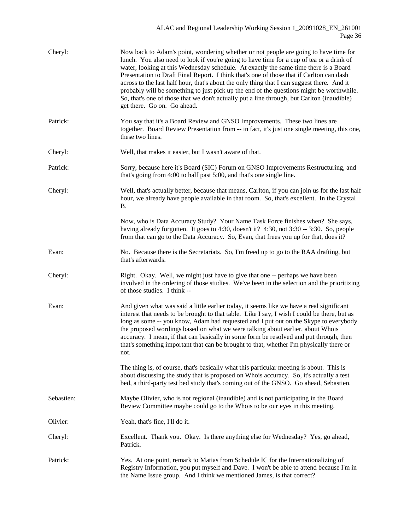| Cheryl:    | Now back to Adam's point, wondering whether or not people are going to have time for<br>lunch. You also need to look if you're going to have time for a cup of tea or a drink of<br>water, looking at this Wednesday schedule. At exactly the same time there is a Board<br>Presentation to Draft Final Report. I think that's one of those that if Carlton can dash<br>across to the last half hour, that's about the only thing that I can suggest there. And it<br>probably will be something to just pick up the end of the questions might be worthwhile.<br>So, that's one of those that we don't actually put a line through, but Carlton (inaudible)<br>get there. Go on. Go ahead. |
|------------|---------------------------------------------------------------------------------------------------------------------------------------------------------------------------------------------------------------------------------------------------------------------------------------------------------------------------------------------------------------------------------------------------------------------------------------------------------------------------------------------------------------------------------------------------------------------------------------------------------------------------------------------------------------------------------------------|
| Patrick:   | You say that it's a Board Review and GNSO Improvements. These two lines are<br>together. Board Review Presentation from -- in fact, it's just one single meeting, this one,<br>these two lines.                                                                                                                                                                                                                                                                                                                                                                                                                                                                                             |
| Cheryl:    | Well, that makes it easier, but I wasn't aware of that.                                                                                                                                                                                                                                                                                                                                                                                                                                                                                                                                                                                                                                     |
| Patrick:   | Sorry, because here it's Board (SIC) Forum on GNSO Improvements Restructuring, and<br>that's going from 4:00 to half past 5:00, and that's one single line.                                                                                                                                                                                                                                                                                                                                                                                                                                                                                                                                 |
| Cheryl:    | Well, that's actually better, because that means, Carlton, if you can join us for the last half<br>hour, we already have people available in that room. So, that's excellent. In the Crystal<br>В.                                                                                                                                                                                                                                                                                                                                                                                                                                                                                          |
|            | Now, who is Data Accuracy Study? Your Name Task Force finishes when? She says,<br>having already forgotten. It goes to 4:30, doesn't it? 4:30, not 3:30 -- 3:30. So, people<br>from that can go to the Data Accuracy. So, Evan, that frees you up for that, does it?                                                                                                                                                                                                                                                                                                                                                                                                                        |
| Evan:      | No. Because there is the Secretariats. So, I'm freed up to go to the RAA drafting, but<br>that's afterwards.                                                                                                                                                                                                                                                                                                                                                                                                                                                                                                                                                                                |
| Cheryl:    | Right. Okay. Well, we might just have to give that one -- perhaps we have been<br>involved in the ordering of those studies. We've been in the selection and the prioritizing<br>of those studies. I think --                                                                                                                                                                                                                                                                                                                                                                                                                                                                               |
| Evan:      | And given what was said a little earlier today, it seems like we have a real significant<br>interest that needs to be brought to that table. Like I say, I wish I could be there, but as<br>long as some -- you know, Adam had requested and I put out on the Skype to everybody<br>the proposed wordings based on what we were talking about earlier, about Whois<br>accuracy. I mean, if that can basically in some form be resolved and put through, then<br>that's something important that can be brought to that, whether I'm physically there or<br>not.                                                                                                                             |
|            | The thing is, of course, that's basically what this particular meeting is about. This is<br>about discussing the study that is proposed on Whois accuracy. So, it's actually a test<br>bed, a third-party test bed study that's coming out of the GNSO. Go ahead, Sebastien.                                                                                                                                                                                                                                                                                                                                                                                                                |
| Sebastien: | Maybe Olivier, who is not regional (inaudible) and is not participating in the Board<br>Review Committee maybe could go to the Whois to be our eyes in this meeting.                                                                                                                                                                                                                                                                                                                                                                                                                                                                                                                        |
| Olivier:   | Yeah, that's fine, I'll do it.                                                                                                                                                                                                                                                                                                                                                                                                                                                                                                                                                                                                                                                              |
| Cheryl:    | Excellent. Thank you. Okay. Is there anything else for Wednesday? Yes, go ahead,<br>Patrick.                                                                                                                                                                                                                                                                                                                                                                                                                                                                                                                                                                                                |
| Patrick:   | Yes. At one point, remark to Matias from Schedule IC for the Internationalizing of<br>Registry Information, you put myself and Dave. I won't be able to attend because I'm in<br>the Name Issue group. And I think we mentioned James, is that correct?                                                                                                                                                                                                                                                                                                                                                                                                                                     |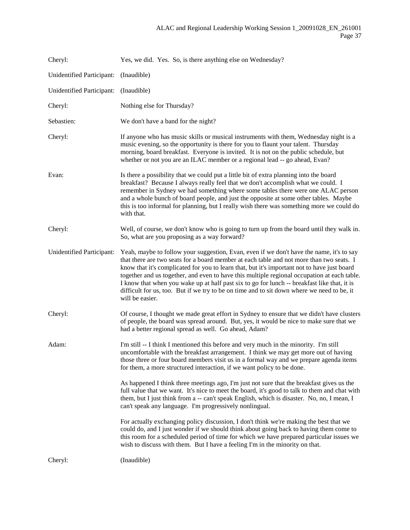| Cheryl:                          | Yes, we did. Yes. So, is there anything else on Wednesday?                                                                                                                                                                                                                                                                                                                                                                                                                                                                                                                                         |
|----------------------------------|----------------------------------------------------------------------------------------------------------------------------------------------------------------------------------------------------------------------------------------------------------------------------------------------------------------------------------------------------------------------------------------------------------------------------------------------------------------------------------------------------------------------------------------------------------------------------------------------------|
| <b>Unidentified Participant:</b> | (Inaudible)                                                                                                                                                                                                                                                                                                                                                                                                                                                                                                                                                                                        |
| <b>Unidentified Participant:</b> | (Inaudible)                                                                                                                                                                                                                                                                                                                                                                                                                                                                                                                                                                                        |
| Cheryl:                          | Nothing else for Thursday?                                                                                                                                                                                                                                                                                                                                                                                                                                                                                                                                                                         |
| Sebastien:                       | We don't have a band for the night?                                                                                                                                                                                                                                                                                                                                                                                                                                                                                                                                                                |
| Cheryl:                          | If anyone who has music skills or musical instruments with them, Wednesday night is a<br>music evening, so the opportunity is there for you to flaunt your talent. Thursday<br>morning, board breakfast. Everyone is invited. It is not on the public schedule, but<br>whether or not you are an ILAC member or a regional lead -- go ahead, Evan?                                                                                                                                                                                                                                                 |
| Evan:                            | Is there a possibility that we could put a little bit of extra planning into the board<br>breakfast? Because I always really feel that we don't accomplish what we could. I<br>remember in Sydney we had something where some tables there were one ALAC person<br>and a whole bunch of board people, and just the opposite at some other tables. Maybe<br>this is too informal for planning, but I really wish there was something more we could do<br>with that.                                                                                                                                 |
| Cheryl:                          | Well, of course, we don't know who is going to turn up from the board until they walk in.<br>So, what are you proposing as a way forward?                                                                                                                                                                                                                                                                                                                                                                                                                                                          |
| <b>Unidentified Participant:</b> | Yeah, maybe to follow your suggestion, Evan, even if we don't have the name, it's to say<br>that there are two seats for a board member at each table and not more than two seats. I<br>know that it's complicated for you to learn that, but it's important not to have just board<br>together and us together, and even to have this multiple regional occupation at each table.<br>I know that when you wake up at half past six to go for lunch -- breakfast like that, it is<br>difficult for us, too. But if we try to be on time and to sit down where we need to be, it<br>will be easier. |
| Cheryl:                          | Of course, I thought we made great effort in Sydney to ensure that we didn't have clusters<br>of people, the board was spread around. But, yes, it would be nice to make sure that we<br>had a better regional spread as well. Go ahead, Adam?                                                                                                                                                                                                                                                                                                                                                     |
| Adam:                            | I'm still -- I think I mentioned this before and very much in the minority. I'm still<br>uncomfortable with the breakfast arrangement. I think we may get more out of having<br>those three or four board members visit us in a formal way and we prepare agenda items<br>for them, a more structured interaction, if we want policy to be done.                                                                                                                                                                                                                                                   |
|                                  | As happened I think three meetings ago, I'm just not sure that the breakfast gives us the<br>full value that we want. It's nice to meet the board, it's good to talk to them and chat with<br>them, but I just think from a -- can't speak English, which is disaster. No, no, I mean, I<br>can't speak any language. I'm progressively nonlingual.                                                                                                                                                                                                                                                |
|                                  | For actually exchanging policy discussion, I don't think we're making the best that we<br>could do, and I just wonder if we should think about going back to having them come to<br>this room for a scheduled period of time for which we have prepared particular issues we<br>wish to discuss with them. But I have a feeling I'm in the minority on that.                                                                                                                                                                                                                                       |
| Cheryl:                          | (Inaudible)                                                                                                                                                                                                                                                                                                                                                                                                                                                                                                                                                                                        |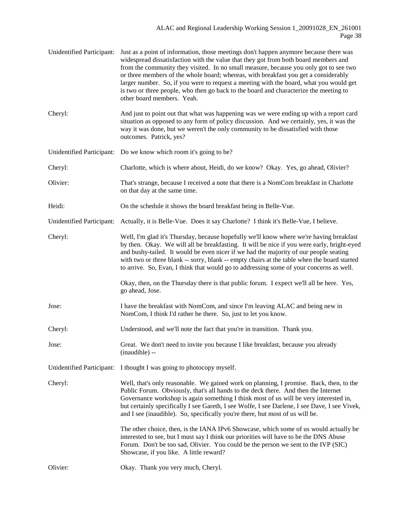| Unidentified Participant: | Just as a point of information, those meetings don't happen anymore because there was<br>widespread dissatisfaction with the value that they got from both board members and<br>from the community they visited. In no small measure, because you only got to see two<br>or three members of the whole board; whereas, with breakfast you get a considerably<br>larger number. So, if you were to request a meeting with the board, what you would get<br>is two or three people, who then go back to the board and characterize the meeting to<br>other board members. Yeah. |
|---------------------------|-------------------------------------------------------------------------------------------------------------------------------------------------------------------------------------------------------------------------------------------------------------------------------------------------------------------------------------------------------------------------------------------------------------------------------------------------------------------------------------------------------------------------------------------------------------------------------|
| Cheryl:                   | And just to point out that what was happening was we were ending up with a report card<br>situation as opposed to any form of policy discussion. And we certainly, yes, it was the<br>way it was done, but we weren't the only community to be dissatisfied with those<br>outcomes. Patrick, yes?                                                                                                                                                                                                                                                                             |
|                           | Unidentified Participant: Do we know which room it's going to be?                                                                                                                                                                                                                                                                                                                                                                                                                                                                                                             |
| Cheryl:                   | Charlotte, which is where about, Heidi, do we know? Okay. Yes, go ahead, Olivier?                                                                                                                                                                                                                                                                                                                                                                                                                                                                                             |
| Olivier:                  | That's strange, because I received a note that there is a NomCom breakfast in Charlotte<br>on that day at the same time.                                                                                                                                                                                                                                                                                                                                                                                                                                                      |
| Heidi:                    | On the schedule it shows the board breakfast being in Belle-Vue.                                                                                                                                                                                                                                                                                                                                                                                                                                                                                                              |
| Unidentified Participant: | Actually, it is Belle-Vue. Does it say Charlotte? I think it's Belle-Vue, I believe.                                                                                                                                                                                                                                                                                                                                                                                                                                                                                          |
| Cheryl:                   | Well, I'm glad it's Thursday, because hopefully we'll know where we're having breakfast<br>by then. Okay. We will all be breakfasting. It will be nice if you were early, bright-eyed<br>and bushy-tailed. It would be even nicer if we had the majority of our people seating<br>with two or three blank -- sorry, blank -- empty chairs at the table when the board started<br>to arrive. So, Evan, I think that would go to addressing some of your concerns as well.                                                                                                      |
|                           | Okay, then, on the Thursday there is that public forum. I expect we'll all be here. Yes,<br>go ahead, Jose.                                                                                                                                                                                                                                                                                                                                                                                                                                                                   |
| Jose:                     | I have the breakfast with NomCom, and since I'm leaving ALAC and being new in<br>NomCom, I think I'd rather be there. So, just to let you know.                                                                                                                                                                                                                                                                                                                                                                                                                               |
| Cheryl:                   | Understood, and we'll note the fact that you're in transition. Thank you.                                                                                                                                                                                                                                                                                                                                                                                                                                                                                                     |
| Jose:                     | Great. We don't need to invite you because I like breakfast, because you already<br>(inaudible) --                                                                                                                                                                                                                                                                                                                                                                                                                                                                            |
|                           | Unidentified Participant: I thought I was going to photocopy myself.                                                                                                                                                                                                                                                                                                                                                                                                                                                                                                          |
| Cheryl:                   | Well, that's only reasonable. We gained work on planning, I promise. Back, then, to the<br>Public Forum. Obviously, that's all hands to the deck there. And then the Internet<br>Governance workshop is again something I think most of us will be very interested in,<br>but certainly specifically I see Gareth, I see Wolfe, I see Darlene, I see Dave, I see Vivek,<br>and I see (inaudible). So, specifically you're there, but most of us will be.                                                                                                                      |
|                           | The other choice, then, is the IANA IPv6 Showcase, which some of us would actually be<br>interested to see, but I must say I think our priorities will have to be the DNS Abuse<br>Forum. Don't be too sad, Olivier. You could be the person we sent to the IVP (SIC)<br>Showcase, if you like. A little reward?                                                                                                                                                                                                                                                              |
| Olivier:                  | Okay. Thank you very much, Cheryl.                                                                                                                                                                                                                                                                                                                                                                                                                                                                                                                                            |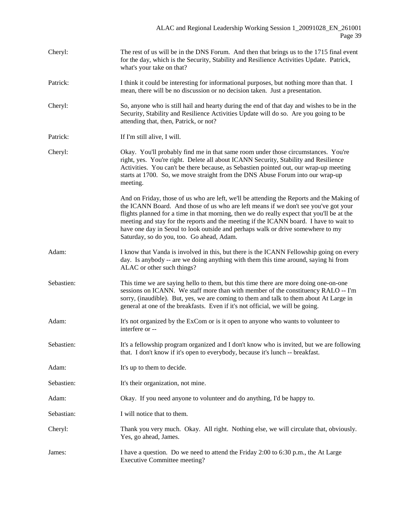| Cheryl:    | The rest of us will be in the DNS Forum. And then that brings us to the 1715 final event<br>for the day, which is the Security, Stability and Resilience Activities Update. Patrick,<br>what's your take on that?                                                                                                                                                                                                                                                                                        |
|------------|----------------------------------------------------------------------------------------------------------------------------------------------------------------------------------------------------------------------------------------------------------------------------------------------------------------------------------------------------------------------------------------------------------------------------------------------------------------------------------------------------------|
| Patrick:   | I think it could be interesting for informational purposes, but nothing more than that. I<br>mean, there will be no discussion or no decision taken. Just a presentation.                                                                                                                                                                                                                                                                                                                                |
| Cheryl:    | So, anyone who is still hail and hearty during the end of that day and wishes to be in the<br>Security, Stability and Resilience Activities Update will do so. Are you going to be<br>attending that, then, Patrick, or not?                                                                                                                                                                                                                                                                             |
| Patrick:   | If I'm still alive, I will.                                                                                                                                                                                                                                                                                                                                                                                                                                                                              |
| Cheryl:    | Okay. You'll probably find me in that same room under those circumstances. You're<br>right, yes. You're right. Delete all about ICANN Security, Stability and Resilience<br>Activities. You can't be there because, as Sebastien pointed out, our wrap-up meeting<br>starts at 1700. So, we move straight from the DNS Abuse Forum into our wrap-up<br>meeting.                                                                                                                                          |
|            | And on Friday, those of us who are left, we'll be attending the Reports and the Making of<br>the ICANN Board. And those of us who are left means if we don't see you've got your<br>flights planned for a time in that morning, then we do really expect that you'll be at the<br>meeting and stay for the reports and the meeting if the ICANN board. I have to wait to<br>have one day in Seoul to look outside and perhaps walk or drive somewhere to my<br>Saturday, so do you, too. Go ahead, Adam. |
| Adam:      | I know that Vanda is involved in this, but there is the ICANN Fellowship going on every<br>day. Is anybody -- are we doing anything with them this time around, saying hi from<br>ALAC or other such things?                                                                                                                                                                                                                                                                                             |
| Sebastien: | This time we are saying hello to them, but this time there are more doing one-on-one<br>sessions on ICANN. We staff more than with member of the constituency RALO -- I'm<br>sorry, (inaudible). But, yes, we are coming to them and talk to them about At Large in<br>general at one of the breakfasts. Even if it's not official, we will be going.                                                                                                                                                    |
| Adam:      | It's not organized by the ExCom or is it open to anyone who wants to volunteer to<br>interfere or --                                                                                                                                                                                                                                                                                                                                                                                                     |
| Sebastien: | It's a fellowship program organized and I don't know who is invited, but we are following<br>that. I don't know if it's open to everybody, because it's lunch -- breakfast.                                                                                                                                                                                                                                                                                                                              |
| Adam:      | It's up to them to decide.                                                                                                                                                                                                                                                                                                                                                                                                                                                                               |
| Sebastien: | It's their organization, not mine.                                                                                                                                                                                                                                                                                                                                                                                                                                                                       |
| Adam:      | Okay. If you need anyone to volunteer and do anything, I'd be happy to.                                                                                                                                                                                                                                                                                                                                                                                                                                  |
| Sebastian: | I will notice that to them.                                                                                                                                                                                                                                                                                                                                                                                                                                                                              |
| Cheryl:    | Thank you very much. Okay. All right. Nothing else, we will circulate that, obviously.<br>Yes, go ahead, James.                                                                                                                                                                                                                                                                                                                                                                                          |
| James:     | I have a question. Do we need to attend the Friday 2:00 to 6:30 p.m., the At Large<br><b>Executive Committee meeting?</b>                                                                                                                                                                                                                                                                                                                                                                                |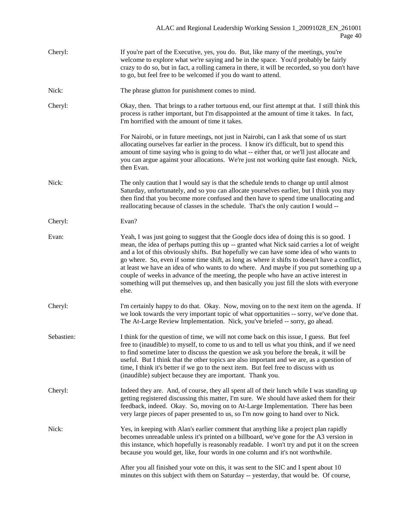| Cheryl:    | If you're part of the Executive, yes, you do. But, like many of the meetings, you're<br>welcome to explore what we're saying and be in the space. You'd probably be fairly<br>crazy to do so, but in fact, a rolling camera in there, it will be recorded, so you don't have<br>to go, but feel free to be welcomed if you do want to attend.                                                                                                                                                                                                                                                                                                                               |
|------------|-----------------------------------------------------------------------------------------------------------------------------------------------------------------------------------------------------------------------------------------------------------------------------------------------------------------------------------------------------------------------------------------------------------------------------------------------------------------------------------------------------------------------------------------------------------------------------------------------------------------------------------------------------------------------------|
| Nick:      | The phrase glutton for punishment comes to mind.                                                                                                                                                                                                                                                                                                                                                                                                                                                                                                                                                                                                                            |
| Cheryl:    | Okay, then. That brings to a rather tortuous end, our first attempt at that. I still think this<br>process is rather important, but I'm disappointed at the amount of time it takes. In fact,<br>I'm horrified with the amount of time it takes.                                                                                                                                                                                                                                                                                                                                                                                                                            |
|            | For Nairobi, or in future meetings, not just in Nairobi, can I ask that some of us start<br>allocating ourselves far earlier in the process. I know it's difficult, but to spend this<br>amount of time saying who is going to do what -- either that, or we'll just allocate and<br>you can argue against your allocations. We're just not working quite fast enough. Nick,<br>then Evan.                                                                                                                                                                                                                                                                                  |
| Nick:      | The only caution that I would say is that the schedule tends to change up until almost<br>Saturday, unfortunately, and so you can allocate yourselves earlier, but I think you may<br>then find that you become more confused and then have to spend time unallocating and<br>reallocating because of classes in the schedule. That's the only caution I would --                                                                                                                                                                                                                                                                                                           |
| Cheryl:    | Evan?                                                                                                                                                                                                                                                                                                                                                                                                                                                                                                                                                                                                                                                                       |
| Evan:      | Yeah, I was just going to suggest that the Google docs idea of doing this is so good. I<br>mean, the idea of perhaps putting this up -- granted what Nick said carries a lot of weight<br>and a lot of this obviously shifts. But hopefully we can have some idea of who wants to<br>go where. So, even if some time shift, as long as where it shifts to doesn't have a conflict,<br>at least we have an idea of who wants to do where. And maybe if you put something up a<br>couple of weeks in advance of the meeting, the people who have an active interest in<br>something will put themselves up, and then basically you just fill the slots with everyone<br>else. |
| Cheryl:    | I'm certainly happy to do that. Okay. Now, moving on to the next item on the agenda. If<br>we look towards the very important topic of what opportunities -- sorry, we've done that.<br>The At-Large Review Implementation. Nick, you've briefed -- sorry, go ahead.                                                                                                                                                                                                                                                                                                                                                                                                        |
| Sebastien: | I think for the question of time, we will not come back on this issue, I guess. But feel<br>free to (inaudible) to myself, to come to us and to tell us what you think, and if we need<br>to find sometime later to discuss the question we ask you before the break, it will be<br>useful. But I think that the other topics are also important and we are, as a question of<br>time, I think it's better if we go to the next item. But feel free to discuss with us<br>(inaudible) subject because they are important. Thank you.                                                                                                                                        |
| Cheryl:    | Indeed they are. And, of course, they all spent all of their lunch while I was standing up<br>getting registered discussing this matter, I'm sure. We should have asked them for their<br>feedback, indeed. Okay. So, moving on to At-Large Implementation. There has been<br>very large pieces of paper presented to us, so I'm now going to hand over to Nick.                                                                                                                                                                                                                                                                                                            |
| Nick:      | Yes, in keeping with Alan's earlier comment that anything like a project plan rapidly<br>becomes unreadable unless it's printed on a billboard, we've gone for the A3 version in<br>this instance, which hopefully is reasonably readable. I won't try and put it on the screen<br>because you would get, like, four words in one column and it's not worthwhile.                                                                                                                                                                                                                                                                                                           |
|            | After you all finished your vote on this, it was sent to the SIC and I spent about 10<br>minutes on this subject with them on Saturday -- yesterday, that would be. Of course,                                                                                                                                                                                                                                                                                                                                                                                                                                                                                              |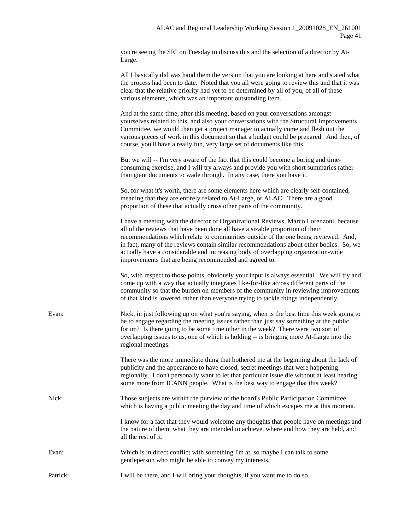you're seeing the SIC on Tuesday to discuss this and the selection of a director by At-Large.

|       | All I basically did was hand them the version that you are looking at here and stated what<br>the process had been to date. Noted that you all were going to review this and that it was<br>clear that the relative priority had yet to be determined by all of you, of all of these<br>various elements, which was an important outstanding item.                                                                                                                                                       |
|-------|----------------------------------------------------------------------------------------------------------------------------------------------------------------------------------------------------------------------------------------------------------------------------------------------------------------------------------------------------------------------------------------------------------------------------------------------------------------------------------------------------------|
|       | And at the same time, after this meeting, based on your conversations amongst<br>yourselves related to this, and also your conversations with the Structural Improvements<br>Committee, we would then get a project manager to actually come and flesh out the<br>various pieces of work in this document so that a budget could be prepared. And then, of<br>course, you'll have a really fun, very large set of documents like this.                                                                   |
|       | But we will -- I'm very aware of the fact that this could become a boring and time-<br>consuming exercise, and I will try always and provide you with short summaries rather<br>than giant documents to wade through. In any case, there you have it.                                                                                                                                                                                                                                                    |
|       | So, for what it's worth, there are some elements here which are clearly self-contained,<br>meaning that they are entirely related to At-Large, or ALAC. There are a good<br>proportion of these that actually cross other parts of the community.                                                                                                                                                                                                                                                        |
|       | I have a meeting with the director of Organizational Reviews, Marco Lorenzoni, because<br>all of the reviews that have been done all have a sizable proportion of their<br>recommendations which relate to communities outside of the one being reviewed. And,<br>in fact, many of the reviews contain similar recommendations about other bodies. So, we<br>actually have a considerable and increasing body of overlapping organization-wide<br>improvements that are being recommended and agreed to. |
|       | So, with respect to those points, obviously your input is always essential. We will try and<br>come up with a way that actually integrates like-for-like across different parts of the<br>community so that the burden on members of the community in reviewing improvements<br>of that kind is lowered rather than everyone trying to tackle things independently.                                                                                                                                      |
| Evan: | Nick, in just following up on what you're saying, when is the best time this week going to<br>be to engage regarding the meeting issues rather than just say something at the public<br>forum? Is there going to be some time other in the week? There were two sort of<br>overlapping issues to us, one of which is holding -- is bringing more At-Large into the<br>regional meetings.                                                                                                                 |
|       | There was the more immediate thing that bothered me at the beginning about the lack of<br>publicity and the appearance to have closed, secret meetings that were happening<br>regionally. I don't personally want to let that particular issue die without at least hearing<br>some more from ICANN people. What is the best way to engage that this week?                                                                                                                                               |
| Nick: | Those subjects are within the purview of the board's Public Participation Committee,<br>which is having a public meeting the day and time of which escapes me at this moment.                                                                                                                                                                                                                                                                                                                            |
|       | I know for a fact that they would welcome any thoughts that people have on meetings and                                                                                                                                                                                                                                                                                                                                                                                                                  |

the nature of them, what they are intended to achieve, where and how they are held, and all the rest of it.

- Evan: Which is in direct conflict with something I'm at, so maybe I can talk to some gentleperson who might be able to convey my interests.
- Patrick: I will be there, and I will bring your thoughts, if you want me to do so.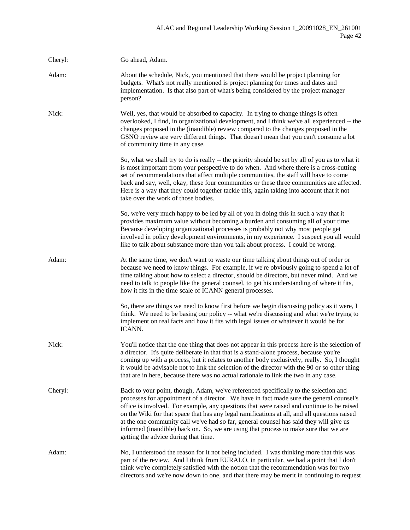| Cheryl: | Go ahead, Adam.                                                                                                                                                                                                                                                                                                                                                                                                                                                                                                                                                                                         |
|---------|---------------------------------------------------------------------------------------------------------------------------------------------------------------------------------------------------------------------------------------------------------------------------------------------------------------------------------------------------------------------------------------------------------------------------------------------------------------------------------------------------------------------------------------------------------------------------------------------------------|
| Adam:   | About the schedule, Nick, you mentioned that there would be project planning for<br>budgets. What's not really mentioned is project planning for times and dates and<br>implementation. Is that also part of what's being considered by the project manager<br>person?                                                                                                                                                                                                                                                                                                                                  |
| Nick:   | Well, yes, that would be absorbed to capacity. In trying to change things is often<br>overlooked, I find, in organizational development, and I think we've all experienced -- the<br>changes proposed in the (inaudible) review compared to the changes proposed in the<br>GSNO review are very different things. That doesn't mean that you can't consume a lot<br>of community time in any case.                                                                                                                                                                                                      |
|         | So, what we shall try to do is really -- the priority should be set by all of you as to what it<br>is most important from your perspective to do when. And where there is a cross-cutting<br>set of recommendations that affect multiple communities, the staff will have to come<br>back and say, well, okay, these four communities or these three communities are affected.<br>Here is a way that they could together tackle this, again taking into account that it not<br>take over the work of those bodies.                                                                                      |
|         | So, we're very much happy to be led by all of you in doing this in such a way that it<br>provides maximum value without becoming a burden and consuming all of your time.<br>Because developing organizational processes is probably not why most people get<br>involved in policy development environments, in my experience. I suspect you all would<br>like to talk about substance more than you talk about process. I could be wrong.                                                                                                                                                              |
| Adam:   | At the same time, we don't want to waste our time talking about things out of order or<br>because we need to know things. For example, if we're obviously going to spend a lot of<br>time talking about how to select a director, should be directors, but never mind. And we<br>need to talk to people like the general counsel, to get his understanding of where it fits,<br>how it fits in the time scale of ICANN general processes.                                                                                                                                                               |
|         | So, there are things we need to know first before we begin discussing policy as it were, I<br>think. We need to be basing our policy -- what we're discussing and what we're trying to<br>implement on real facts and how it fits with legal issues or whatever it would be for<br>ICANN.                                                                                                                                                                                                                                                                                                               |
| Nick:   | You'll notice that the one thing that does not appear in this process here is the selection of<br>a director. It's quite deliberate in that that is a stand-alone process, because you're<br>coming up with a process, but it relates to another body exclusively, really. So, I thought<br>it would be advisable not to link the selection of the director with the 90 or so other thing<br>that are in here, because there was no actual rationale to link the two in any case.                                                                                                                       |
| Cheryl: | Back to your point, though, Adam, we've referenced specifically to the selection and<br>processes for appointment of a director. We have in fact made sure the general counsel's<br>office is involved. For example, any questions that were raised and continue to be raised<br>on the Wiki for that space that has any legal ramifications at all, and all questions raised<br>at the one community call we've had so far, general counsel has said they will give us<br>informed (inaudible) back on. So, we are using that process to make sure that we are<br>getting the advice during that time. |
| Adam:   | No, I understood the reason for it not being included. I was thinking more that this was<br>part of the review. And I think from EURALO, in particular, we had a point that I don't<br>think we're completely satisfied with the notion that the recommendation was for two<br>directors and we're now down to one, and that there may be merit in continuing to request                                                                                                                                                                                                                                |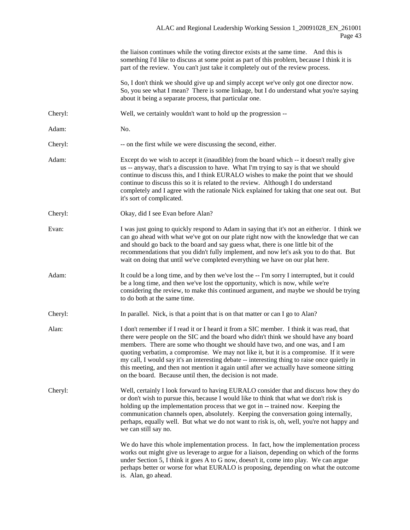|         | the liaison continues while the voting director exists at the same time. And this is<br>something I'd like to discuss at some point as part of this problem, because I think it is<br>part of the review. You can't just take it completely out of the review process.                                                                                                                                                                                                                                                                                                                                                  |
|---------|-------------------------------------------------------------------------------------------------------------------------------------------------------------------------------------------------------------------------------------------------------------------------------------------------------------------------------------------------------------------------------------------------------------------------------------------------------------------------------------------------------------------------------------------------------------------------------------------------------------------------|
|         | So, I don't think we should give up and simply accept we've only got one director now.<br>So, you see what I mean? There is some linkage, but I do understand what you're saying<br>about it being a separate process, that particular one.                                                                                                                                                                                                                                                                                                                                                                             |
| Cheryl: | Well, we certainly wouldn't want to hold up the progression --                                                                                                                                                                                                                                                                                                                                                                                                                                                                                                                                                          |
| Adam:   | No.                                                                                                                                                                                                                                                                                                                                                                                                                                                                                                                                                                                                                     |
| Cheryl: | -- on the first while we were discussing the second, either.                                                                                                                                                                                                                                                                                                                                                                                                                                                                                                                                                            |
| Adam:   | Except do we wish to accept it (inaudible) from the board which -- it doesn't really give<br>us -- anyway, that's a discussion to have. What I'm trying to say is that we should<br>continue to discuss this, and I think EURALO wishes to make the point that we should<br>continue to discuss this so it is related to the review. Although I do understand<br>completely and I agree with the rationale Nick explained for taking that one seat out. But<br>it's sort of complicated.                                                                                                                                |
| Cheryl: | Okay, did I see Evan before Alan?                                                                                                                                                                                                                                                                                                                                                                                                                                                                                                                                                                                       |
| Evan:   | I was just going to quickly respond to Adam in saying that it's not an either/or. I think we<br>can go ahead with what we've got on our plate right now with the knowledge that we can<br>and should go back to the board and say guess what, there is one little bit of the<br>recommendations that you didn't fully implement, and now let's ask you to do that. But<br>wait on doing that until we've completed everything we have on our plat here.                                                                                                                                                                 |
| Adam:   | It could be a long time, and by then we've lost the -- I'm sorry I interrupted, but it could<br>be a long time, and then we've lost the opportunity, which is now, while we're<br>considering the review, to make this continued argument, and maybe we should be trying<br>to do both at the same time.                                                                                                                                                                                                                                                                                                                |
| Cheryl: | In parallel. Nick, is that a point that is on that matter or can I go to Alan?                                                                                                                                                                                                                                                                                                                                                                                                                                                                                                                                          |
| Alan:   | I don't remember if I read it or I heard it from a SIC member. I think it was read, that<br>there were people on the SIC and the board who didn't think we should have any board<br>members. There are some who thought we should have two, and one was, and I am<br>quoting verbatim, a compromise. We may not like it, but it is a compromise. If it were<br>my call, I would say it's an interesting debate -- interesting thing to raise once quietly in<br>this meeting, and then not mention it again until after we actually have someone sitting<br>on the board. Because until then, the decision is not made. |
| Cheryl: | Well, certainly I look forward to having EURALO consider that and discuss how they do<br>or don't wish to pursue this, because I would like to think that what we don't risk is<br>holding up the implementation process that we got in -- trained now. Keeping the<br>communication channels open, absolutely. Keeping the conversation going internally,<br>perhaps, equally well. But what we do not want to risk is, oh, well, you're not happy and<br>we can still say no.                                                                                                                                         |
|         | We do have this whole implementation process. In fact, how the implementation process<br>works out might give us leverage to argue for a liaison, depending on which of the forms<br>under Section 5, I think it goes A to G now, doesn't it, come into play. We can argue<br>perhaps better or worse for what EURALO is proposing, depending on what the outcome<br>is. Alan, go ahead.                                                                                                                                                                                                                                |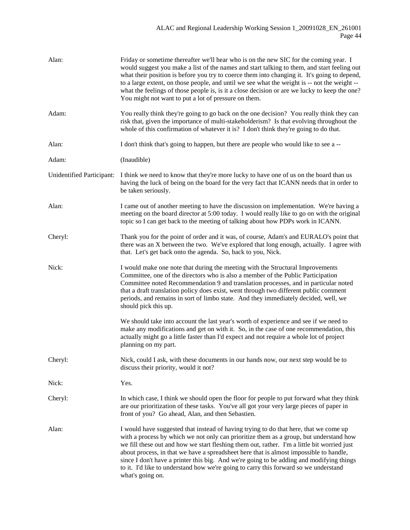| Alan:                     | Friday or sometime thereafter we'll hear who is on the new SIC for the coming year. I<br>would suggest you make a list of the names and start talking to them, and start feeling out<br>what their position is before you try to coerce them into changing it. It's going to depend,<br>to a large extent, on those people, and until we see what the weight is -- not the weight --<br>what the feelings of those people is, is it a close decision or are we lucky to keep the one?<br>You might not want to put a lot of pressure on them.                                    |
|---------------------------|----------------------------------------------------------------------------------------------------------------------------------------------------------------------------------------------------------------------------------------------------------------------------------------------------------------------------------------------------------------------------------------------------------------------------------------------------------------------------------------------------------------------------------------------------------------------------------|
| Adam:                     | You really think they're going to go back on the one decision? You really think they can<br>risk that, given the importance of multi-stakeholderism? Is that evolving throughout the<br>whole of this confirmation of whatever it is? I don't think they're going to do that.                                                                                                                                                                                                                                                                                                    |
| Alan:                     | I don't think that's going to happen, but there are people who would like to see a --                                                                                                                                                                                                                                                                                                                                                                                                                                                                                            |
| Adam:                     | (Inaudible)                                                                                                                                                                                                                                                                                                                                                                                                                                                                                                                                                                      |
| Unidentified Participant: | I think we need to know that they're more lucky to have one of us on the board than us<br>having the luck of being on the board for the very fact that ICANN needs that in order to<br>be taken seriously.                                                                                                                                                                                                                                                                                                                                                                       |
| Alan:                     | I came out of another meeting to have the discussion on implementation. We're having a<br>meeting on the board director at 5:00 today. I would really like to go on with the original<br>topic so I can get back to the meeting of talking about how PDPs work in ICANN.                                                                                                                                                                                                                                                                                                         |
| Cheryl:                   | Thank you for the point of order and it was, of course, Adam's and EURALO's point that<br>there was an X between the two. We've explored that long enough, actually. I agree with<br>that. Let's get back onto the agenda. So, back to you, Nick.                                                                                                                                                                                                                                                                                                                                |
| Nick:                     | I would make one note that during the meeting with the Structural Improvements<br>Committee, one of the directors who is also a member of the Public Participation<br>Committee noted Recommendation 9 and translation processes, and in particular noted<br>that a draft translation policy does exist, went through two different public comment<br>periods, and remains in sort of limbo state. And they immediately decided, well, we<br>should pick this up.                                                                                                                |
|                           | We should take into account the last year's worth of experience and see if we need to<br>make any modifications and get on with it. So, in the case of one recommendation, this<br>actually might go a little faster than I'd expect and not require a whole lot of project<br>planning on my part.                                                                                                                                                                                                                                                                              |
| Cheryl:                   | Nick, could I ask, with these documents in our hands now, our next step would be to<br>discuss their priority, would it not?                                                                                                                                                                                                                                                                                                                                                                                                                                                     |
| Nick:                     | Yes.                                                                                                                                                                                                                                                                                                                                                                                                                                                                                                                                                                             |
| Cheryl:                   | In which case, I think we should open the floor for people to put forward what they think<br>are our prioritization of these tasks. You've all got your very large pieces of paper in<br>front of you? Go ahead, Alan, and then Sebastien.                                                                                                                                                                                                                                                                                                                                       |
| Alan:                     | I would have suggested that instead of having trying to do that here, that we come up<br>with a process by which we not only can prioritize them as a group, but understand how<br>we fill these out and how we start fleshing them out, rather. I'm a little bit worried just<br>about process, in that we have a spreadsheet here that is almost impossible to handle,<br>since I don't have a printer this big. And we're going to be adding and modifying things<br>to it. I'd like to understand how we're going to carry this forward so we understand<br>what's going on. |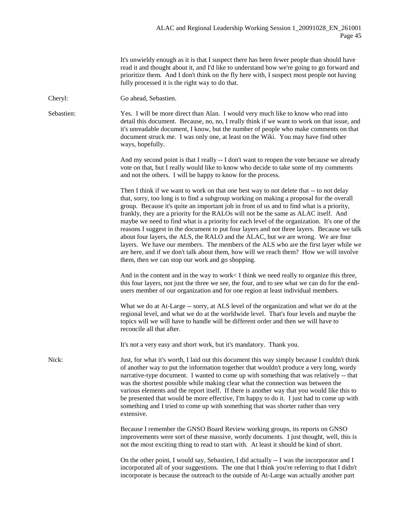|            | It's unwieldy enough as it is that I suspect there has been fewer people than should have<br>read it and thought about it, and I'd like to understand how we're going to go forward and<br>prioritize them. And I don't think on the fly here with, I suspect most people not having<br>fully processed it is the right way to do that.                                                                                                                                                                                                                                                                                                                                                                                                                                                                                                                                                         |
|------------|-------------------------------------------------------------------------------------------------------------------------------------------------------------------------------------------------------------------------------------------------------------------------------------------------------------------------------------------------------------------------------------------------------------------------------------------------------------------------------------------------------------------------------------------------------------------------------------------------------------------------------------------------------------------------------------------------------------------------------------------------------------------------------------------------------------------------------------------------------------------------------------------------|
| Cheryl:    | Go ahead, Sebastien.                                                                                                                                                                                                                                                                                                                                                                                                                                                                                                                                                                                                                                                                                                                                                                                                                                                                            |
| Sebastien: | Yes. I will be more direct than Alan. I would very much like to know who read into<br>detail this document. Because, no, no, I really think if we want to work on that issue, and<br>it's unreadable document, I know, but the number of people who make comments on that<br>document struck me. I was only one, at least on the Wiki. You may have find other<br>ways, hopefully.                                                                                                                                                                                                                                                                                                                                                                                                                                                                                                              |
|            | And my second point is that I really -- I don't want to reopen the vote because we already<br>vote on that, but I really would like to know who decide to take some of my comments<br>and not the others. I will be happy to know for the process.                                                                                                                                                                                                                                                                                                                                                                                                                                                                                                                                                                                                                                              |
|            | Then I think if we want to work on that one best way to not delete that -- to not delay<br>that, sorry, too long is to find a subgroup working on making a proposal for the overall<br>group. Because it's quite an important job in front of us and to find what is a priority,<br>frankly, they are a priority for the RALOs will not be the same as ALAC itself. And<br>maybe we need to find what is a priority for each level of the organization. It's one of the<br>reasons I suggest in the document to put four layers and not three layers. Because we talk<br>about four layers, the ALS, the RALO and the ALAC, but we are wrong. We are four<br>layers. We have our members. The members of the ALS who are the first layer while we<br>are here, and if we don't talk about them, how will we reach them? How we will involve<br>them, then we can stop our work and go shopping. |
|            | And in the content and in the way to work $\leq I$ think we need really to organize this three,<br>this four layers, not just the three we see, the four, and to see what we can do for the end-<br>users member of our organization and for one region at least individual members.                                                                                                                                                                                                                                                                                                                                                                                                                                                                                                                                                                                                            |
|            | What we do at At-Large -- sorry, at ALS level of the organization and what we do at the<br>regional level, and what we do at the worldwide level. That's four levels and maybe the<br>topics will we will have to handle will be different order and then we will have to<br>reconcile all that after.                                                                                                                                                                                                                                                                                                                                                                                                                                                                                                                                                                                          |
|            | It's not a very easy and short work, but it's mandatory. Thank you.                                                                                                                                                                                                                                                                                                                                                                                                                                                                                                                                                                                                                                                                                                                                                                                                                             |
| Nick:      | Just, for what it's worth, I laid out this document this way simply because I couldn't think<br>of another way to put the information together that wouldn't produce a very long, wordy<br>narrative-type document. I wanted to come up with something that was relatively -- that<br>was the shortest possible while making clear what the connection was between the<br>various elements and the report itself. If there is another way that you would like this to<br>be presented that would be more effective, I'm happy to do it. I just had to come up with<br>something and I tried to come up with something that was shorter rather than very<br>extensive.                                                                                                                                                                                                                           |
|            | Because I remember the GNSO Board Review working groups, its reports on GNSO<br>improvements were sort of these massive, wordy documents. I just thought, well, this is<br>not the most exciting thing to read to start with. At least it should be kind of short.                                                                                                                                                                                                                                                                                                                                                                                                                                                                                                                                                                                                                              |
|            | On the other point, I would say, Sebastien, I did actually -- I was the incorporator and I<br>incorporated all of your suggestions. The one that I think you're referring to that I didn't<br>incorporate is because the outreach to the outside of At-Large was actually another part                                                                                                                                                                                                                                                                                                                                                                                                                                                                                                                                                                                                          |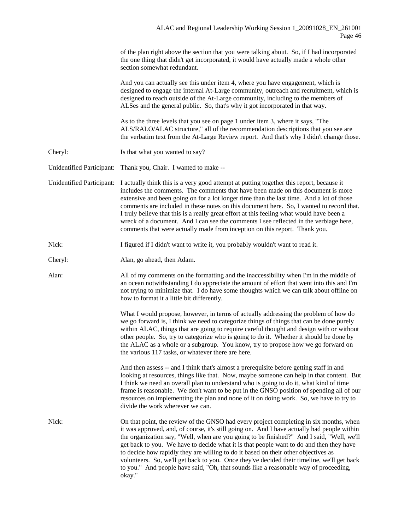| of the plan right above the section that you were talking about. So, if I had incorporated |
|--------------------------------------------------------------------------------------------|
| the one thing that didn't get incorporated, it would have actually made a whole other      |
| section somewhat redundant.                                                                |

And you can actually see this under item 4, where you have engagement, which is designed to engage the internal At-Large community, outreach and recruitment, which is designed to reach outside of the At-Large community, including to the members of ALSes and the general public. So, that's why it got incorporated in that way.

As to the three levels that you see on page 1 under item 3, where it says, "The ALS/RALO/ALAC structure," all of the recommendation descriptions that you see are the verbatim text from the At-Large Review report. And that's why I didn't change those.

Cheryl: Is that what you wanted to say?

Unidentified Participant: Thank you, Chair. I wanted to make --

Unidentified Participant: I actually think this is a very good attempt at putting together this report, because it includes the comments. The comments that have been made on this document is more extensive and been going on for a lot longer time than the last time. And a lot of those comments are included in these notes on this document here. So, I wanted to record that. I truly believe that this is a really great effort at this feeling what would have been a wreck of a document. And I can see the comments I see reflected in the verbiage here, comments that were actually made from inception on this report. Thank you.

Nick: I figured if I didn't want to write it, you probably wouldn't want to read it.

Cheryl: Alan, go ahead, then Adam.

Alan: All of my comments on the formatting and the inaccessibility when I'm in the middle of an ocean notwithstanding I do appreciate the amount of effort that went into this and I'm not trying to minimize that. I do have some thoughts which we can talk about offline on how to format it a little bit differently.

> What I would propose, however, in terms of actually addressing the problem of how do we go forward is, I think we need to categorize things of things that can be done purely within ALAC, things that are going to require careful thought and design with or without other people. So, try to categorize who is going to do it. Whether it should be done by the ALAC as a whole or a subgroup. You know, try to propose how we go forward on the various 117 tasks, or whatever there are here.

> And then assess -- and I think that's almost a prerequisite before getting staff in and looking at resources, things like that. Now, maybe someone can help in that content. But I think we need an overall plan to understand who is going to do it, what kind of time frame is reasonable. We don't want to be put in the GNSO position of spending all of our resources on implementing the plan and none of it on doing work. So, we have to try to divide the work wherever we can.

Nick: On that point, the review of the GNSO had every project completing in six months, when it was approved, and, of course, it's still going on. And I have actually had people within the organization say, "Well, when are you going to be finished?" And I said, "Well, we'll get back to you. We have to decide what it is that people want to do and then they have to decide how rapidly they are willing to do it based on their other objectives as volunteers. So, we'll get back to you. Once they've decided their timeline, we'll get back to you." And people have said, "Oh, that sounds like a reasonable way of proceeding, okay."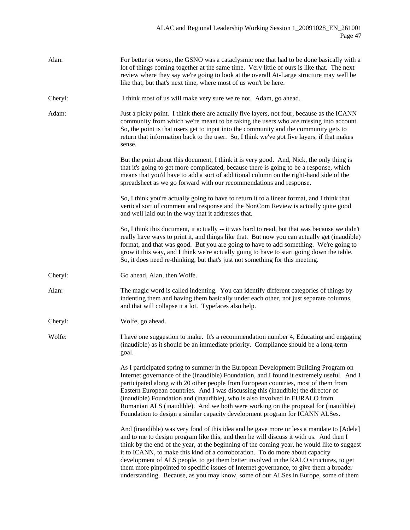| Alan:   | For better or worse, the GSNO was a cataclysmic one that had to be done basically with a<br>lot of things coming together at the same time. Very little of ours is like that. The next<br>review where they say we're going to look at the overall At-Large structure may well be<br>like that, but that's next time, where most of us won't be here.                                                                                                                                                                                                                                                                                      |
|---------|--------------------------------------------------------------------------------------------------------------------------------------------------------------------------------------------------------------------------------------------------------------------------------------------------------------------------------------------------------------------------------------------------------------------------------------------------------------------------------------------------------------------------------------------------------------------------------------------------------------------------------------------|
| Cheryl: | I think most of us will make very sure we're not. Adam, go ahead.                                                                                                                                                                                                                                                                                                                                                                                                                                                                                                                                                                          |
| Adam:   | Just a picky point. I think there are actually five layers, not four, because as the ICANN<br>community from which we're meant to be taking the users who are missing into account.<br>So, the point is that users get to input into the community and the community gets to<br>return that information back to the user. So, I think we've got five layers, if that makes<br>sense.                                                                                                                                                                                                                                                       |
|         | But the point about this document, I think it is very good. And, Nick, the only thing is<br>that it's going to get more complicated, because there is going to be a response, which<br>means that you'd have to add a sort of additional column on the right-hand side of the<br>spreadsheet as we go forward with our recommendations and response.                                                                                                                                                                                                                                                                                       |
|         | So, I think you're actually going to have to return it to a linear format, and I think that<br>vertical sort of comment and response and the NonCom Review is actually quite good<br>and well laid out in the way that it addresses that.                                                                                                                                                                                                                                                                                                                                                                                                  |
|         | So, I think this document, it actually -- it was hard to read, but that was because we didn't<br>really have ways to print it, and things like that. But now you can actually get (inaudible)<br>format, and that was good. But you are going to have to add something. We're going to<br>grow it this way, and I think we're actually going to have to start going down the table.<br>So, it does need re-thinking, but that's just not something for this meeting.                                                                                                                                                                       |
| Cheryl: | Go ahead, Alan, then Wolfe.                                                                                                                                                                                                                                                                                                                                                                                                                                                                                                                                                                                                                |
| Alan:   | The magic word is called indenting. You can identify different categories of things by<br>indenting them and having them basically under each other, not just separate columns,<br>and that will collapse it a lot. Typefaces also help.                                                                                                                                                                                                                                                                                                                                                                                                   |
| Cheryl: | Wolfe, go ahead.                                                                                                                                                                                                                                                                                                                                                                                                                                                                                                                                                                                                                           |
| Wolfe:  | I have one suggestion to make. It's a recommendation number 4, Educating and engaging<br>(inaudible) as it should be an immediate priority. Compliance should be a long-term<br>goal.                                                                                                                                                                                                                                                                                                                                                                                                                                                      |
|         | As I participated spring to summer in the European Development Building Program on<br>Internet governance of the (inaudible) Foundation, and I found it extremely useful. And I<br>participated along with 20 other people from European countries, most of them from<br>Eastern European countries. And I was discussing this (inaudible) the director of<br>(inaudible) Foundation and (inaudible), who is also involved in EURALO from<br>Romanian ALS (inaudible). And we both were working on the proposal for (inaudible)<br>Foundation to design a similar capacity development program for ICANN ALSes.                            |
|         | And (inaudible) was very fond of this idea and he gave more or less a mandate to [Adela]<br>and to me to design program like this, and then he will discuss it with us. And then I<br>think by the end of the year, at the beginning of the coming year, he would like to suggest<br>it to ICANN, to make this kind of a corroboration. To do more about capacity<br>development of ALS people, to get them better involved in the RALO structures, to get<br>them more pinpointed to specific issues of Internet governance, to give them a broader<br>understanding. Because, as you may know, some of our ALSes in Europe, some of them |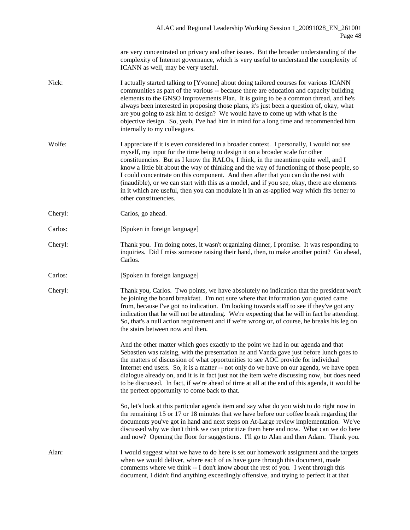are very concentrated on privacy and other issues. But the broader understanding of the complexity of Internet governance, which is very useful to understand the complexity of ICANN as well, may be very useful.

- Nick: I actually started talking to [Yvonne] about doing tailored courses for various ICANN communities as part of the various -- because there are education and capacity building elements to the GNSO Improvements Plan. It is going to be a common thread, and he's always been interested in proposing those plans, it's just been a question of, okay, what are you going to ask him to design? We would have to come up with what is the objective design. So, yeah, I've had him in mind for a long time and recommended him internally to my colleagues.
- Wolfe: I appreciate if it is even considered in a broader context. I personally, I would not see myself, my input for the time being to design it on a broader scale for other constituencies. But as I know the RALOs, I think, in the meantime quite well, and I know a little bit about the way of thinking and the way of functioning of those people, so I could concentrate on this component. And then after that you can do the rest with (inaudible), or we can start with this as a model, and if you see, okay, there are elements in it which are useful, then you can modulate it in an as-applied way which fits better to other constituencies.
- Cheryl: Carlos, go ahead.
- Carlos: [Spoken in foreign language]
- Cheryl: Thank you. I'm doing notes, it wasn't organizing dinner, I promise. It was responding to inquiries. Did I miss someone raising their hand, then, to make another point? Go ahead, Carlos.
- Carlos: [Spoken in foreign language]
- Cheryl: Thank you, Carlos. Two points, we have absolutely no indication that the president won't be joining the board breakfast. I'm not sure where that information you quoted came from, because I've got no indication. I'm looking towards staff to see if they've got any indication that he will not be attending. We're expecting that he will in fact be attending. So, that's a null action requirement and if we're wrong or, of course, he breaks his leg on the stairs between now and then.

And the other matter which goes exactly to the point we had in our agenda and that Sebastien was raising, with the presentation he and Vanda gave just before lunch goes to the matters of discussion of what opportunities to see AOC provide for individual Internet end users. So, it is a matter -- not only do we have on our agenda, we have open dialogue already on, and it is in fact just not the item we're discussing now, but does need to be discussed. In fact, if we're ahead of time at all at the end of this agenda, it would be the perfect opportunity to come back to that.

So, let's look at this particular agenda item and say what do you wish to do right now in the remaining 15 or 17 or 18 minutes that we have before our coffee break regarding the documents you've got in hand and next steps on At-Large review implementation. We've discussed why we don't think we can prioritize them here and now. What can we do here and now? Opening the floor for suggestions. I'll go to Alan and then Adam. Thank you.

Alan: I would suggest what we have to do here is set our homework assignment and the targets when we would deliver, where each of us have gone through this document, made comments where we think -- I don't know about the rest of you. I went through this document, I didn't find anything exceedingly offensive, and trying to perfect it at that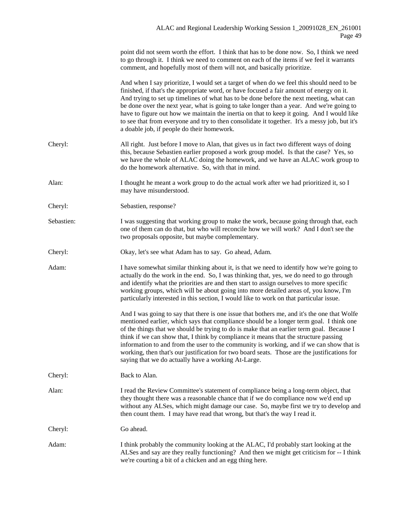|            | point did not seem worth the effort. I think that has to be done now. So, I think we need<br>to go through it. I think we need to comment on each of the items if we feel it warrants<br>comment, and hopefully most of them will not, and basically prioritize.                                                                                                                                                                                                                                                                                                                                                               |
|------------|--------------------------------------------------------------------------------------------------------------------------------------------------------------------------------------------------------------------------------------------------------------------------------------------------------------------------------------------------------------------------------------------------------------------------------------------------------------------------------------------------------------------------------------------------------------------------------------------------------------------------------|
|            | And when I say prioritize, I would set a target of when do we feel this should need to be<br>finished, if that's the appropriate word, or have focused a fair amount of energy on it.<br>And trying to set up timelines of what has to be done before the next meeting, what can<br>be done over the next year, what is going to take longer than a year. And we're going to<br>have to figure out how we maintain the inertia on that to keep it going. And I would like<br>to see that from everyone and try to then consolidate it together. It's a messy job, but it's<br>a doable job, if people do their homework.       |
| Cheryl:    | All right. Just before I move to Alan, that gives us in fact two different ways of doing<br>this, because Sebastien earlier proposed a work group model. Is that the case? Yes, so<br>we have the whole of ALAC doing the homework, and we have an ALAC work group to<br>do the homework alternative. So, with that in mind.                                                                                                                                                                                                                                                                                                   |
| Alan:      | I thought he meant a work group to do the actual work after we had prioritized it, so I<br>may have misunderstood.                                                                                                                                                                                                                                                                                                                                                                                                                                                                                                             |
| Cheryl:    | Sebastien, response?                                                                                                                                                                                                                                                                                                                                                                                                                                                                                                                                                                                                           |
| Sebastien: | I was suggesting that working group to make the work, because going through that, each<br>one of them can do that, but who will reconcile how we will work? And I don't see the<br>two proposals opposite, but maybe complementary.                                                                                                                                                                                                                                                                                                                                                                                            |
| Cheryl:    | Okay, let's see what Adam has to say. Go ahead, Adam.                                                                                                                                                                                                                                                                                                                                                                                                                                                                                                                                                                          |
| Adam:      | I have somewhat similar thinking about it, is that we need to identify how we're going to<br>actually do the work in the end. So, I was thinking that, yes, we do need to go through<br>and identify what the priorities are and then start to assign ourselves to more specific<br>working groups, which will be about going into more detailed areas of, you know, I'm<br>particularly interested in this section, I would like to work on that particular issue.                                                                                                                                                            |
|            | And I was going to say that there is one issue that bothers me, and it's the one that Wolfe<br>mentioned earlier, which says that compliance should be a longer term goal. I think one<br>of the things that we should be trying to do is make that an earlier term goal. Because I<br>think if we can show that, I think by compliance it means that the structure passing<br>information to and from the user to the community is working, and if we can show that is<br>working, then that's our justification for two board seats. Those are the justifications for<br>saying that we do actually have a working At-Large. |
| Cheryl:    | Back to Alan.                                                                                                                                                                                                                                                                                                                                                                                                                                                                                                                                                                                                                  |
| Alan:      | I read the Review Committee's statement of compliance being a long-term object, that<br>they thought there was a reasonable chance that if we do compliance now we'd end up<br>without any ALSes, which might damage our case. So, maybe first we try to develop and<br>then count them. I may have read that wrong, but that's the way I read it.                                                                                                                                                                                                                                                                             |
| Cheryl:    | Go ahead.                                                                                                                                                                                                                                                                                                                                                                                                                                                                                                                                                                                                                      |
| Adam:      | I think probably the community looking at the ALAC, I'd probably start looking at the<br>ALSes and say are they really functioning? And then we might get criticism for -- I think<br>we're courting a bit of a chicken and an egg thing here.                                                                                                                                                                                                                                                                                                                                                                                 |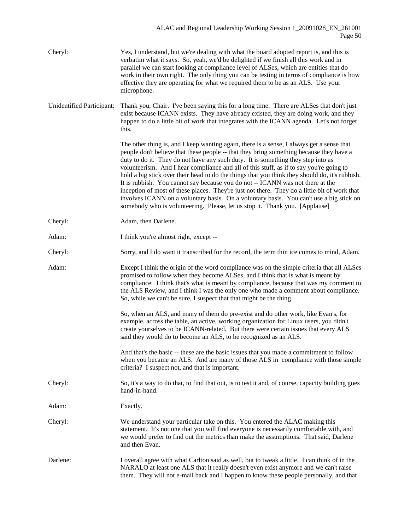| Cheryl:                   | Yes, I understand, but we're dealing with what the board adopted report is, and this is<br>verbatim what it says. So, yeah, we'd be delighted if we finish all this work and in<br>parallel we can start looking at compliance level of ALSes, which are entities that do<br>work in their own right. The only thing you can be testing in terms of compliance is how<br>effective they are operating for what we required them to be as an ALS. Use your<br>microphone.                                                                                                                                                                                                                                                                                                                                                          |
|---------------------------|-----------------------------------------------------------------------------------------------------------------------------------------------------------------------------------------------------------------------------------------------------------------------------------------------------------------------------------------------------------------------------------------------------------------------------------------------------------------------------------------------------------------------------------------------------------------------------------------------------------------------------------------------------------------------------------------------------------------------------------------------------------------------------------------------------------------------------------|
| Unidentified Participant: | Thank you, Chair. I've been saying this for a long time. There are ALSes that don't just<br>exist because ICANN exists. They have already existed, they are doing work, and they<br>happen to do a little bit of work that integrates with the ICANN agenda. Let's not forget<br>this.                                                                                                                                                                                                                                                                                                                                                                                                                                                                                                                                            |
|                           | The other thing is, and I keep wanting again, there is a sense, I always get a sense that<br>people don't believe that these people -- that they bring something because they have a<br>duty to do it. They do not have any such duty. It is something they step into as<br>volunteerism. And I hear compliance and all of this stuff, as if to say you're going to<br>hold a big stick over their head to do the things that you think they should do, it's rubbish.<br>It is rubbish. You cannot say because you do not -- ICANN was not there at the<br>inception of most of these places. They're just not there. They do a little bit of work that<br>involves ICANN on a voluntary basis. On a voluntary basis. You can't use a big stick on<br>somebody who is volunteering. Please, let us stop it. Thank you. [Applause] |
| Cheryl:                   | Adam, then Darlene.                                                                                                                                                                                                                                                                                                                                                                                                                                                                                                                                                                                                                                                                                                                                                                                                               |
| Adam:                     | I think you're almost right, except --                                                                                                                                                                                                                                                                                                                                                                                                                                                                                                                                                                                                                                                                                                                                                                                            |
| Cheryl:                   | Sorry, and I do want it transcribed for the record, the term thin ice comes to mind, Adam.                                                                                                                                                                                                                                                                                                                                                                                                                                                                                                                                                                                                                                                                                                                                        |
| Adam:                     | Except I think the origin of the word compliance was on the simple criteria that all ALSes<br>promised to follow when they become ALSes, and I think that is what is meant by<br>compliance. I think that's what is meant by compliance, because that was my comment to<br>the ALS Review, and I think I was the only one who made a comment about compliance.<br>So, while we can't be sure, I suspect that that might be the thing.                                                                                                                                                                                                                                                                                                                                                                                             |
|                           | So, when an ALS, and many of them do pre-exist and do other work, like Evan's, for<br>example, across the table, an active, working organization for Linux users, you didn't<br>create yourselves to be ICANN-related. But there were certain issues that every ALS<br>said they would do to become an ALS, to be recognized as an ALS.                                                                                                                                                                                                                                                                                                                                                                                                                                                                                           |
|                           | And that's the basic -- these are the basic issues that you made a commitment to follow<br>when you became an ALS. And are many of those ALS in compliance with those simple<br>criteria? I suspect not, and that is important.                                                                                                                                                                                                                                                                                                                                                                                                                                                                                                                                                                                                   |
| Cheryl:                   | So, it's a way to do that, to find that out, is to test it and, of course, capacity building goes<br>hand-in-hand.                                                                                                                                                                                                                                                                                                                                                                                                                                                                                                                                                                                                                                                                                                                |
| Adam:                     | Exactly.                                                                                                                                                                                                                                                                                                                                                                                                                                                                                                                                                                                                                                                                                                                                                                                                                          |
| Cheryl:                   | We understand your particular take on this. You entered the ALAC making this<br>statement. It's not one that you will find everyone is necessarily comfortable with, and<br>we would prefer to find out the metrics than make the assumptions. That said, Darlene<br>and then Evan.                                                                                                                                                                                                                                                                                                                                                                                                                                                                                                                                               |
| Darlene:                  | I overall agree with what Carlton said as well, but to tweak a little. I can think of in the<br>NARALO at least one ALS that it really doesn't even exist anymore and we can't raise<br>them. They will not e-mail back and I happen to know these people personally, and that                                                                                                                                                                                                                                                                                                                                                                                                                                                                                                                                                    |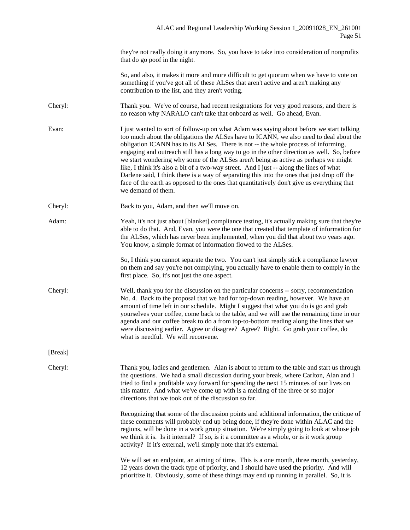they're not really doing it anymore. So, you have to take into consideration of nonprofits that do go poof in the night.

So, and also, it makes it more and more difficult to get quorum when we have to vote on something if you've got all of these ALSes that aren't active and aren't making any contribution to the list, and they aren't voting.

- Cheryl: Thank you. We've of course, had recent resignations for very good reasons, and there is no reason why NARALO can't take that onboard as well. Go ahead, Evan.
- Evan: I just wanted to sort of follow-up on what Adam was saying about before we start talking too much about the obligations the ALSes have to ICANN, we also need to deal about the obligation ICANN has to its ALSes. There is not -- the whole process of informing, engaging and outreach still has a long way to go in the other direction as well. So, before we start wondering why some of the ALSes aren't being as active as perhaps we might like, I think it's also a bit of a two-way street. And I just -- along the lines of what Darlene said, I think there is a way of separating this into the ones that just drop off the face of the earth as opposed to the ones that quantitatively don't give us everything that we demand of them.
- Cheryl: Back to you, Adam, and then we'll move on.
- Adam: Yeah, it's not just about [blanket] compliance testing, it's actually making sure that they're able to do that. And, Evan, you were the one that created that template of information for the ALSes, which has never been implemented, when you did that about two years ago. You know, a simple format of information flowed to the ALSes.
	- So, I think you cannot separate the two. You can't just simply stick a compliance lawyer on them and say you're not complying, you actually have to enable them to comply in the first place. So, it's not just the one aspect.
- Cheryl: Well, thank you for the discussion on the particular concerns -- sorry, recommendation No. 4. Back to the proposal that we had for top-down reading, however. We have an amount of time left in our schedule. Might I suggest that what you do is go and grab yourselves your coffee, come back to the table, and we will use the remaining time in our agenda and our coffee break to do a from top-to-bottom reading along the lines that we were discussing earlier. Agree or disagree? Agree? Right. Go grab your coffee, do what is needful. We will reconvene.

[Break]

Cheryl: Thank you, ladies and gentlemen. Alan is about to return to the table and start us through the questions. We had a small discussion during your break, where Carlton, Alan and I tried to find a profitable way forward for spending the next 15 minutes of our lives on this matter. And what we've come up with is a melding of the three or so major directions that we took out of the discussion so far.

> Recognizing that some of the discussion points and additional information, the critique of these comments will probably end up being done, if they're done within ALAC and the regions, will be done in a work group situation. We're simply going to look at whose job we think it is. Is it internal? If so, is it a committee as a whole, or is it work group activity? If it's external, we'll simply note that it's external.

> We will set an endpoint, an aiming of time. This is a one month, three month, yesterday, 12 years down the track type of priority, and I should have used the priority. And will prioritize it. Obviously, some of these things may end up running in parallel. So, it is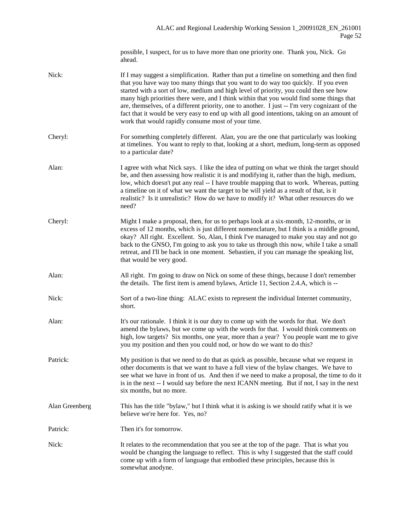possible, I suspect, for us to have more than one priority one. Thank you, Nick. Go ahead.

Nick: If I may suggest a simplification. Rather than put a timeline on something and then find that you have way too many things that you want to do way too quickly. If you even started with a sort of low, medium and high level of priority, you could then see how many high priorities there were, and I think within that you would find some things that are, themselves, of a different priority, one to another. I just -- I'm very cognizant of the fact that it would be very easy to end up with all good intentions, taking on an amount of work that would rapidly consume most of your time. Cheryl: For something completely different. Alan, you are the one that particularly was looking at timelines. You want to reply to that, looking at a short, medium, long-term as opposed to a particular date? Alan: I agree with what Nick says. I like the idea of putting on what we think the target should be, and then assessing how realistic it is and modifying it, rather than the high, medium, low, which doesn't put any real -- I have trouble mapping that to work. Whereas, putting a timeline on it of what we want the target to be will yield as a result of that, is it realistic? Is it unrealistic? How do we have to modify it? What other resources do we need? Cheryl: Might I make a proposal, then, for us to perhaps look at a six-month, 12-months, or in excess of 12 months, which is just different nomenclature, but I think is a middle ground, okay? All right. Excellent. So, Alan, I think I've managed to make you stay and not go back to the GNSO, I'm going to ask you to take us through this now, while I take a small retreat, and I'll be back in one moment. Sebastien, if you can manage the speaking list, that would be very good. Alan: All right. I'm going to draw on Nick on some of these things, because I don't remember the details. The first item is amend bylaws, Article 11, Section 2.4.A, which is -- Nick: Sort of a two-line thing: ALAC exists to represent the individual Internet community, short. Alan: It's our rationale. I think it is our duty to come up with the words for that. We don't amend the bylaws, but we come up with the words for that. I would think comments on high, low targets? Six months, one year, more than a year? You people want me to give you my position and then you could nod, or how do we want to do this? Patrick: My position is that we need to do that as quick as possible, because what we request in other documents is that we want to have a full view of the bylaw changes. We have to see what we have in front of us. And then if we need to make a proposal, the time to do it is in the next -- I would say before the next ICANN meeting. But if not, I say in the next six months, but no more. Alan Greenberg This has the title "bylaw," but I think what it is asking is we should ratify what it is we believe we're here for. Yes, no? Patrick: Then it's for tomorrow. Nick: It relates to the recommendation that you see at the top of the page. That is what you would be changing the language to reflect. This is why I suggested that the staff could come up with a form of language that embodied these principles, because this is somewhat anodyne.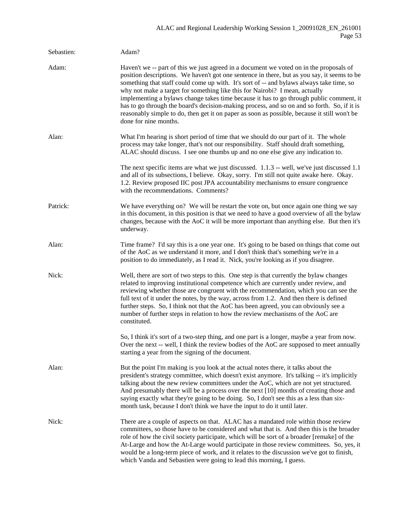| Sebastien: | Adam?                                                                                                                                                                                                                                                                                                                                                                                                                                                                                                                                                                                                                                                                                |
|------------|--------------------------------------------------------------------------------------------------------------------------------------------------------------------------------------------------------------------------------------------------------------------------------------------------------------------------------------------------------------------------------------------------------------------------------------------------------------------------------------------------------------------------------------------------------------------------------------------------------------------------------------------------------------------------------------|
| Adam:      | Haven't we -- part of this we just agreed in a document we voted on in the proposals of<br>position descriptions. We haven't got one sentence in there, but as you say, it seems to be<br>something that staff could come up with. It's sort of -- and bylaws always take time, so<br>why not make a target for something like this for Nairobi? I mean, actually<br>implementing a bylaws change takes time because it has to go through public comment, it<br>has to go through the board's decision-making process, and so on and so forth. So, if it is<br>reasonably simple to do, then get it on paper as soon as possible, because it still won't be<br>done for nine months. |
| Alan:      | What I'm hearing is short period of time that we should do our part of it. The whole<br>process may take longer, that's not our responsibility. Staff should draft something,<br>ALAC should discuss. I see one thumbs up and no one else give any indication to.                                                                                                                                                                                                                                                                                                                                                                                                                    |
|            | The next specific items are what we just discussed. 1.1.3 -- well, we've just discussed 1.1<br>and all of its subsections, I believe. Okay, sorry. I'm still not quite awake here. Okay.<br>1.2. Review proposed IIC post JPA accountability mechanisms to ensure congruence<br>with the recommendations. Comments?                                                                                                                                                                                                                                                                                                                                                                  |
| Patrick:   | We have everything on? We will be restart the vote on, but once again one thing we say<br>in this document, in this position is that we need to have a good overview of all the bylaw<br>changes, because with the AoC it will be more important than anything else. But then it's<br>underway.                                                                                                                                                                                                                                                                                                                                                                                      |
| Alan:      | Time frame? I'd say this is a one year one. It's going to be based on things that come out<br>of the AoC as we understand it more, and I don't think that's something we're in a<br>position to do immediately, as I read it. Nick, you're looking as if you disagree.                                                                                                                                                                                                                                                                                                                                                                                                               |
| Nick:      | Well, there are sort of two steps to this. One step is that currently the bylaw changes<br>related to improving institutional competence which are currently under review, and<br>reviewing whether those are congruent with the recommendation, which you can see the<br>full text of it under the notes, by the way, across from 1.2. And then there is defined<br>further steps. So, I think not that the AoC has been agreed, you can obviously see a<br>number of further steps in relation to how the review mechanisms of the AoC are<br>constituted.                                                                                                                         |
|            | So, I think it's sort of a two-step thing, and one part is a longer, maybe a year from now.<br>Over the next -- well, I think the review bodies of the AoC are supposed to meet annually<br>starting a year from the signing of the document.                                                                                                                                                                                                                                                                                                                                                                                                                                        |
| Alan:      | But the point I'm making is you look at the actual notes there, it talks about the<br>president's strategy committee, which doesn't exist anymore. It's talking -- it's implicitly<br>talking about the new review committees under the AoC, which are not yet structured.<br>And presumably there will be a process over the next [10] months of creating those and<br>saying exactly what they're going to be doing. So, I don't see this as a less than six-<br>month task, because I don't think we have the input to do it until later.                                                                                                                                         |
| Nick:      | There are a couple of aspects on that. ALAC has a mandated role within those review<br>committees, so those have to be considered and what that is. And then this is the broader<br>role of how the civil society participate, which will be sort of a broader [remake] of the<br>At-Large and how the At-Large would participate in those review committees. So, yes, it<br>would be a long-term piece of work, and it relates to the discussion we've got to finish,<br>which Vanda and Sebastien were going to lead this morning, I guess.                                                                                                                                        |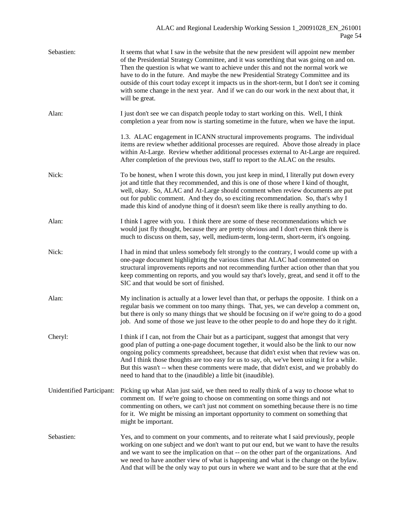| Sebastien:                | It seems that what I saw in the website that the new president will appoint new member<br>of the Presidential Strategy Committee, and it was something that was going on and on.<br>Then the question is what we want to achieve under this and not the normal work we<br>have to do in the future. And maybe the new Presidential Strategy Committee and its<br>outside of this court today except it impacts us in the short-term, but I don't see it coming<br>with some change in the next year. And if we can do our work in the next about that, it<br>will be great. |
|---------------------------|-----------------------------------------------------------------------------------------------------------------------------------------------------------------------------------------------------------------------------------------------------------------------------------------------------------------------------------------------------------------------------------------------------------------------------------------------------------------------------------------------------------------------------------------------------------------------------|
| Alan:                     | I just don't see we can dispatch people today to start working on this. Well, I think<br>completion a year from now is starting sometime in the future, when we have the input.                                                                                                                                                                                                                                                                                                                                                                                             |
|                           | 1.3. ALAC engagement in ICANN structural improvements programs. The individual<br>items are review whether additional processes are required. Above those already in place<br>within At-Large. Review whether additional processes external to At-Large are required.<br>After completion of the previous two, staff to report to the ALAC on the results.                                                                                                                                                                                                                  |
| Nick:                     | To be honest, when I wrote this down, you just keep in mind, I literally put down every<br>jot and tittle that they recommended, and this is one of those where I kind of thought,<br>well, okay. So, ALAC and At-Large should comment when review documents are put<br>out for public comment. And they do, so exciting recommendation. So, that's why I<br>made this kind of anodyne thing of it doesn't seem like there is really anything to do.                                                                                                                        |
| Alan:                     | I think I agree with you. I think there are some of these recommendations which we<br>would just fly thought, because they are pretty obvious and I don't even think there is<br>much to discuss on them, say, well, medium-term, long-term, short-term, it's ongoing.                                                                                                                                                                                                                                                                                                      |
| Nick:                     | I had in mind that unless somebody felt strongly to the contrary, I would come up with a<br>one-page document highlighting the various times that ALAC had commented on<br>structural improvements reports and not recommending further action other than that you<br>keep commenting on reports, and you would say that's lovely, great, and send it off to the<br>SIC and that would be sort of finished.                                                                                                                                                                 |
| Alan:                     | My inclination is actually at a lower level than that, or perhaps the opposite. I think on a<br>regular basis we comment on too many things. That, yes, we can develop a comment on,<br>but there is only so many things that we should be focusing on if we're going to do a good<br>job. And some of those we just leave to the other people to do and hope they do it right.                                                                                                                                                                                             |
| Cheryl:                   | I think if I can, not from the Chair but as a participant, suggest that amongst that very<br>good plan of putting a one-page document together, it would also be the link to our now<br>ongoing policy comments spreadsheet, because that didn't exist when that review was on.<br>And I think those thoughts are too easy for us to say, oh, we've been using it for a while.<br>But this wasn't -- when these comments were made, that didn't exist, and we probably do<br>need to hand that to the (inaudible) a little bit (inaudible).                                 |
| Unidentified Participant: | Picking up what Alan just said, we then need to really think of a way to choose what to<br>comment on. If we're going to choose on commenting on some things and not<br>commenting on others, we can't just not comment on something because there is no time<br>for it. We might be missing an important opportunity to comment on something that<br>might be important.                                                                                                                                                                                                   |
| Sebastien:                | Yes, and to comment on your comments, and to reiterate what I said previously, people<br>working on one subject and we don't want to put our end, but we want to have the results<br>and we want to see the implication on that -- on the other part of the organizations. And<br>we need to have another view of what is happening and what is the change on the bylaw.<br>And that will be the only way to put ours in where we want and to be sure that at the end                                                                                                       |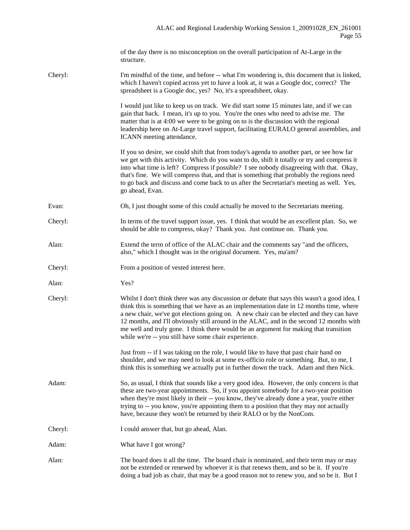|         | of the day there is no misconception on the overall participation of At-Large in the<br>structure.                                                                                                                                                                                                                                                                                                                                                                                                                              |
|---------|---------------------------------------------------------------------------------------------------------------------------------------------------------------------------------------------------------------------------------------------------------------------------------------------------------------------------------------------------------------------------------------------------------------------------------------------------------------------------------------------------------------------------------|
| Cheryl: | I'm mindful of the time, and before -- what I'm wondering is, this document that is linked,<br>which I haven't copied across yet to have a look at, it was a Google doc, correct? The<br>spreadsheet is a Google doc, yes? No, it's a spreadsheet, okay.                                                                                                                                                                                                                                                                        |
|         | I would just like to keep us on track. We did start some 15 minutes late, and if we can<br>gain that back. I mean, it's up to you. You're the ones who need to advise me. The<br>matter that is at 4:00 we were to be going on to is the discussion with the regional<br>leadership here on At-Large travel support, facilitating EURALO general assemblies, and<br>ICANN meeting attendance.                                                                                                                                   |
|         | If you so desire, we could shift that from today's agenda to another part, or see how far<br>we get with this activity. Which do you want to do, shift it totally or try and compress it<br>into what time is left? Compress if possible? I see nobody disagreeing with that. Okay,<br>that's fine. We will compress that, and that is something that probably the regions need<br>to go back and discuss and come back to us after the Secretariat's meeting as well. Yes,<br>go ahead, Evan.                                  |
| Evan:   | Oh, I just thought some of this could actually be moved to the Secretariats meeting.                                                                                                                                                                                                                                                                                                                                                                                                                                            |
| Cheryl: | In terms of the travel support issue, yes. I think that would be an excellent plan. So, we<br>should be able to compress, okay? Thank you. Just continue on. Thank you.                                                                                                                                                                                                                                                                                                                                                         |
| Alan:   | Extend the term of office of the ALAC chair and the comments say "and the officers,<br>also," which I thought was in the original document. Yes, ma'am?                                                                                                                                                                                                                                                                                                                                                                         |
| Cheryl: | From a position of vested interest here.                                                                                                                                                                                                                                                                                                                                                                                                                                                                                        |
| Alan:   | Yes?                                                                                                                                                                                                                                                                                                                                                                                                                                                                                                                            |
| Cheryl: | Whilst I don't think there was any discussion or debate that says this wasn't a good idea, I<br>think this is something that we have as an implementation date in 12 months time, where<br>a new chair, we've got elections going on. A new chair can be elected and they can have<br>12 months, and I'll obviously still around in the ALAC, and in the second 12 months with<br>me well and truly gone. I think there would be an argument for making that transition<br>while we're -- you still have some chair experience. |
|         | Just from -- if I was taking on the role, I would like to have that past chair hand on<br>shoulder, and we may need to look at some ex-officio role or something. But, to me, I<br>think this is something we actually put in further down the track. Adam and then Nick.                                                                                                                                                                                                                                                       |
| Adam:   | So, as usual, I think that sounds like a very good idea. However, the only concern is that<br>these are two-year appointments. So, if you appoint somebody for a two-year position<br>when they're most likely in their -- you know, they've already done a year, you're either<br>trying to -- you know, you're appointing them to a position that they may not actually<br>have, because they won't be returned by their RALO or by the NonCom.                                                                               |
| Cheryl: | I could answer that, but go ahead, Alan.                                                                                                                                                                                                                                                                                                                                                                                                                                                                                        |
| Adam:   | What have I got wrong?                                                                                                                                                                                                                                                                                                                                                                                                                                                                                                          |
| Alan:   | The board does it all the time. The board chair is nominated, and their term may or may<br>not be extended or renewed by whoever it is that renews them, and so be it. If you're<br>doing a bad job as chair, that may be a good reason not to renew you, and so be it. But I                                                                                                                                                                                                                                                   |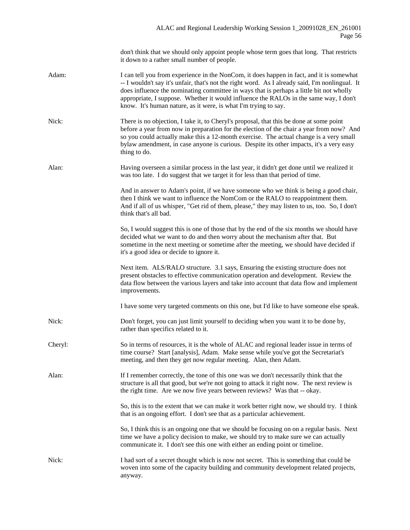don't think that we should only appoint people whose term goes that long. That restricts it down to a rather small number of people.

- Adam: I can tell you from experience in the NonCom, it does happen in fact, and it is somewhat -- I wouldn't say it's unfair, that's not the right word. As I already said, I'm nonlingual. It does influence the nominating committee in ways that is perhaps a little bit not wholly appropriate, I suppose. Whether it would influence the RALOs in the same way, I don't know. It's human nature, as it were, is what I'm trying to say.
- Nick: There is no objection, I take it, to Cheryl's proposal, that this be done at some point before a year from now in preparation for the election of the chair a year from now? And so you could actually make this a 12-month exercise. The actual change is a very small bylaw amendment, in case anyone is curious. Despite its other impacts, it's a very easy thing to do.
- Alan: Having overseen a similar process in the last year, it didn't get done until we realized it was too late. I do suggest that we target it for less than that period of time.

And in answer to Adam's point, if we have someone who we think is being a good chair, then I think we want to influence the NomCom or the RALO to reappointment them. And if all of us whisper, "Get rid of them, please," they may listen to us, too. So, I don't think that's all bad.

So, I would suggest this is one of those that by the end of the six months we should have decided what we want to do and then worry about the mechanism after that. But sometime in the next meeting or sometime after the meeting, we should have decided if it's a good idea or decide to ignore it.

Next item. ALS/RALO structure. 3.1 says, Ensuring the existing structure does not present obstacles to effective communication operation and development. Review the data flow between the various layers and take into account that data flow and implement improvements.

I have some very targeted comments on this one, but I'd like to have someone else speak.

- Nick: Don't forget, you can just limit yourself to deciding when you want it to be done by, rather than specifics related to it.
- Cheryl: So in terms of resources, it is the whole of ALAC and regional leader issue in terms of time course? Start [analysis], Adam. Make sense while you've got the Secretariat's meeting, and then they get now regular meeting. Alan, then Adam.
- Alan: If I remember correctly, the tone of this one was we don't necessarily think that the structure is all that good, but we're not going to attack it right now. The next review is the right time. Are we now five years between reviews? Was that -- okay.

So, this is to the extent that we can make it work better right now, we should try. I think that is an ongoing effort. I don't see that as a particular achievement.

So, I think this is an ongoing one that we should be focusing on on a regular basis. Next time we have a policy decision to make, we should try to make sure we can actually communicate it. I don't see this one with either an ending point or timeline.

Nick: I had sort of a secret thought which is now not secret. This is something that could be woven into some of the capacity building and community development related projects, anyway.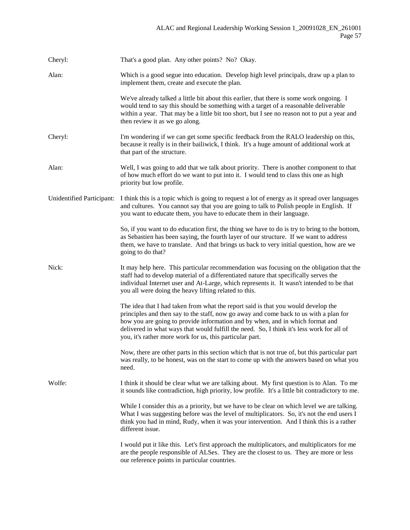| Cheryl:                   | That's a good plan. Any other points? No? Okay.                                                                                                                                                                                                                                                                                                                                                                      |
|---------------------------|----------------------------------------------------------------------------------------------------------------------------------------------------------------------------------------------------------------------------------------------------------------------------------------------------------------------------------------------------------------------------------------------------------------------|
| Alan:                     | Which is a good segue into education. Develop high level principals, draw up a plan to<br>implement them, create and execute the plan.                                                                                                                                                                                                                                                                               |
|                           | We've already talked a little bit about this earlier, that there is some work ongoing. I<br>would tend to say this should be something with a target of a reasonable deliverable<br>within a year. That may be a little bit too short, but I see no reason not to put a year and<br>then review it as we go along.                                                                                                   |
| Cheryl:                   | I'm wondering if we can get some specific feedback from the RALO leadership on this,<br>because it really is in their bailiwick, I think. It's a huge amount of additional work at<br>that part of the structure.                                                                                                                                                                                                    |
| Alan:                     | Well, I was going to add that we talk about priority. There is another component to that<br>of how much effort do we want to put into it. I would tend to class this one as high<br>priority but low profile.                                                                                                                                                                                                        |
| Unidentified Participant: | I think this is a topic which is going to request a lot of energy as it spread over languages<br>and cultures. You cannot say that you are going to talk to Polish people in English. If<br>you want to educate them, you have to educate them in their language.                                                                                                                                                    |
|                           | So, if you want to do education first, the thing we have to do is try to bring to the bottom,<br>as Sebastien has been saying, the fourth layer of our structure. If we want to address<br>them, we have to translate. And that brings us back to very initial question, how are we<br>going to do that?                                                                                                             |
| Nick:                     | It may help here. This particular recommendation was focusing on the obligation that the<br>staff had to develop material of a differentiated nature that specifically serves the<br>individual Internet user and At-Large, which represents it. It wasn't intended to be that<br>you all were doing the heavy lifting related to this.                                                                              |
|                           | The idea that I had taken from what the report said is that you would develop the<br>principles and then say to the staff, now go away and come back to us with a plan for<br>how you are going to provide information and by when, and in which format and<br>delivered in what ways that would fulfill the need. So, I think it's less work for all of<br>you, it's rather more work for us, this particular part. |
|                           | Now, there are other parts in this section which that is not true of, but this particular part<br>was really, to be honest, was on the start to come up with the answers based on what you<br>need.                                                                                                                                                                                                                  |
| Wolfe:                    | I think it should be clear what we are talking about. My first question is to Alan. To me<br>it sounds like contradiction, high priority, low profile. It's a little bit contradictory to me.                                                                                                                                                                                                                        |
|                           | While I consider this as a priority, but we have to be clear on which level we are talking.<br>What I was suggesting before was the level of multiplicators. So, it's not the end users I<br>think you had in mind, Rudy, when it was your intervention. And I think this is a rather<br>different issue.                                                                                                            |
|                           | I would put it like this. Let's first approach the multiplicators, and multiplicators for me<br>are the people responsible of ALSes. They are the closest to us. They are more or less<br>our reference points in particular countries.                                                                                                                                                                              |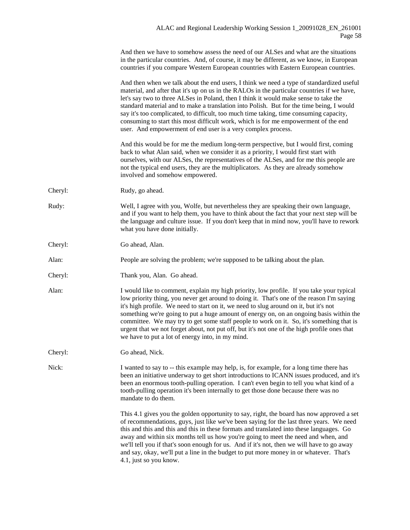|         | And then we have to somehow assess the need of our ALSes and what are the situations<br>in the particular countries. And, of course, it may be different, as we know, in European<br>countries if you compare Western European countries with Eastern European countries.                                                                                                                                                                                                                                                                                                                                                    |
|---------|------------------------------------------------------------------------------------------------------------------------------------------------------------------------------------------------------------------------------------------------------------------------------------------------------------------------------------------------------------------------------------------------------------------------------------------------------------------------------------------------------------------------------------------------------------------------------------------------------------------------------|
|         | And then when we talk about the end users, I think we need a type of standardized useful<br>material, and after that it's up on us in the RALOs in the particular countries if we have,<br>let's say two to three ALSes in Poland, then I think it would make sense to take the<br>standard material and to make a translation into Polish. But for the time being, I would<br>say it's too complicated, to difficult, too much time taking, time consuming capacity,<br>consuming to start this most difficult work, which is for me empowerment of the end<br>user. And empowerment of end user is a very complex process. |
|         | And this would be for me the medium long-term perspective, but I would first, coming<br>back to what Alan said, when we consider it as a priority, I would first start with<br>ourselves, with our ALSes, the representatives of the ALSes, and for me this people are<br>not the typical end users, they are the multiplicators. As they are already somehow<br>involved and somehow empowered.                                                                                                                                                                                                                             |
| Cheryl: | Rudy, go ahead.                                                                                                                                                                                                                                                                                                                                                                                                                                                                                                                                                                                                              |
| Rudy:   | Well, I agree with you, Wolfe, but nevertheless they are speaking their own language,<br>and if you want to help them, you have to think about the fact that your next step will be<br>the language and culture issue. If you don't keep that in mind now, you'll have to rework<br>what you have done initially.                                                                                                                                                                                                                                                                                                            |
| Cheryl: | Go ahead, Alan.                                                                                                                                                                                                                                                                                                                                                                                                                                                                                                                                                                                                              |
| Alan:   | People are solving the problem; we're supposed to be talking about the plan.                                                                                                                                                                                                                                                                                                                                                                                                                                                                                                                                                 |
| Cheryl: | Thank you, Alan. Go ahead.                                                                                                                                                                                                                                                                                                                                                                                                                                                                                                                                                                                                   |
| Alan:   | I would like to comment, explain my high priority, low profile. If you take your typical<br>low priority thing, you never get around to doing it. That's one of the reason I'm saying<br>it's high profile. We need to start on it, we need to slug around on it, but it's not<br>something we're going to put a huge amount of energy on, on an ongoing basis within the<br>committee. We may try to get some staff people to work on it. So, it's something that is<br>urgent that we not forget about, not put off, but it's not one of the high profile ones that<br>we have to put a lot of energy into, in my mind.    |
| Cheryl: | Go ahead, Nick.                                                                                                                                                                                                                                                                                                                                                                                                                                                                                                                                                                                                              |
| Nick:   | I wanted to say to -- this example may help, is, for example, for a long time there has<br>been an initiative underway to get short introductions to ICANN issues produced, and it's<br>been an enormous tooth-pulling operation. I can't even begin to tell you what kind of a<br>tooth-pulling operation it's been internally to get those done because there was no<br>mandate to do them.                                                                                                                                                                                                                                |
|         | This 4.1 gives you the golden opportunity to say, right, the board has now approved a set<br>of recommendations, guys, just like we've been saying for the last three years. We need<br>this and this and this and this in these formats and translated into these languages. Go<br>away and within six months tell us how you're going to meet the need and when, and<br>we'll tell you if that's soon enough for us. And if it's not, then we will have to go away<br>and say, okay, we'll put a line in the budget to put more money in or whatever. That's<br>4.1, just so you know.                                     |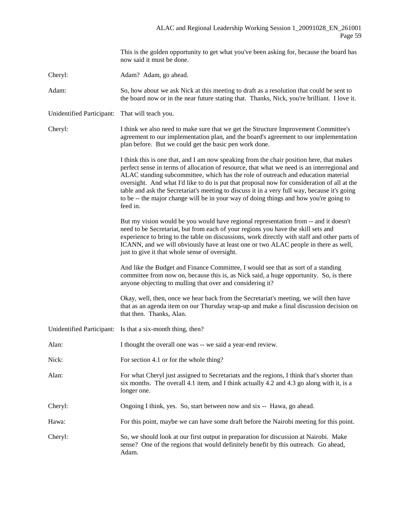This is the golden opportunity to get what you've been asking for, because the board has now said it must be done.

Cheryl: Adam? Adam, go ahead.

Adam: So, how about we ask Nick at this meeting to draft as a resolution that could be sent to the board now or in the near future stating that. Thanks, Nick, you're brilliant. I love it.

Unidentified Participant: That will teach you.

Cheryl: I think we also need to make sure that we get the Structure Improvement Committee's agreement to our implementation plan, and the board's agreement to our implementation plan before. But we could get the basic pen work done.

> I think this is one that, and I am now speaking from the chair position here, that makes perfect sense in terms of allocation of resource, that what we need is an interregional and ALAC standing subcommittee, which has the role of outreach and education material oversight. And what I'd like to do is put that proposal now for consideration of all at the table and ask the Secretariat's meeting to discuss it in a very full way, because it's going to be -- the major change will be in your way of doing things and how you're going to feed in.

> But my vision would be you would have regional representation from -- and it doesn't need to be Secretariat, but from each of your regions you have the skill sets and experience to bring to the table on discussions, work directly with staff and other parts of ICANN, and we will obviously have at least one or two ALAC people in there as well, just to give it that whole sense of oversight.

And like the Budget and Finance Committee, I would see that as sort of a standing committee from now on, because this is, as Nick said, a huge opportunity. So, is there anyone objecting to mulling that over and considering it?

Okay, well, then, once we hear back from the Secretariat's meeting, we will then have that as an agenda item on our Thursday wrap-up and make a final discussion decision on that then. Thanks, Alan.

Unidentified Participant: Is that a six-month thing, then?

Alan: I thought the overall one was -- we said a year-end review.

- Nick: For section 4.1 or for the whole thing?
- Alan: For what Cheryl just assigned to Secretariats and the regions, I think that's shorter than six months. The overall 4.1 item, and I think actually 4.2 and 4.3 go along with it, is a longer one.
- Cheryl: Ongoing I think, yes. So, start between now and six -- Hawa, go ahead.
- Hawa: For this point, maybe we can have some draft before the Nairobi meeting for this point.
- Cheryl: So, we should look at our first output in preparation for discussion at Nairobi. Make sense? One of the regions that would definitely benefit by this outreach. Go ahead, Adam.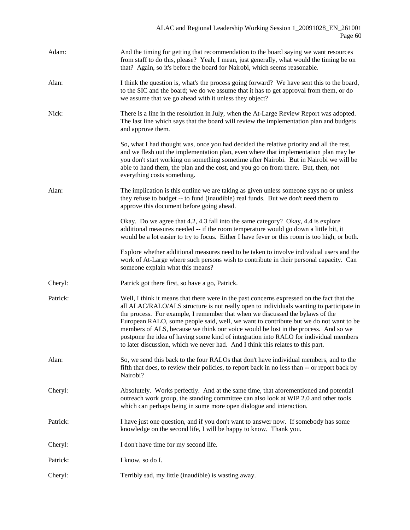| Adam:    | And the timing for getting that recommendation to the board saying we want resources<br>from staff to do this, please? Yeah, I mean, just generally, what would the timing be on<br>that? Again, so it's before the board for Nairobi, which seems reasonable.                                                                                                                                                                                                                                                                                                                                                                    |
|----------|-----------------------------------------------------------------------------------------------------------------------------------------------------------------------------------------------------------------------------------------------------------------------------------------------------------------------------------------------------------------------------------------------------------------------------------------------------------------------------------------------------------------------------------------------------------------------------------------------------------------------------------|
| Alan:    | I think the question is, what's the process going forward? We have sent this to the board,<br>to the SIC and the board; we do we assume that it has to get approval from them, or do<br>we assume that we go ahead with it unless they object?                                                                                                                                                                                                                                                                                                                                                                                    |
| Nick:    | There is a line in the resolution in July, when the At-Large Review Report was adopted.<br>The last line which says that the board will review the implementation plan and budgets<br>and approve them.                                                                                                                                                                                                                                                                                                                                                                                                                           |
|          | So, what I had thought was, once you had decided the relative priority and all the rest,<br>and we flesh out the implementation plan, even where that implementation plan may be<br>you don't start working on something sometime after Nairobi. But in Nairobi we will be<br>able to hand them, the plan and the cost, and you go on from there. But, then, not<br>everything costs something.                                                                                                                                                                                                                                   |
| Alan:    | The implication is this outline we are taking as given unless someone says no or unless<br>they refuse to budget -- to fund (inaudible) real funds. But we don't need them to<br>approve this document before going ahead.                                                                                                                                                                                                                                                                                                                                                                                                        |
|          | Okay. Do we agree that 4.2, 4.3 fall into the same category? Okay, 4.4 is explore<br>additional measures needed -- if the room temperature would go down a little bit, it<br>would be a lot easier to try to focus. Either I have fever or this room is too high, or both.                                                                                                                                                                                                                                                                                                                                                        |
|          | Explore whether additional measures need to be taken to involve individual users and the<br>work of At-Large where such persons wish to contribute in their personal capacity. Can<br>someone explain what this means?                                                                                                                                                                                                                                                                                                                                                                                                            |
| Cheryl:  | Patrick got there first, so have a go, Patrick.                                                                                                                                                                                                                                                                                                                                                                                                                                                                                                                                                                                   |
| Patrick: | Well, I think it means that there were in the past concerns expressed on the fact that the<br>all ALAC/RALO/ALS structure is not really open to individuals wanting to participate in<br>the process. For example, I remember that when we discussed the bylaws of the<br>European RALO, some people said, well, we want to contribute but we do not want to be<br>members of ALS, because we think our voice would be lost in the process. And so we<br>postpone the idea of having some kind of integration into RALO for individual members<br>to later discussion, which we never had. And I think this relates to this part. |
| Alan:    | So, we send this back to the four RALOs that don't have individual members, and to the<br>fifth that does, to review their policies, to report back in no less than -- or report back by<br>Nairobi?                                                                                                                                                                                                                                                                                                                                                                                                                              |
| Cheryl:  | Absolutely. Works perfectly. And at the same time, that aforementioned and potential<br>outreach work group, the standing committee can also look at WIP 2.0 and other tools<br>which can perhaps being in some more open dialogue and interaction.                                                                                                                                                                                                                                                                                                                                                                               |
| Patrick: | I have just one question, and if you don't want to answer now. If somebody has some<br>knowledge on the second life, I will be happy to know. Thank you.                                                                                                                                                                                                                                                                                                                                                                                                                                                                          |
| Cheryl:  | I don't have time for my second life.                                                                                                                                                                                                                                                                                                                                                                                                                                                                                                                                                                                             |
| Patrick: | I know, so do I.                                                                                                                                                                                                                                                                                                                                                                                                                                                                                                                                                                                                                  |
| Cheryl:  | Terribly sad, my little (inaudible) is wasting away.                                                                                                                                                                                                                                                                                                                                                                                                                                                                                                                                                                              |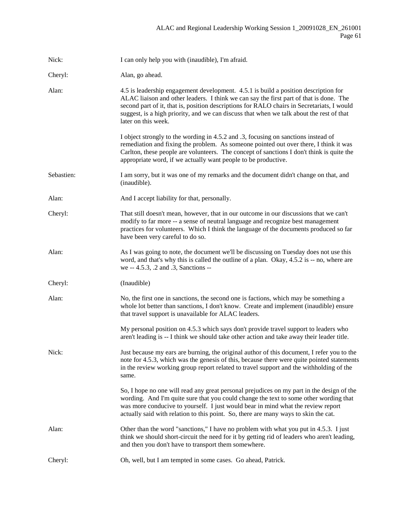| Nick:      | I can only help you with (inaudible), I'm afraid.                                                                                                                                                                                                                                                                                                                                              |
|------------|------------------------------------------------------------------------------------------------------------------------------------------------------------------------------------------------------------------------------------------------------------------------------------------------------------------------------------------------------------------------------------------------|
| Cheryl:    | Alan, go ahead.                                                                                                                                                                                                                                                                                                                                                                                |
| Alan:      | 4.5 is leadership engagement development. 4.5.1 is build a position description for<br>ALAC liaison and other leaders. I think we can say the first part of that is done. The<br>second part of it, that is, position descriptions for RALO chairs in Secretariats, I would<br>suggest, is a high priority, and we can discuss that when we talk about the rest of that<br>later on this week. |
|            | I object strongly to the wording in 4.5.2 and .3, focusing on sanctions instead of<br>remediation and fixing the problem. As someone pointed out over there, I think it was<br>Carlton, these people are volunteers. The concept of sanctions I don't think is quite the<br>appropriate word, if we actually want people to be productive.                                                     |
| Sebastien: | I am sorry, but it was one of my remarks and the document didn't change on that, and<br>(inaudible).                                                                                                                                                                                                                                                                                           |
| Alan:      | And I accept liability for that, personally.                                                                                                                                                                                                                                                                                                                                                   |
| Cheryl:    | That still doesn't mean, however, that in our outcome in our discussions that we can't<br>modify to far more -- a sense of neutral language and recognize best management<br>practices for volunteers. Which I think the language of the documents produced so far<br>have been very careful to do so.                                                                                         |
| Alan:      | As I was going to note, the document we'll be discussing on Tuesday does not use this<br>word, and that's why this is called the outline of a plan. Okay, 4.5.2 is -- no, where are<br>we -- 4.5.3, .2 and .3, Sanctions --                                                                                                                                                                    |
| Cheryl:    | (Inaudible)                                                                                                                                                                                                                                                                                                                                                                                    |
| Alan:      | No, the first one in sanctions, the second one is factions, which may be something a<br>whole lot better than sanctions, I don't know. Create and implement (inaudible) ensure<br>that travel support is unavailable for ALAC leaders.                                                                                                                                                         |
|            | My personal position on 4.5.3 which says don't provide travel support to leaders who<br>aren't leading is -- I think we should take other action and take away their leader title.                                                                                                                                                                                                             |
| Nick:      | Just because my ears are burning, the original author of this document, I refer you to the<br>note for 4.5.3, which was the genesis of this, because there were quite pointed statements<br>in the review working group report related to travel support and the withholding of the<br>same.                                                                                                   |
|            | So, I hope no one will read any great personal prejudices on my part in the design of the<br>wording. And I'm quite sure that you could change the text to some other wording that<br>was more conducive to yourself. I just would bear in mind what the review report<br>actually said with relation to this point. So, there are many ways to skin the cat.                                  |
| Alan:      | Other than the word "sanctions," I have no problem with what you put in 4.5.3. I just<br>think we should short-circuit the need for it by getting rid of leaders who aren't leading,<br>and then you don't have to transport them somewhere.                                                                                                                                                   |
| Cheryl:    | Oh, well, but I am tempted in some cases. Go ahead, Patrick.                                                                                                                                                                                                                                                                                                                                   |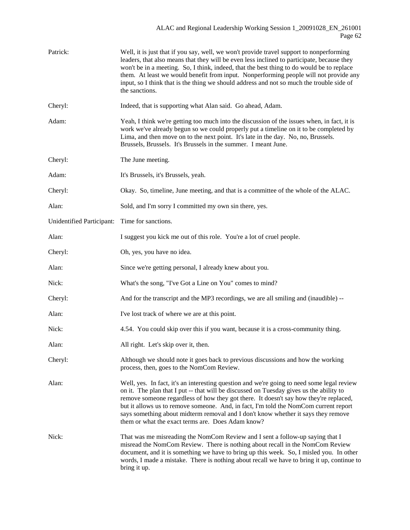| Patrick:                  | Well, it is just that if you say, well, we won't provide travel support to nonperforming<br>leaders, that also means that they will be even less inclined to participate, because they<br>won't be in a meeting. So, I think, indeed, that the best thing to do would be to replace<br>them. At least we would benefit from input. Nonperforming people will not provide any<br>input, so I think that is the thing we should address and not so much the trouble side of<br>the sanctions.                      |
|---------------------------|------------------------------------------------------------------------------------------------------------------------------------------------------------------------------------------------------------------------------------------------------------------------------------------------------------------------------------------------------------------------------------------------------------------------------------------------------------------------------------------------------------------|
| Cheryl:                   | Indeed, that is supporting what Alan said. Go ahead, Adam.                                                                                                                                                                                                                                                                                                                                                                                                                                                       |
| Adam:                     | Yeah, I think we're getting too much into the discussion of the issues when, in fact, it is<br>work we've already begun so we could properly put a timeline on it to be completed by<br>Lima, and then move on to the next point. It's late in the day. No, no, Brussels.<br>Brussels, Brussels. It's Brussels in the summer. I meant June.                                                                                                                                                                      |
| Cheryl:                   | The June meeting.                                                                                                                                                                                                                                                                                                                                                                                                                                                                                                |
| Adam:                     | It's Brussels, it's Brussels, yeah.                                                                                                                                                                                                                                                                                                                                                                                                                                                                              |
| Cheryl:                   | Okay. So, timeline, June meeting, and that is a committee of the whole of the ALAC.                                                                                                                                                                                                                                                                                                                                                                                                                              |
| Alan:                     | Sold, and I'm sorry I committed my own sin there, yes.                                                                                                                                                                                                                                                                                                                                                                                                                                                           |
| Unidentified Participant: | Time for sanctions.                                                                                                                                                                                                                                                                                                                                                                                                                                                                                              |
| Alan:                     | I suggest you kick me out of this role. You're a lot of cruel people.                                                                                                                                                                                                                                                                                                                                                                                                                                            |
| Cheryl:                   | Oh, yes, you have no idea.                                                                                                                                                                                                                                                                                                                                                                                                                                                                                       |
| Alan:                     | Since we're getting personal, I already knew about you.                                                                                                                                                                                                                                                                                                                                                                                                                                                          |
| Nick:                     | What's the song, "I've Got a Line on You" comes to mind?                                                                                                                                                                                                                                                                                                                                                                                                                                                         |
| Cheryl:                   | And for the transcript and the MP3 recordings, we are all smiling and (inaudible) --                                                                                                                                                                                                                                                                                                                                                                                                                             |
| Alan:                     | I've lost track of where we are at this point.                                                                                                                                                                                                                                                                                                                                                                                                                                                                   |
| Nick:                     | 4.54. You could skip over this if you want, because it is a cross-community thing.                                                                                                                                                                                                                                                                                                                                                                                                                               |
| Alan:                     | All right. Let's skip over it, then.                                                                                                                                                                                                                                                                                                                                                                                                                                                                             |
| Cheryl:                   | Although we should note it goes back to previous discussions and how the working<br>process, then, goes to the NomCom Review.                                                                                                                                                                                                                                                                                                                                                                                    |
| Alan:                     | Well, yes. In fact, it's an interesting question and we're going to need some legal review<br>on it. The plan that I put -- that will be discussed on Tuesday gives us the ability to<br>remove someone regardless of how they got there. It doesn't say how they're replaced,<br>but it allows us to remove someone. And, in fact, I'm told the NomCom current report<br>says something about midterm removal and I don't know whether it says they remove<br>them or what the exact terms are. Does Adam know? |
| Nick:                     | That was me misreading the NomCom Review and I sent a follow-up saying that I<br>misread the NomCom Review. There is nothing about recall in the NomCom Review<br>document, and it is something we have to bring up this week. So, I misled you. In other<br>words, I made a mistake. There is nothing about recall we have to bring it up, continue to<br>bring it up.                                                                                                                                          |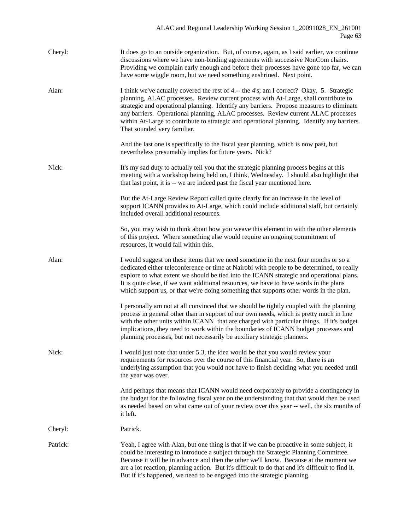| Cheryl:  | It does go to an outside organization. But, of course, again, as I said earlier, we continue<br>discussions where we have non-binding agreements with successive NonCom chairs.<br>Providing we complain early enough and before their processes have gone too far, we can<br>have some wiggle room, but we need something enshrined. Next point.                                                                                                                                               |
|----------|-------------------------------------------------------------------------------------------------------------------------------------------------------------------------------------------------------------------------------------------------------------------------------------------------------------------------------------------------------------------------------------------------------------------------------------------------------------------------------------------------|
| Alan:    | I think we've actually covered the rest of 4.-- the 4's; am I correct? Okay. 5. Strategic<br>planning, ALAC processes. Review current process with At-Large, shall contribute to<br>strategic and operational planning. Identify any barriers. Propose measures to eliminate<br>any barriers. Operational planning, ALAC processes. Review current ALAC processes<br>within At-Large to contribute to strategic and operational planning. Identify any barriers.<br>That sounded very familiar. |
|          | And the last one is specifically to the fiscal year planning, which is now past, but<br>nevertheless presumably implies for future years. Nick?                                                                                                                                                                                                                                                                                                                                                 |
| Nick:    | It's my sad duty to actually tell you that the strategic planning process begins at this<br>meeting with a workshop being held on, I think, Wednesday. I should also highlight that<br>that last point, it is -- we are indeed past the fiscal year mentioned here.                                                                                                                                                                                                                             |
|          | But the At-Large Review Report called quite clearly for an increase in the level of<br>support ICANN provides to At-Large, which could include additional staff, but certainly<br>included overall additional resources.                                                                                                                                                                                                                                                                        |
|          | So, you may wish to think about how you weave this element in with the other elements<br>of this project. Where something else would require an ongoing commitment of<br>resources, it would fall within this.                                                                                                                                                                                                                                                                                  |
| Alan:    | I would suggest on these items that we need sometime in the next four months or so a<br>dedicated either teleconference or time at Nairobi with people to be determined, to really<br>explore to what extent we should be tied into the ICANN strategic and operational plans.<br>It is quite clear, if we want additional resources, we have to have words in the plans<br>which support us, or that we're doing something that supports other words in the plan.                              |
|          | I personally am not at all convinced that we should be tightly coupled with the planning<br>process in general other than in support of our own needs, which is pretty much in line<br>with the other units within ICANN that are charged with particular things. If it's budget<br>implications, they need to work within the boundaries of ICANN budget processes and<br>planning processes, but not necessarily be auxiliary strategic planners.                                             |
| Nick:    | I would just note that under 5.3, the idea would be that you would review your<br>requirements for resources over the course of this financial year. So, there is an<br>underlying assumption that you would not have to finish deciding what you needed until<br>the year was over.                                                                                                                                                                                                            |
|          | And perhaps that means that ICANN would need corporately to provide a contingency in<br>the budget for the following fiscal year on the understanding that that would then be used<br>as needed based on what came out of your review over this year -- well, the six months of<br>it left.                                                                                                                                                                                                     |
| Cheryl:  | Patrick.                                                                                                                                                                                                                                                                                                                                                                                                                                                                                        |
| Patrick: | Yeah, I agree with Alan, but one thing is that if we can be proactive in some subject, it<br>could be interesting to introduce a subject through the Strategic Planning Committee.<br>Because it will be in advance and then the other we'll know. Because at the moment we<br>are a lot reaction, planning action. But it's difficult to do that and it's difficult to find it.<br>But if it's happened, we need to be engaged into the strategic planning.                                    |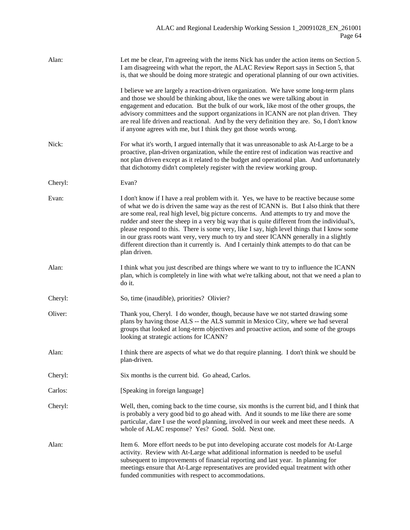| Alan:   | Let me be clear, I'm agreeing with the items Nick has under the action items on Section 5.<br>I am disagreeing with what the report, the ALAC Review Report says in Section 5, that<br>is, that we should be doing more strategic and operational planning of our own activities.                                                                                                                                                                                                                                                                                                                                                                                                   |
|---------|-------------------------------------------------------------------------------------------------------------------------------------------------------------------------------------------------------------------------------------------------------------------------------------------------------------------------------------------------------------------------------------------------------------------------------------------------------------------------------------------------------------------------------------------------------------------------------------------------------------------------------------------------------------------------------------|
|         | I believe we are largely a reaction-driven organization. We have some long-term plans<br>and those we should be thinking about, like the ones we were talking about in<br>engagement and education. But the bulk of our work, like most of the other groups, the<br>advisory committees and the support organizations in ICANN are not plan driven. They<br>are real life driven and reactional. And by the very definition they are. So, I don't know<br>if anyone agrees with me, but I think they got those words wrong.                                                                                                                                                         |
| Nick:   | For what it's worth, I argued internally that it was unreasonable to ask At-Large to be a<br>proactive, plan-driven organization, while the entire rest of indication was reactive and<br>not plan driven except as it related to the budget and operational plan. And unfortunately<br>that dichotomy didn't completely register with the review working group.                                                                                                                                                                                                                                                                                                                    |
| Cheryl: | Evan?                                                                                                                                                                                                                                                                                                                                                                                                                                                                                                                                                                                                                                                                               |
| Evan:   | I don't know if I have a real problem with it. Yes, we have to be reactive because some<br>of what we do is driven the same way as the rest of ICANN is. But I also think that there<br>are some real, real high level, big picture concerns. And attempts to try and move the<br>rudder and steer the sheep in a very big way that is quite different from the individual's,<br>please respond to this. There is some very, like I say, high level things that I know some<br>in our grass roots want very, very much to try and steer ICANN generally in a slightly<br>different direction than it currently is. And I certainly think attempts to do that can be<br>plan driven. |
| Alan:   | I think what you just described are things where we want to try to influence the ICANN<br>plan, which is completely in line with what we're talking about, not that we need a plan to<br>do it.                                                                                                                                                                                                                                                                                                                                                                                                                                                                                     |
| Cheryl: | So, time (inaudible), priorities? Olivier?                                                                                                                                                                                                                                                                                                                                                                                                                                                                                                                                                                                                                                          |
| Oliver: | Thank you, Cheryl. I do wonder, though, because have we not started drawing some<br>plans by having those ALS -- the ALS summit in Mexico City, where we had several<br>groups that looked at long-term objectives and proactive action, and some of the groups<br>looking at strategic actions for ICANN?                                                                                                                                                                                                                                                                                                                                                                          |
| Alan:   | I think there are aspects of what we do that require planning. I don't think we should be<br>plan-driven.                                                                                                                                                                                                                                                                                                                                                                                                                                                                                                                                                                           |
| Cheryl: | Six months is the current bid. Go ahead, Carlos.                                                                                                                                                                                                                                                                                                                                                                                                                                                                                                                                                                                                                                    |
| Carlos: | [Speaking in foreign language]                                                                                                                                                                                                                                                                                                                                                                                                                                                                                                                                                                                                                                                      |
| Cheryl: | Well, then, coming back to the time course, six months is the current bid, and I think that<br>is probably a very good bid to go ahead with. And it sounds to me like there are some<br>particular, dare I use the word planning, involved in our week and meet these needs. A<br>whole of ALAC response? Yes? Good. Sold. Next one.                                                                                                                                                                                                                                                                                                                                                |
| Alan:   | Item 6. More effort needs to be put into developing accurate cost models for At-Large<br>activity. Review with At-Large what additional information is needed to be useful<br>subsequent to improvements of financial reporting and last year. In planning for<br>meetings ensure that At-Large representatives are provided equal treatment with other<br>funded communities with respect to accommodations.                                                                                                                                                                                                                                                                       |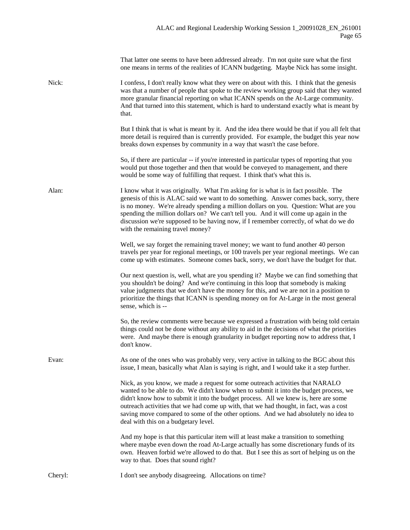|         | That latter one seems to have been addressed already. I'm not quite sure what the first<br>one means in terms of the realities of ICANN budgeting. Maybe Nick has some insight.                                                                                                                                                                                                                                                                                                           |
|---------|-------------------------------------------------------------------------------------------------------------------------------------------------------------------------------------------------------------------------------------------------------------------------------------------------------------------------------------------------------------------------------------------------------------------------------------------------------------------------------------------|
| Nick:   | I confess, I don't really know what they were on about with this. I think that the genesis<br>was that a number of people that spoke to the review working group said that they wanted<br>more granular financial reporting on what ICANN spends on the At-Large community.<br>And that turned into this statement, which is hard to understand exactly what is meant by<br>that.                                                                                                         |
|         | But I think that is what is meant by it. And the idea there would be that if you all felt that<br>more detail is required than is currently provided. For example, the budget this year now<br>breaks down expenses by community in a way that wasn't the case before.                                                                                                                                                                                                                    |
|         | So, if there are particular -- if you're interested in particular types of reporting that you<br>would put those together and then that would be conveyed to management, and there<br>would be some way of fulfilling that request. I think that's what this is.                                                                                                                                                                                                                          |
| Alan:   | I know what it was originally. What I'm asking for is what is in fact possible. The<br>genesis of this is ALAC said we want to do something. Answer comes back, sorry, there<br>is no money. We're already spending a million dollars on you. Question: What are you<br>spending the million dollars on? We can't tell you. And it will come up again in the<br>discussion we're supposed to be having now, if I remember correctly, of what do we do<br>with the remaining travel money? |
|         | Well, we say forget the remaining travel money; we want to fund another 40 person<br>travels per year for regional meetings, or 100 travels per year regional meetings. We can<br>come up with estimates. Someone comes back, sorry, we don't have the budget for that.                                                                                                                                                                                                                   |
|         | Our next question is, well, what are you spending it? Maybe we can find something that<br>you shouldn't be doing? And we're continuing in this loop that somebody is making<br>value judgments that we don't have the money for this, and we are not in a position to<br>prioritize the things that ICANN is spending money on for At-Large in the most general<br>sense, which is --                                                                                                     |
|         | So, the review comments were because we expressed a frustration with being told certain<br>things could not be done without any ability to aid in the decisions of what the priorities<br>were. And maybe there is enough granularity in budget reporting now to address that, I<br>don't know.                                                                                                                                                                                           |
| Evan:   | As one of the ones who was probably very, very active in talking to the BGC about this<br>issue, I mean, basically what Alan is saying is right, and I would take it a step further.                                                                                                                                                                                                                                                                                                      |
|         | Nick, as you know, we made a request for some outreach activities that NARALO<br>wanted to be able to do. We didn't know when to submit it into the budget process, we<br>didn't know how to submit it into the budget process. All we knew is, here are some<br>outreach activities that we had come up with, that we had thought, in fact, was a cost<br>saving move compared to some of the other options. And we had absolutely no idea to<br>deal with this on a budgetary level.    |
|         | And my hope is that this particular item will at least make a transition to something<br>where maybe even down the road At-Large actually has some discretionary funds of its<br>own. Heaven forbid we're allowed to do that. But I see this as sort of helping us on the<br>way to that. Does that sound right?                                                                                                                                                                          |
| Cheryl: | I don't see anybody disagreeing. Allocations on time?                                                                                                                                                                                                                                                                                                                                                                                                                                     |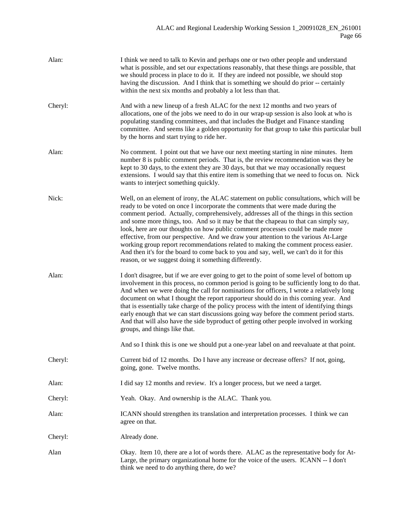| Alan:   | I think we need to talk to Kevin and perhaps one or two other people and understand<br>what is possible, and set our expectations reasonably, that these things are possible, that<br>we should process in place to do it. If they are indeed not possible, we should stop<br>having the discussion. And I think that is something we should do prior -- certainly<br>within the next six months and probably a lot less than that.                                                                                                                                                                                                                                                                                                                                                         |
|---------|---------------------------------------------------------------------------------------------------------------------------------------------------------------------------------------------------------------------------------------------------------------------------------------------------------------------------------------------------------------------------------------------------------------------------------------------------------------------------------------------------------------------------------------------------------------------------------------------------------------------------------------------------------------------------------------------------------------------------------------------------------------------------------------------|
| Cheryl: | And with a new lineup of a fresh ALAC for the next 12 months and two years of<br>allocations, one of the jobs we need to do in our wrap-up session is also look at who is<br>populating standing committees, and that includes the Budget and Finance standing<br>committee. And seems like a golden opportunity for that group to take this particular bull<br>by the horns and start trying to ride her.                                                                                                                                                                                                                                                                                                                                                                                  |
| Alan:   | No comment. I point out that we have our next meeting starting in nine minutes. Item<br>number 8 is public comment periods. That is, the review recommendation was they be<br>kept to 30 days, to the extent they are 30 days, but that we may occasionally request<br>extensions. I would say that this entire item is something that we need to focus on. Nick<br>wants to interject something quickly.                                                                                                                                                                                                                                                                                                                                                                                   |
| Nick:   | Well, on an element of irony, the ALAC statement on public consultations, which will be<br>ready to be voted on once I incorporate the comments that were made during the<br>comment period. Actually, comprehensively, addresses all of the things in this section<br>and some more things, too. And so it may be that the chapeau to that can simply say,<br>look, here are our thoughts on how public comment processes could be made more<br>effective, from our perspective. And we draw your attention to the various At-Large<br>working group report recommendations related to making the comment process easier.<br>And then it's for the board to come back to you and say, well, we can't do it for this<br>reason, or we suggest doing it something differently.               |
| Alan:   | I don't disagree, but if we are ever going to get to the point of some level of bottom up<br>involvement in this process, no common period is going to be sufficiently long to do that.<br>And when we were doing the call for nominations for officers, I wrote a relatively long<br>document on what I thought the report rapporteur should do in this coming year. And<br>that is essentially take charge of the policy process with the intent of identifying things<br>early enough that we can start discussions going way before the comment period starts.<br>And that will also have the side byproduct of getting other people involved in working<br>groups, and things like that.<br>And so I think this is one we should put a one-year label on and reevaluate at that point. |
| Cheryl: | Current bid of 12 months. Do I have any increase or decrease offers? If not, going,<br>going, gone. Twelve months.                                                                                                                                                                                                                                                                                                                                                                                                                                                                                                                                                                                                                                                                          |
| Alan:   | I did say 12 months and review. It's a longer process, but we need a target.                                                                                                                                                                                                                                                                                                                                                                                                                                                                                                                                                                                                                                                                                                                |
| Cheryl: | Yeah. Okay. And ownership is the ALAC. Thank you.                                                                                                                                                                                                                                                                                                                                                                                                                                                                                                                                                                                                                                                                                                                                           |
| Alan:   | ICANN should strengthen its translation and interpretation processes. I think we can<br>agree on that.                                                                                                                                                                                                                                                                                                                                                                                                                                                                                                                                                                                                                                                                                      |
| Cheryl: | Already done.                                                                                                                                                                                                                                                                                                                                                                                                                                                                                                                                                                                                                                                                                                                                                                               |
| Alan    | Okay. Item 10, there are a lot of words there. ALAC as the representative body for At-<br>Large, the primary organizational home for the voice of the users. ICANN -- I don't<br>think we need to do anything there, do we?                                                                                                                                                                                                                                                                                                                                                                                                                                                                                                                                                                 |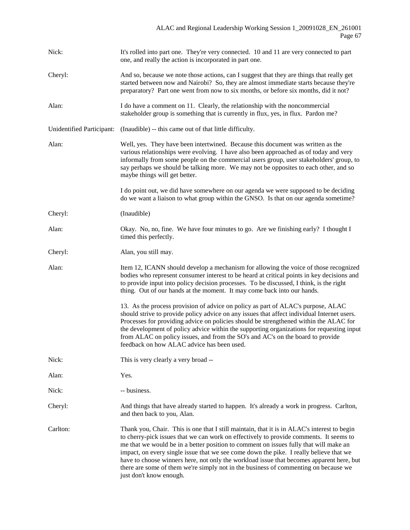| Nick:                     | It's rolled into part one. They're very connected. 10 and 11 are very connected to part<br>one, and really the action is incorporated in part one.                                                                                                                                                                                                                                                                                                                                                                                                                                     |
|---------------------------|----------------------------------------------------------------------------------------------------------------------------------------------------------------------------------------------------------------------------------------------------------------------------------------------------------------------------------------------------------------------------------------------------------------------------------------------------------------------------------------------------------------------------------------------------------------------------------------|
| Cheryl:                   | And so, because we note those actions, can I suggest that they are things that really get<br>started between now and Nairobi? So, they are almost immediate starts because they're<br>preparatory? Part one went from now to six months, or before six months, did it not?                                                                                                                                                                                                                                                                                                             |
| Alan:                     | I do have a comment on 11. Clearly, the relationship with the noncommercial<br>stakeholder group is something that is currently in flux, yes, in flux. Pardon me?                                                                                                                                                                                                                                                                                                                                                                                                                      |
| Unidentified Participant: | (Inaudible) -- this came out of that little difficulty.                                                                                                                                                                                                                                                                                                                                                                                                                                                                                                                                |
| Alan:                     | Well, yes. They have been intertwined. Because this document was written as the<br>various relationships were evolving. I have also been approached as of today and very<br>informally from some people on the commercial users group, user stakeholders' group, to<br>say perhaps we should be talking more. We may not be opposites to each other, and so<br>maybe things will get better.                                                                                                                                                                                           |
|                           | I do point out, we did have somewhere on our agenda we were supposed to be deciding<br>do we want a liaison to what group within the GNSO. Is that on our agenda sometime?                                                                                                                                                                                                                                                                                                                                                                                                             |
| Cheryl:                   | (Inaudible)                                                                                                                                                                                                                                                                                                                                                                                                                                                                                                                                                                            |
| Alan:                     | Okay. No, no, fine. We have four minutes to go. Are we finishing early? I thought I<br>timed this perfectly.                                                                                                                                                                                                                                                                                                                                                                                                                                                                           |
| Cheryl:                   | Alan, you still may.                                                                                                                                                                                                                                                                                                                                                                                                                                                                                                                                                                   |
| Alan:                     | Item 12, ICANN should develop a mechanism for allowing the voice of those recognized<br>bodies who represent consumer interest to be heard at critical points in key decisions and<br>to provide input into policy decision processes. To be discussed, I think, is the right<br>thing. Out of our hands at the moment. It may come back into our hands.                                                                                                                                                                                                                               |
|                           | 13. As the process provision of advice on policy as part of ALAC's purpose, ALAC<br>should strive to provide policy advice on any issues that affect individual Internet users.<br>Processes for providing advice on policies should be strengthened within the ALAC for<br>the development of policy advice within the supporting organizations for requesting input<br>from ALAC on policy issues, and from the SO's and AC's on the board to provide<br>feedback on how ALAC advice has been used.                                                                                  |
| Nick:                     | This is very clearly a very broad --                                                                                                                                                                                                                                                                                                                                                                                                                                                                                                                                                   |
| Alan:                     | Yes.                                                                                                                                                                                                                                                                                                                                                                                                                                                                                                                                                                                   |
| Nick:                     | -- business.                                                                                                                                                                                                                                                                                                                                                                                                                                                                                                                                                                           |
| Cheryl:                   | And things that have already started to happen. It's already a work in progress. Carlton,<br>and then back to you, Alan.                                                                                                                                                                                                                                                                                                                                                                                                                                                               |
| Carlton:                  | Thank you, Chair. This is one that I still maintain, that it is in ALAC's interest to begin<br>to cherry-pick issues that we can work on effectively to provide comments. It seems to<br>me that we would be in a better position to comment on issues fully that will make an<br>impact, on every single issue that we see come down the pike. I really believe that we<br>have to choose winners here, not only the workload issue that becomes apparent here, but<br>there are some of them we're simply not in the business of commenting on because we<br>just don't know enough. |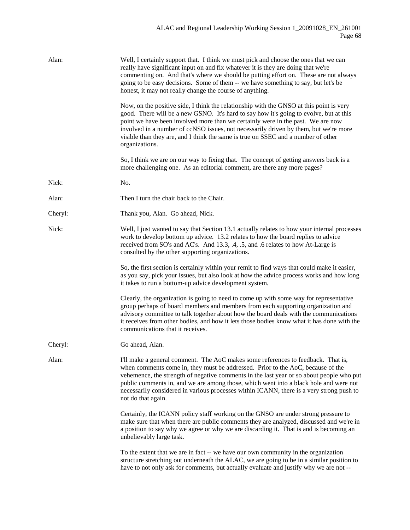| Alan:   | Well, I certainly support that. I think we must pick and choose the ones that we can<br>really have significant input on and fix whatever it is they are doing that we're<br>commenting on. And that's where we should be putting effort on. These are not always<br>going to be easy decisions. Some of them -- we have something to say, but let's be<br>honest, it may not really change the course of anything.                                                        |
|---------|----------------------------------------------------------------------------------------------------------------------------------------------------------------------------------------------------------------------------------------------------------------------------------------------------------------------------------------------------------------------------------------------------------------------------------------------------------------------------|
|         | Now, on the positive side, I think the relationship with the GNSO at this point is very<br>good. There will be a new GSNO. It's hard to say how it's going to evolve, but at this<br>point we have been involved more than we certainly were in the past. We are now<br>involved in a number of ccNSO issues, not necessarily driven by them, but we're more<br>visible than they are, and I think the same is true on SSEC and a number of other<br>organizations.        |
|         | So, I think we are on our way to fixing that. The concept of getting answers back is a<br>more challenging one. As an editorial comment, are there any more pages?                                                                                                                                                                                                                                                                                                         |
| Nick:   | No.                                                                                                                                                                                                                                                                                                                                                                                                                                                                        |
| Alan:   | Then I turn the chair back to the Chair.                                                                                                                                                                                                                                                                                                                                                                                                                                   |
| Cheryl: | Thank you, Alan. Go ahead, Nick.                                                                                                                                                                                                                                                                                                                                                                                                                                           |
| Nick:   | Well, I just wanted to say that Section 13.1 actually relates to how your internal processes<br>work to develop bottom up advice. 13.2 relates to how the board replies to advice<br>received from SO's and AC's. And 13.3, .4, .5, and .6 relates to how At-Large is<br>consulted by the other supporting organizations.                                                                                                                                                  |
|         | So, the first section is certainly within your remit to find ways that could make it easier,<br>as you say, pick your issues, but also look at how the advice process works and how long<br>it takes to run a bottom-up advice development system.                                                                                                                                                                                                                         |
|         | Clearly, the organization is going to need to come up with some way for representative<br>group perhaps of board members and members from each supporting organization and<br>advisory committee to talk together about how the board deals with the communications<br>it receives from other bodies, and how it lets those bodies know what it has done with the<br>communications that it receives.                                                                      |
| Cheryl: | Go ahead, Alan.                                                                                                                                                                                                                                                                                                                                                                                                                                                            |
| Alan:   | I'll make a general comment. The AoC makes some references to feedback. That is,<br>when comments come in, they must be addressed. Prior to the AoC, because of the<br>vehemence, the strength of negative comments in the last year or so about people who put<br>public comments in, and we are among those, which went into a black hole and were not<br>necessarily considered in various processes within ICANN, there is a very strong push to<br>not do that again. |
|         | Certainly, the ICANN policy staff working on the GNSO are under strong pressure to<br>make sure that when there are public comments they are analyzed, discussed and we're in<br>a position to say why we agree or why we are discarding it. That is and is becoming an<br>unbelievably large task.                                                                                                                                                                        |
|         | To the extent that we are in fact -- we have our own community in the organization<br>structure stretching out underneath the ALAC, we are going to be in a similar position to<br>have to not only ask for comments, but actually evaluate and justify why we are not --                                                                                                                                                                                                  |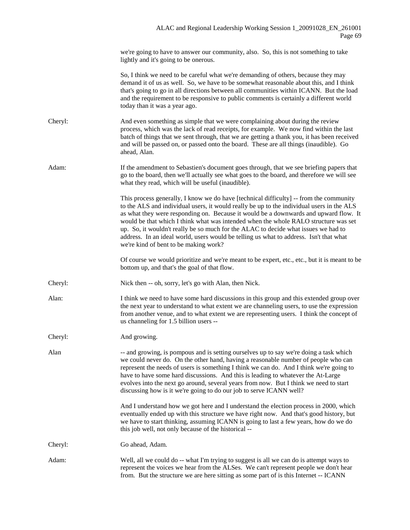we're going to have to answer our community, also. So, this is not something to take lightly and it's going to be onerous.

So, I think we need to be careful what we're demanding of others, because they may demand it of us as well. So, we have to be somewhat reasonable about this, and I think that's going to go in all directions between all communities within ICANN. But the load and the requirement to be responsive to public comments is certainly a different world today than it was a year ago.

Cheryl: And even something as simple that we were complaining about during the review process, which was the lack of read receipts, for example. We now find within the last batch of things that we sent through, that we are getting a thank you, it has been received and will be passed on, or passed onto the board. These are all things (inaudible). Go ahead, Alan.

Adam: If the amendment to Sebastien's document goes through, that we see briefing papers that go to the board, then we'll actually see what goes to the board, and therefore we will see what they read, which will be useful (inaudible).

> This process generally, I know we do have [technical difficulty] -- from the community to the ALS and individual users, it would really be up to the individual users in the ALS as what they were responding on. Because it would be a downwards and upward flow. It would be that which I think what was intended when the whole RALO structure was set up. So, it wouldn't really be so much for the ALAC to decide what issues we had to address. In an ideal world, users would be telling us what to address. Isn't that what we're kind of bent to be making work?

> Of course we would prioritize and we're meant to be expert, etc., etc., but it is meant to be bottom up, and that's the goal of that flow.

- Cheryl: Nick then -- oh, sorry, let's go with Alan, then Nick.
- Alan: I think we need to have some hard discussions in this group and this extended group over the next year to understand to what extent we are channeling users, to use the expression from another venue, and to what extent we are representing users. I think the concept of us channeling for 1.5 billion users --

Cheryl: And growing.

Alan -- and growing, is pompous and is setting ourselves up to say we're doing a task which we could never do. On the other hand, having a reasonable number of people who can represent the needs of users is something I think we can do. And I think we're going to have to have some hard discussions. And this is leading to whatever the At-Large evolves into the next go around, several years from now. But I think we need to start discussing how is it we're going to do our job to serve ICANN well?

> And I understand how we got here and I understand the election process in 2000, which eventually ended up with this structure we have right now. And that's good history, but we have to start thinking, assuming ICANN is going to last a few years, how do we do this job well, not only because of the historical --

Cheryl: Go ahead, Adam.

Adam: Well, all we could do -- what I'm trying to suggest is all we can do is attempt ways to represent the voices we hear from the ALSes. We can't represent people we don't hear from. But the structure we are here sitting as some part of is this Internet -- ICANN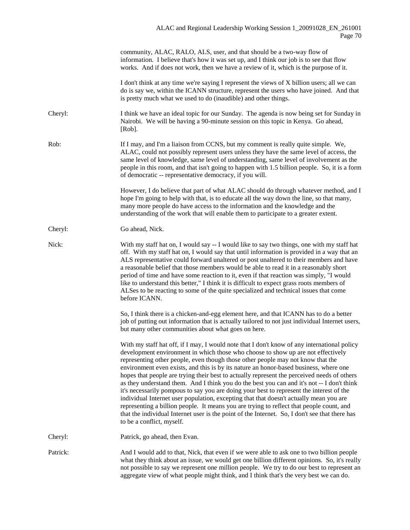|          | community, ALAC, RALO, ALS, user, and that should be a two-way flow of<br>information. I believe that's how it was set up, and I think our job is to see that flow<br>works. And if does not work, then we have a review of it, which is the purpose of it.                                                                                                                                                                                                                                                                                                                                                                                                                                                                                                                                                                                                                                                                                                               |
|----------|---------------------------------------------------------------------------------------------------------------------------------------------------------------------------------------------------------------------------------------------------------------------------------------------------------------------------------------------------------------------------------------------------------------------------------------------------------------------------------------------------------------------------------------------------------------------------------------------------------------------------------------------------------------------------------------------------------------------------------------------------------------------------------------------------------------------------------------------------------------------------------------------------------------------------------------------------------------------------|
|          | I don't think at any time we're saying I represent the views of X billion users; all we can<br>do is say we, within the ICANN structure, represent the users who have joined. And that<br>is pretty much what we used to do (inaudible) and other things.                                                                                                                                                                                                                                                                                                                                                                                                                                                                                                                                                                                                                                                                                                                 |
| Cheryl:  | I think we have an ideal topic for our Sunday. The agenda is now being set for Sunday in<br>Nairobi. We will be having a 90-minute session on this topic in Kenya. Go ahead,<br>[Rob].                                                                                                                                                                                                                                                                                                                                                                                                                                                                                                                                                                                                                                                                                                                                                                                    |
| Rob:     | If I may, and I'm a liaison from CCNS, but my comment is really quite simple. We,<br>ALAC, could not possibly represent users unless they have the same level of access, the<br>same level of knowledge, same level of understanding, same level of involvement as the<br>people in this room, and that isn't going to happen with 1.5 billion people. So, it is a form<br>of democratic -- representative democracy, if you will.                                                                                                                                                                                                                                                                                                                                                                                                                                                                                                                                        |
|          | However, I do believe that part of what ALAC should do through whatever method, and I<br>hope I'm going to help with that, is to educate all the way down the line, so that many,<br>many more people do have access to the information and the knowledge and the<br>understanding of the work that will enable them to participate to a greater extent.                                                                                                                                                                                                                                                                                                                                                                                                                                                                                                                                                                                                                  |
| Cheryl:  | Go ahead, Nick.                                                                                                                                                                                                                                                                                                                                                                                                                                                                                                                                                                                                                                                                                                                                                                                                                                                                                                                                                           |
| Nick:    | With my staff hat on, I would say -- I would like to say two things, one with my staff hat<br>off. With my staff hat on, I would say that until information is provided in a way that an<br>ALS representative could forward unaltered or post unaltered to their members and have<br>a reasonable belief that those members would be able to read it in a reasonably short<br>period of time and have some reaction to it, even if that reaction was simply, "I would<br>like to understand this better," I think it is difficult to expect grass roots members of<br>ALSes to be reacting to some of the quite specialized and technical issues that come<br>before ICANN.                                                                                                                                                                                                                                                                                              |
|          | So, I think there is a chicken-and-egg element here, and that ICANN has to do a better<br>job of putting out information that is actually tailored to not just individual Internet users,<br>but many other communities about what goes on here.                                                                                                                                                                                                                                                                                                                                                                                                                                                                                                                                                                                                                                                                                                                          |
|          | With my staff hat off, if I may, I would note that I don't know of any international policy<br>development environment in which those who choose to show up are not effectively<br>representing other people, even though those other people may not know that the<br>environment even exists, and this is by its nature an honor-based business, where one<br>hopes that people are trying their best to actually represent the perceived needs of others<br>as they understand them. And I think you do the best you can and it's not -- I don't think<br>it's necessarily pompous to say you are doing your best to represent the interest of the<br>individual Internet user population, excepting that that doesn't actually mean you are<br>representing a billion people. It means you are trying to reflect that people count, and<br>that the individual Internet user is the point of the Internet. So, I don't see that there has<br>to be a conflict, myself. |
| Cheryl:  | Patrick, go ahead, then Evan.                                                                                                                                                                                                                                                                                                                                                                                                                                                                                                                                                                                                                                                                                                                                                                                                                                                                                                                                             |
| Patrick: | And I would add to that, Nick, that even if we were able to ask one to two billion people<br>what they think about an issue, we would get one billion different opinions. So, it's really<br>not possible to say we represent one million people. We try to do our best to represent an<br>aggregate view of what people might think, and I think that's the very best we can do.                                                                                                                                                                                                                                                                                                                                                                                                                                                                                                                                                                                         |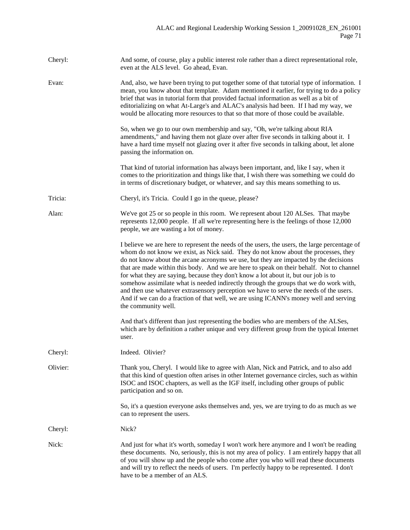| Cheryl:  | And some, of course, play a public interest role rather than a direct representational role,<br>even at the ALS level. Go ahead, Evan.                                                                                                                                                                                                                                                                                                                                                                                                                                                                                                                                                                                                                             |
|----------|--------------------------------------------------------------------------------------------------------------------------------------------------------------------------------------------------------------------------------------------------------------------------------------------------------------------------------------------------------------------------------------------------------------------------------------------------------------------------------------------------------------------------------------------------------------------------------------------------------------------------------------------------------------------------------------------------------------------------------------------------------------------|
| Evan:    | And, also, we have been trying to put together some of that tutorial type of information. I<br>mean, you know about that template. Adam mentioned it earlier, for trying to do a policy<br>brief that was in tutorial form that provided factual information as well as a bit of<br>editorializing on what At-Large's and ALAC's analysis had been. If I had my way, we<br>would be allocating more resources to that so that more of those could be available.                                                                                                                                                                                                                                                                                                    |
|          | So, when we go to our own membership and say, "Oh, we're talking about RIA<br>amendments," and having them not glaze over after five seconds in talking about it. I<br>have a hard time myself not glazing over it after five seconds in talking about, let alone<br>passing the information on.                                                                                                                                                                                                                                                                                                                                                                                                                                                                   |
|          | That kind of tutorial information has always been important, and, like I say, when it<br>comes to the prioritization and things like that, I wish there was something we could do<br>in terms of discretionary budget, or whatever, and say this means something to us.                                                                                                                                                                                                                                                                                                                                                                                                                                                                                            |
| Tricia:  | Cheryl, it's Tricia. Could I go in the queue, please?                                                                                                                                                                                                                                                                                                                                                                                                                                                                                                                                                                                                                                                                                                              |
| Alan:    | We've got 25 or so people in this room. We represent about 120 ALSes. That maybe<br>represents 12,000 people. If all we're representing here is the feelings of those 12,000<br>people, we are wasting a lot of money.                                                                                                                                                                                                                                                                                                                                                                                                                                                                                                                                             |
|          | I believe we are here to represent the needs of the users, the users, the large percentage of<br>whom do not know we exist, as Nick said. They do not know about the processes, they<br>do not know about the arcane acronyms we use, but they are impacted by the decisions<br>that are made within this body. And we are here to speak on their behalf. Not to channel<br>for what they are saying, because they don't know a lot about it, but our job is to<br>somehow assimilate what is needed indirectly through the groups that we do work with,<br>and then use whatever extrasensory perception we have to serve the needs of the users.<br>And if we can do a fraction of that well, we are using ICANN's money well and serving<br>the community well. |
|          | And that's different than just representing the bodies who are members of the ALSes,<br>which are by definition a rather unique and very different group from the typical Internet<br>user.                                                                                                                                                                                                                                                                                                                                                                                                                                                                                                                                                                        |
| Cheryl:  | Indeed. Olivier?                                                                                                                                                                                                                                                                                                                                                                                                                                                                                                                                                                                                                                                                                                                                                   |
| Olivier: | Thank you, Cheryl. I would like to agree with Alan, Nick and Patrick, and to also add<br>that this kind of question often arises in other Internet governance circles, such as within<br>ISOC and ISOC chapters, as well as the IGF itself, including other groups of public<br>participation and so on.                                                                                                                                                                                                                                                                                                                                                                                                                                                           |
|          | So, it's a question everyone asks themselves and, yes, we are trying to do as much as we<br>can to represent the users.                                                                                                                                                                                                                                                                                                                                                                                                                                                                                                                                                                                                                                            |
| Cheryl:  | Nick?                                                                                                                                                                                                                                                                                                                                                                                                                                                                                                                                                                                                                                                                                                                                                              |
| Nick:    | And just for what it's worth, someday I won't work here anymore and I won't be reading<br>these documents. No, seriously, this is not my area of policy. I am entirely happy that all<br>of you will show up and the people who come after you who will read these documents<br>and will try to reflect the needs of users. I'm perfectly happy to be represented. I don't<br>have to be a member of an ALS.                                                                                                                                                                                                                                                                                                                                                       |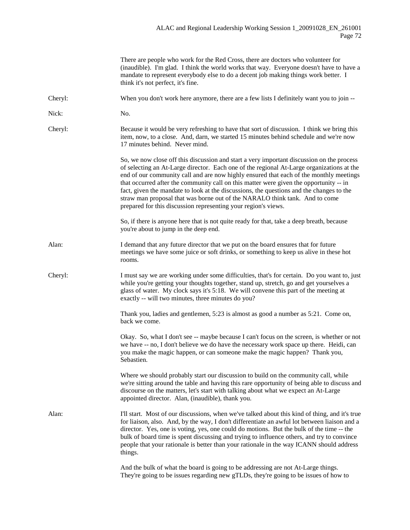|         | There are people who work for the Red Cross, there are doctors who volunteer for<br>(inaudible). I'm glad. I think the world works that way. Everyone doesn't have to have a<br>mandate to represent everybody else to do a decent job making things work better. I<br>think it's not perfect, it's fine.                                                                                                                                                                                                                                                                                                               |
|---------|-------------------------------------------------------------------------------------------------------------------------------------------------------------------------------------------------------------------------------------------------------------------------------------------------------------------------------------------------------------------------------------------------------------------------------------------------------------------------------------------------------------------------------------------------------------------------------------------------------------------------|
| Cheryl: | When you don't work here anymore, there are a few lists I definitely want you to join --                                                                                                                                                                                                                                                                                                                                                                                                                                                                                                                                |
| Nick:   | No.                                                                                                                                                                                                                                                                                                                                                                                                                                                                                                                                                                                                                     |
| Cheryl: | Because it would be very refreshing to have that sort of discussion. I think we bring this<br>item, now, to a close. And, darn, we started 15 minutes behind schedule and we're now<br>17 minutes behind. Never mind.                                                                                                                                                                                                                                                                                                                                                                                                   |
|         | So, we now close off this discussion and start a very important discussion on the process<br>of selecting an At-Large director. Each one of the regional At-Large organizations at the<br>end of our community call and are now highly ensured that each of the monthly meetings<br>that occurred after the community call on this matter were given the opportunity -- in<br>fact, given the mandate to look at the discussions, the questions and the changes to the<br>straw man proposal that was borne out of the NARALO think tank. And to come<br>prepared for this discussion representing your region's views. |
|         | So, if there is anyone here that is not quite ready for that, take a deep breath, because<br>you're about to jump in the deep end.                                                                                                                                                                                                                                                                                                                                                                                                                                                                                      |
| Alan:   | I demand that any future director that we put on the board ensures that for future<br>meetings we have some juice or soft drinks, or something to keep us alive in these hot<br>rooms.                                                                                                                                                                                                                                                                                                                                                                                                                                  |
| Cheryl: | I must say we are working under some difficulties, that's for certain. Do you want to, just<br>while you're getting your thoughts together, stand up, stretch, go and get yourselves a<br>glass of water. My clock says it's 5:18. We will convene this part of the meeting at<br>exactly -- will two minutes, three minutes do you?                                                                                                                                                                                                                                                                                    |
|         | Thank you, ladies and gentlemen, 5:23 is almost as good a number as 5:21. Come on,<br>back we come.                                                                                                                                                                                                                                                                                                                                                                                                                                                                                                                     |
|         | Okay. So, what I don't see -- maybe because I can't focus on the screen, is whether or not<br>we have -- no, I don't believe we do have the necessary work space up there. Heidi, can<br>you make the magic happen, or can someone make the magic happen? Thank you,<br>Sebastien.                                                                                                                                                                                                                                                                                                                                      |
|         | Where we should probably start our discussion to build on the community call, while<br>we're sitting around the table and having this rare opportunity of being able to discuss and<br>discourse on the matters, let's start with talking about what we expect an At-Large<br>appointed director. Alan, (inaudible), thank you.                                                                                                                                                                                                                                                                                         |
| Alan:   | I'll start. Most of our discussions, when we've talked about this kind of thing, and it's true<br>for liaison, also. And, by the way, I don't differentiate an awful lot between liaison and a<br>director. Yes, one is voting, yes, one could do motions. But the bulk of the time -- the<br>bulk of board time is spent discussing and trying to influence others, and try to convince<br>people that your rationale is better than your rationale in the way ICANN should address<br>things.                                                                                                                         |
|         | And the bulk of what the board is going to be addressing are not At-Large things.<br>They're going to be issues regarding new gTLDs, they're going to be issues of how to                                                                                                                                                                                                                                                                                                                                                                                                                                               |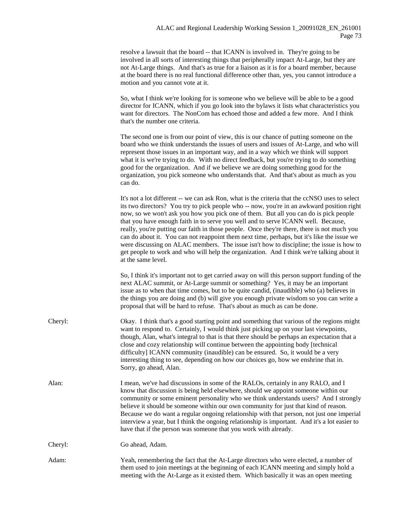resolve a lawsuit that the board -- that ICANN is involved in. They're going to be involved in all sorts of interesting things that peripherally impact At-Large, but they are not At-Large things. And that's as true for a liaison as it is for a board member, because at the board there is no real functional difference other than, yes, you cannot introduce a motion and you cannot vote at it.

So, what I think we're looking for is someone who we believe will be able to be a good director for ICANN, which if you go look into the bylaws it lists what characteristics you want for directors. The NonCom has echoed those and added a few more. And I think that's the number one criteria.

The second one is from our point of view, this is our chance of putting someone on the board who we think understands the issues of users and issues of At-Large, and who will represent those issues in an important way, and in a way which we think will support what it is we're trying to do. With no direct feedback, but you're trying to do something good for the organization. And if we believe we are doing something good for the organization, you pick someone who understands that. And that's about as much as you can do.

It's not a lot different -- we can ask Ron, what is the criteria that the ccNSO uses to select its two directors? You try to pick people who -- now, you're in an awkward position right now, so we won't ask you how you pick one of them. But all you can do is pick people that you have enough faith in to serve you well and to serve ICANN well. Because, really, you're putting our faith in those people. Once they're there, there is not much you can do about it. You can not reappoint them next time, perhaps, but it's like the issue we were discussing on ALAC members. The issue isn't how to discipline; the issue is how to get people to work and who will help the organization. And I think we're talking about it at the same level.

So, I think it's important not to get carried away on will this person support funding of the next ALAC summit, or At-Large summit or something? Yes, it may be an important issue as to when that time comes, but to be quite candid, (inaudible) who (a) believes in the things you are doing and (b) will give you enough private wisdom so you can write a proposal that will be hard to refuse. That's about as much as can be done.

- Cheryl: Okay. I think that's a good starting point and something that various of the regions might want to respond to. Certainly, I would think just picking up on your last viewpoints, though, Alan, what's integral to that is that there should be perhaps an expectation that a close and cozy relationship will continue between the appointing body [technical difficulty] ICANN community (inaudible) can be ensured. So, it would be a very interesting thing to see, depending on how our choices go, how we enshrine that in. Sorry, go ahead, Alan.
- Alan: I mean, we've had discussions in some of the RALOs, certainly in any RALO, and I know that discussion is being held elsewhere, should we appoint someone within our community or some eminent personality who we think understands users? And I strongly believe it should be someone within our own community for just that kind of reason. Because we do want a regular ongoing relationship with that person, not just one imperial interview a year, but I think the ongoing relationship is important. And it's a lot easier to have that if the person was someone that you work with already.

Cheryl: Go ahead, Adam.

Adam: Yeah, remembering the fact that the At-Large directors who were elected, a number of them used to join meetings at the beginning of each ICANN meeting and simply hold a meeting with the At-Large as it existed them. Which basically it was an open meeting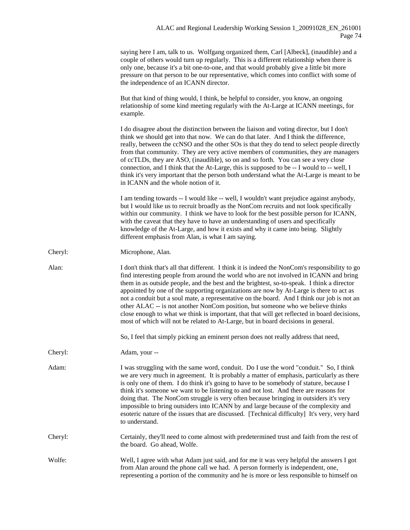|         | saying here I am, talk to us. Wolfgang organized them, Carl [Albeck], (inaudible) and a<br>couple of others would turn up regularly. This is a different relationship when there is<br>only one, because it's a bit one-to-one, and that would probably give a little bit more<br>pressure on that person to be our representative, which comes into conflict with some of<br>the independence of an ICANN director.                                                                                                                                                                                                                                                                                                                                     |
|---------|----------------------------------------------------------------------------------------------------------------------------------------------------------------------------------------------------------------------------------------------------------------------------------------------------------------------------------------------------------------------------------------------------------------------------------------------------------------------------------------------------------------------------------------------------------------------------------------------------------------------------------------------------------------------------------------------------------------------------------------------------------|
|         | But that kind of thing would, I think, be helpful to consider, you know, an ongoing<br>relationship of some kind meeting regularly with the At-Large at ICANN meetings, for<br>example.                                                                                                                                                                                                                                                                                                                                                                                                                                                                                                                                                                  |
|         | I do disagree about the distinction between the liaison and voting director, but I don't<br>think we should get into that now. We can do that later. And I think the difference,<br>really, between the ccNSO and the other SOs is that they do tend to select people directly<br>from that community. They are very active members of communities, they are managers<br>of ccTLDs, they are ASO, (inaudible), so on and so forth. You can see a very close<br>connection, and I think that the At-Large, this is supposed to be -- I would to -- well, I<br>think it's very important that the person both understand what the At-Large is meant to be<br>in ICANN and the whole notion of it.                                                          |
|         | I am tending towards -- I would like -- well, I wouldn't want prejudice against anybody,<br>but I would like us to recruit broadly as the NonCom recruits and not look specifically<br>within our community. I think we have to look for the best possible person for ICANN,<br>with the caveat that they have to have an understanding of users and specifically<br>knowledge of the At-Large, and how it exists and why it came into being. Slightly<br>different emphasis from Alan, is what I am saying.                                                                                                                                                                                                                                             |
| Cheryl: | Microphone, Alan.                                                                                                                                                                                                                                                                                                                                                                                                                                                                                                                                                                                                                                                                                                                                        |
| Alan:   | I don't think that's all that different. I think it is indeed the NonCom's responsibility to go<br>find interesting people from around the world who are not involved in ICANN and bring<br>them in as outside people, and the best and the brightest, so-to-speak. I think a director<br>appointed by one of the supporting organizations are now by At-Large is there to act as<br>not a conduit but a soul mate, a representative on the board. And I think our job is not an<br>other ALAC -- is not another NonCom position, but someone who we believe thinks<br>close enough to what we think is important, that that will get reflected in board decisions,<br>most of which will not be related to At-Large, but in board decisions in general. |
|         | So, I feel that simply picking an eminent person does not really address that need,                                                                                                                                                                                                                                                                                                                                                                                                                                                                                                                                                                                                                                                                      |
| Cheryl: | Adam, your --                                                                                                                                                                                                                                                                                                                                                                                                                                                                                                                                                                                                                                                                                                                                            |
| Adam:   | I was struggling with the same word, conduit. Do I use the word "conduit." So, I think<br>we are very much in agreement. It is probably a matter of emphasis, particularly as there<br>is only one of them. I do think it's going to have to be somebody of stature, because I<br>think it's someone we want to be listening to and not lost. And there are reasons for<br>doing that. The NonCom struggle is very often because bringing in outsiders it's very<br>impossible to bring outsiders into ICANN by and large because of the complexity and<br>esoteric nature of the issues that are discussed. [Technical difficulty] It's very, very hard<br>to understand.                                                                               |
| Cheryl: | Certainly, they'll need to come almost with predetermined trust and faith from the rest of<br>the board. Go ahead, Wolfe.                                                                                                                                                                                                                                                                                                                                                                                                                                                                                                                                                                                                                                |
| Wolfe:  | Well, I agree with what Adam just said, and for me it was very helpful the answers I got<br>from Alan around the phone call we had. A person formerly is independent, one,<br>representing a portion of the community and he is more or less responsible to himself on                                                                                                                                                                                                                                                                                                                                                                                                                                                                                   |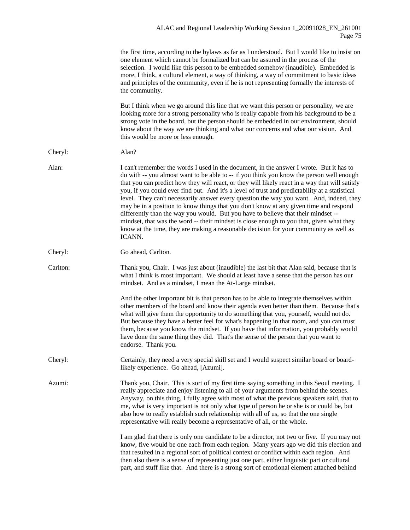the first time, according to the bylaws as far as I understood. But I would like to insist on one element which cannot be formalized but can be assured in the process of the selection. I would like this person to be embedded somehow (inaudible). Embedded is more, I think, a cultural element, a way of thinking, a way of commitment to basic ideas and principles of the community, even if he is not representing formally the interests of the community.

But I think when we go around this line that we want this person or personality, we are looking more for a strong personality who is really capable from his background to be a strong vote in the board, but the person should be embedded in our environment, should know about the way we are thinking and what our concerns and what our vision. And this would be more or less enough.

- Cheryl: Alan?
- Alan: I can't remember the words I used in the document, in the answer I wrote. But it has to do with -- you almost want to be able to -- if you think you know the person well enough that you can predict how they will react, or they will likely react in a way that will satisfy you, if you could ever find out. And it's a level of trust and predictability at a statistical level. They can't necessarily answer every question the way you want. And, indeed, they may be in a position to know things that you don't know at any given time and respond differently than the way you would. But you have to believe that their mindset - mindset, that was the word -- their mindset is close enough to you that, given what they know at the time, they are making a reasonable decision for your community as well as ICANN.

Cheryl: Go ahead, Carlton.

Carlton: Thank you, Chair. I was just about (inaudible) the last bit that Alan said, because that is what I think is most important. We should at least have a sense that the person has our mindset. And as a mindset, I mean the At-Large mindset.

> And the other important bit is that person has to be able to integrate themselves within other members of the board and know their agenda even better than them. Because that's what will give them the opportunity to do something that you, yourself, would not do. But because they have a better feel for what's happening in that room, and you can trust them, because you know the mindset. If you have that information, you probably would have done the same thing they did. That's the sense of the person that you want to endorse. Thank you.

Cheryl: Certainly, they need a very special skill set and I would suspect similar board or boardlikely experience. Go ahead, [Azumi].

Azumi: Thank you, Chair. This is sort of my first time saying something in this Seoul meeting. I really appreciate and enjoy listening to all of your arguments from behind the scenes. Anyway, on this thing, I fully agree with most of what the previous speakers said, that to me, what is very important is not only what type of person he or she is or could be, but also how to really establish such relationship with all of us, so that the one single representative will really become a representative of all, or the whole.

> I am glad that there is only one candidate to be a director, not two or five. If you may not know, five would be one each from each region. Many years ago we did this election and that resulted in a regional sort of political context or conflict within each region. And then also there is a sense of representing just one part, either linguistic part or cultural part, and stuff like that. And there is a strong sort of emotional element attached behind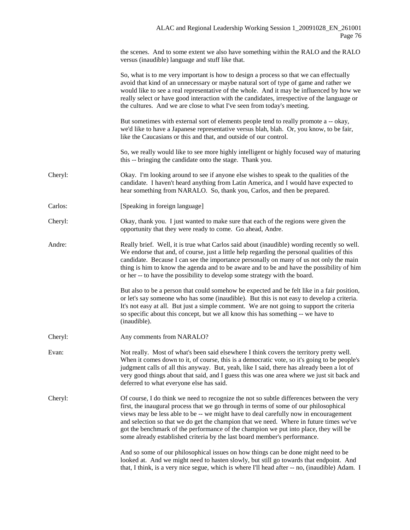the scenes. And to some extent we also have something within the RALO and the RALO versus (inaudible) language and stuff like that.

|         | So, what is to me very important is how to design a process so that we can effectually<br>avoid that kind of an unnecessary or maybe natural sort of type of game and rather we<br>would like to see a real representative of the whole. And it may be influenced by how we<br>really select or have good interaction with the candidates, irrespective of the language or<br>the cultures. And we are close to what I've seen from today's meeting.                                                                                      |
|---------|-------------------------------------------------------------------------------------------------------------------------------------------------------------------------------------------------------------------------------------------------------------------------------------------------------------------------------------------------------------------------------------------------------------------------------------------------------------------------------------------------------------------------------------------|
|         | But sometimes with external sort of elements people tend to really promote a -- okay,<br>we'd like to have a Japanese representative versus blah, blah. Or, you know, to be fair,<br>like the Caucasians or this and that, and outside of our control.                                                                                                                                                                                                                                                                                    |
|         | So, we really would like to see more highly intelligent or highly focused way of maturing<br>this -- bringing the candidate onto the stage. Thank you.                                                                                                                                                                                                                                                                                                                                                                                    |
| Cheryl: | Okay. I'm looking around to see if anyone else wishes to speak to the qualities of the<br>candidate. I haven't heard anything from Latin America, and I would have expected to<br>hear something from NARALO. So, thank you, Carlos, and then be prepared.                                                                                                                                                                                                                                                                                |
| Carlos: | [Speaking in foreign language]                                                                                                                                                                                                                                                                                                                                                                                                                                                                                                            |
| Cheryl: | Okay, thank you. I just wanted to make sure that each of the regions were given the<br>opportunity that they were ready to come. Go ahead, Andre.                                                                                                                                                                                                                                                                                                                                                                                         |
| Andre:  | Really brief. Well, it is true what Carlos said about (inaudible) wording recently so well.<br>We endorse that and, of course, just a little help regarding the personal qualities of this<br>candidate. Because I can see the importance personally on many of us not only the main<br>thing is him to know the agenda and to be aware and to be and have the possibility of him<br>or her -- to have the possibility to develop some strategy with the board.                                                                           |
|         | But also to be a person that could somehow be expected and be felt like in a fair position,<br>or let's say someone who has some (inaudible). But this is not easy to develop a criteria.<br>It's not easy at all. But just a simple comment. We are not going to support the criteria<br>so specific about this concept, but we all know this has something -- we have to<br>(inaudible).                                                                                                                                                |
| Cheryl: | Any comments from NARALO?                                                                                                                                                                                                                                                                                                                                                                                                                                                                                                                 |
| Evan:   | Not really. Most of what's been said elsewhere I think covers the territory pretty well.<br>When it comes down to it, of course, this is a democratic vote, so it's going to be people's<br>judgment calls of all this anyway. But, yeah, like I said, there has already been a lot of<br>very good things about that said, and I guess this was one area where we just sit back and<br>deferred to what everyone else has said.                                                                                                          |
| Cheryl: | Of course, I do think we need to recognize the not so subtle differences between the very<br>first, the inaugural process that we go through in terms of some of our philosophical<br>views may be less able to be -- we might have to deal carefully now in encouragement<br>and selection so that we do get the champion that we need. Where in future times we've<br>got the benchmark of the performance of the champion we put into place, they will be<br>some already established criteria by the last board member's performance. |
|         | And so some of our philosophical issues on how things can be done might need to be<br>looked at. And we might need to hasten slowly, but still go towards that endpoint. And<br>that, I think, is a very nice segue, which is where I'll head after -- no, (inaudible) Adam. I                                                                                                                                                                                                                                                            |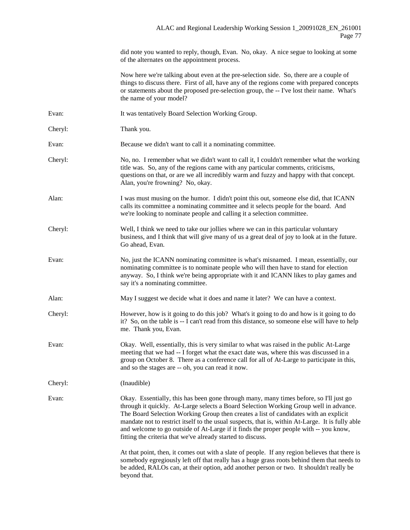did note you wanted to reply, though, Evan. No, okay. A nice segue to looking at some of the alternates on the appointment process.

Now here we're talking about even at the pre-selection side. So, there are a couple of things to discuss there. First of all, have any of the regions come with prepared concepts or statements about the proposed pre-selection group, the -- I've lost their name. What's the name of your model?

- Evan: It was tentatively Board Selection Working Group.
- Cheryl: Thank you.

Evan: Because we didn't want to call it a nominating committee.

- Cheryl: No, no. I remember what we didn't want to call it, I couldn't remember what the working title was. So, any of the regions came with any particular comments, criticisms, questions on that, or are we all incredibly warm and fuzzy and happy with that concept. Alan, you're frowning? No, okay.
- Alan: I was must musing on the humor. I didn't point this out, someone else did, that ICANN calls its committee a nominating committee and it selects people for the board. And we're looking to nominate people and calling it a selection committee.
- Cheryl: Well, I think we need to take our jollies where we can in this particular voluntary business, and I think that will give many of us a great deal of joy to look at in the future. Go ahead, Evan.
- Evan: No, just the ICANN nominating committee is what's misnamed. I mean, essentially, our nominating committee is to nominate people who will then have to stand for election anyway. So, I think we're being appropriate with it and ICANN likes to play games and say it's a nominating committee.
- Alan: May I suggest we decide what it does and name it later? We can have a context.
- Cheryl: However, how is it going to do this job? What's it going to do and how is it going to do it? So, on the table is -- I can't read from this distance, so someone else will have to help me. Thank you, Evan.
- Evan: Okay. Well, essentially, this is very similar to what was raised in the public At-Large meeting that we had -- I forget what the exact date was, where this was discussed in a group on October 8. There as a conference call for all of At-Large to participate in this, and so the stages are -- oh, you can read it now.

Cheryl: (Inaudible)

Evan: Okay. Essentially, this has been gone through many, many times before, so I'll just go through it quickly. At-Large selects a Board Selection Working Group well in advance. The Board Selection Working Group then creates a list of candidates with an explicit mandate not to restrict itself to the usual suspects, that is, within At-Large. It is fully able and welcome to go outside of At-Large if it finds the proper people with -- you know, fitting the criteria that we've already started to discuss.

> At that point, then, it comes out with a slate of people. If any region believes that there is somebody egregiously left off that really has a huge grass roots behind them that needs to be added, RALOs can, at their option, add another person or two. It shouldn't really be beyond that.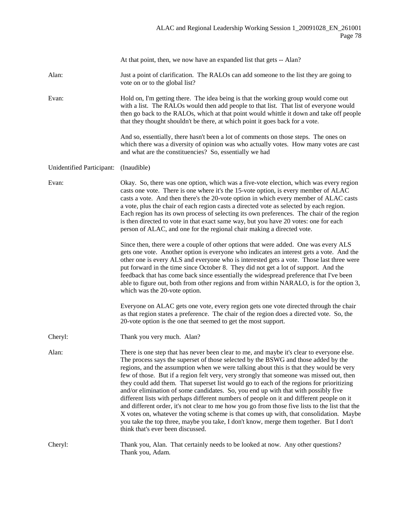|                           | At that point, then, we now have an expanded list that gets -- Alan?                                                                                                                                                                                                                                                                                                                                                                                                                                                                                                                                                                                                                                                                                                                                                                                                                                                                                                              |
|---------------------------|-----------------------------------------------------------------------------------------------------------------------------------------------------------------------------------------------------------------------------------------------------------------------------------------------------------------------------------------------------------------------------------------------------------------------------------------------------------------------------------------------------------------------------------------------------------------------------------------------------------------------------------------------------------------------------------------------------------------------------------------------------------------------------------------------------------------------------------------------------------------------------------------------------------------------------------------------------------------------------------|
| Alan:                     | Just a point of clarification. The RALOs can add someone to the list they are going to<br>vote on or to the global list?                                                                                                                                                                                                                                                                                                                                                                                                                                                                                                                                                                                                                                                                                                                                                                                                                                                          |
| Evan:                     | Hold on, I'm getting there. The idea being is that the working group would come out<br>with a list. The RALOs would then add people to that list. That list of everyone would<br>then go back to the RALOs, which at that point would whittle it down and take off people<br>that they thought shouldn't be there, at which point it goes back for a vote.                                                                                                                                                                                                                                                                                                                                                                                                                                                                                                                                                                                                                        |
|                           | And so, essentially, there hasn't been a lot of comments on those steps. The ones on<br>which there was a diversity of opinion was who actually votes. How many votes are cast<br>and what are the constituencies? So, essentially we had                                                                                                                                                                                                                                                                                                                                                                                                                                                                                                                                                                                                                                                                                                                                         |
| Unidentified Participant: | (Inaudible)                                                                                                                                                                                                                                                                                                                                                                                                                                                                                                                                                                                                                                                                                                                                                                                                                                                                                                                                                                       |
| Evan:                     | Okay. So, there was one option, which was a five-vote election, which was every region<br>casts one vote. There is one where it's the 15-vote option, is every member of ALAC<br>casts a vote. And then there's the 20-vote option in which every member of ALAC casts<br>a vote, plus the chair of each region casts a directed vote as selected by each region.<br>Each region has its own process of selecting its own preferences. The chair of the region<br>is then directed to vote in that exact same way, but you have 20 votes: one for each<br>person of ALAC, and one for the regional chair making a directed vote.                                                                                                                                                                                                                                                                                                                                                  |
|                           | Since then, there were a couple of other options that were added. One was every ALS<br>gets one vote. Another option is everyone who indicates an interest gets a vote. And the<br>other one is every ALS and everyone who is interested gets a vote. Those last three were<br>put forward in the time since October 8. They did not get a lot of support. And the<br>feedback that has come back since essentially the widespread preference that I've been<br>able to figure out, both from other regions and from within NARALO, is for the option 3,<br>which was the 20-vote option.                                                                                                                                                                                                                                                                                                                                                                                         |
|                           | Everyone on ALAC gets one vote, every region gets one vote directed through the chair<br>as that region states a preference. The chair of the region does a directed vote. So, the<br>20-vote option is the one that seemed to get the most support.                                                                                                                                                                                                                                                                                                                                                                                                                                                                                                                                                                                                                                                                                                                              |
| Cheryl:                   | Thank you very much. Alan?                                                                                                                                                                                                                                                                                                                                                                                                                                                                                                                                                                                                                                                                                                                                                                                                                                                                                                                                                        |
| Alan:                     | There is one step that has never been clear to me, and maybe it's clear to everyone else.<br>The process says the superset of those selected by the BSWG and those added by the<br>regions, and the assumption when we were talking about this is that they would be very<br>few of those. But if a region felt very, very strongly that someone was missed out, then<br>they could add them. That superset list would go to each of the regions for prioritizing<br>and/or elimination of some candidates. So, you end up with that with possibly five<br>different lists with perhaps different numbers of people on it and different people on it<br>and different order, it's not clear to me how you go from those five lists to the list that the<br>X votes on, whatever the voting scheme is that comes up with, that consolidation. Maybe<br>you take the top three, maybe you take, I don't know, merge them together. But I don't<br>think that's ever been discussed. |
| Cheryl:                   | Thank you, Alan. That certainly needs to be looked at now. Any other questions?<br>Thank you, Adam.                                                                                                                                                                                                                                                                                                                                                                                                                                                                                                                                                                                                                                                                                                                                                                                                                                                                               |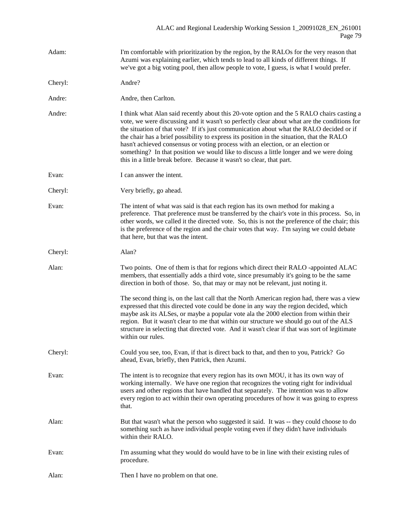| Adam:   | I'm comfortable with prioritization by the region, by the RALOs for the very reason that<br>Azumi was explaining earlier, which tends to lead to all kinds of different things. If<br>we've got a big voting pool, then allow people to vote, I guess, is what I would prefer.                                                                                                                                                                                                                                                                                                                                                          |
|---------|-----------------------------------------------------------------------------------------------------------------------------------------------------------------------------------------------------------------------------------------------------------------------------------------------------------------------------------------------------------------------------------------------------------------------------------------------------------------------------------------------------------------------------------------------------------------------------------------------------------------------------------------|
| Cheryl: | Andre?                                                                                                                                                                                                                                                                                                                                                                                                                                                                                                                                                                                                                                  |
| Andre:  | Andre, then Carlton.                                                                                                                                                                                                                                                                                                                                                                                                                                                                                                                                                                                                                    |
| Andre:  | I think what Alan said recently about this 20-vote option and the 5 RALO chairs casting a<br>vote, we were discussing and it wasn't so perfectly clear about what are the conditions for<br>the situation of that vote? If it's just communication about what the RALO decided or if<br>the chair has a brief possibility to express its position in the situation, that the RALO<br>hasn't achieved consensus or voting process with an election, or an election or<br>something? In that position we would like to discuss a little longer and we were doing<br>this in a little break before. Because it wasn't so clear, that part. |
| Evan:   | I can answer the intent.                                                                                                                                                                                                                                                                                                                                                                                                                                                                                                                                                                                                                |
| Cheryl: | Very briefly, go ahead.                                                                                                                                                                                                                                                                                                                                                                                                                                                                                                                                                                                                                 |
| Evan:   | The intent of what was said is that each region has its own method for making a<br>preference. That preference must be transferred by the chair's vote in this process. So, in<br>other words, we called it the directed vote. So, this is not the preference of the chair; this<br>is the preference of the region and the chair votes that way. I'm saying we could debate<br>that here, but that was the intent.                                                                                                                                                                                                                     |
| Cheryl: | Alan?                                                                                                                                                                                                                                                                                                                                                                                                                                                                                                                                                                                                                                   |
| Alan:   | Two points. One of them is that for regions which direct their RALO -appointed ALAC<br>members, that essentially adds a third vote, since presumably it's going to be the same<br>direction in both of those. So, that may or may not be relevant, just noting it.                                                                                                                                                                                                                                                                                                                                                                      |
|         | The second thing is, on the last call that the North American region had, there was a view<br>expressed that this directed vote could be done in any way the region decided, which<br>maybe ask its ALSes, or maybe a popular vote ala the 2000 election from within their<br>region. But it wasn't clear to me that within our structure we should go out of the ALS<br>structure in selecting that directed vote. And it wasn't clear if that was sort of legitimate<br>within our rules.                                                                                                                                             |
| Cheryl: | Could you see, too, Evan, if that is direct back to that, and then to you, Patrick? Go<br>ahead, Evan, briefly, then Patrick, then Azumi.                                                                                                                                                                                                                                                                                                                                                                                                                                                                                               |
| Evan:   | The intent is to recognize that every region has its own MOU, it has its own way of<br>working internally. We have one region that recognizes the voting right for individual<br>users and other regions that have handled that separately. The intention was to allow<br>every region to act within their own operating procedures of how it was going to express<br>that.                                                                                                                                                                                                                                                             |
| Alan:   | But that wasn't what the person who suggested it said. It was -- they could choose to do<br>something such as have individual people voting even if they didn't have individuals<br>within their RALO.                                                                                                                                                                                                                                                                                                                                                                                                                                  |
| Evan:   | I'm assuming what they would do would have to be in line with their existing rules of<br>procedure.                                                                                                                                                                                                                                                                                                                                                                                                                                                                                                                                     |
| Alan:   | Then I have no problem on that one.                                                                                                                                                                                                                                                                                                                                                                                                                                                                                                                                                                                                     |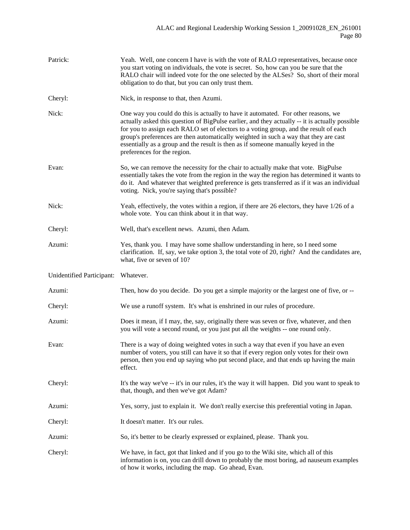| Patrick:                  | Yeah. Well, one concern I have is with the vote of RALO representatives, because once<br>you start voting on individuals, the vote is secret. So, how can you be sure that the<br>RALO chair will indeed vote for the one selected by the ALSes? So, short of their moral<br>obligation to do that, but you can only trust them.                                                                                                                                                         |
|---------------------------|------------------------------------------------------------------------------------------------------------------------------------------------------------------------------------------------------------------------------------------------------------------------------------------------------------------------------------------------------------------------------------------------------------------------------------------------------------------------------------------|
| Cheryl:                   | Nick, in response to that, then Azumi.                                                                                                                                                                                                                                                                                                                                                                                                                                                   |
| Nick:                     | One way you could do this is actually to have it automated. For other reasons, we<br>actually asked this question of BigPulse earlier, and they actually -- it is actually possible<br>for you to assign each RALO set of electors to a voting group, and the result of each<br>group's preferences are then automatically weighted in such a way that they are cast<br>essentially as a group and the result is then as if someone manually keyed in the<br>preferences for the region. |
| Evan:                     | So, we can remove the necessity for the chair to actually make that vote. BigPulse<br>essentially takes the vote from the region in the way the region has determined it wants to<br>do it. And whatever that weighted preference is gets transferred as if it was an individual<br>voting. Nick, you're saying that's possible?                                                                                                                                                         |
| Nick:                     | Yeah, effectively, the votes within a region, if there are 26 electors, they have 1/26 of a<br>whole vote. You can think about it in that way.                                                                                                                                                                                                                                                                                                                                           |
| Cheryl:                   | Well, that's excellent news. Azumi, then Adam.                                                                                                                                                                                                                                                                                                                                                                                                                                           |
| Azumi:                    | Yes, thank you. I may have some shallow understanding in here, so I need some<br>clarification. If, say, we take option 3, the total vote of 20, right? And the candidates are,<br>what, five or seven of 10?                                                                                                                                                                                                                                                                            |
| Unidentified Participant: | Whatever.                                                                                                                                                                                                                                                                                                                                                                                                                                                                                |
| Azumi:                    | Then, how do you decide. Do you get a simple majority or the largest one of five, or --                                                                                                                                                                                                                                                                                                                                                                                                  |
| Cheryl:                   | We use a runoff system. It's what is enshrined in our rules of procedure.                                                                                                                                                                                                                                                                                                                                                                                                                |
| Azumi:                    | Does it mean, if I may, the, say, originally there was seven or five, whatever, and then<br>you will vote a second round, or you just put all the weights -- one round only.                                                                                                                                                                                                                                                                                                             |
| Evan:                     | There is a way of doing weighted votes in such a way that even if you have an even<br>number of voters, you still can have it so that if every region only votes for their own<br>person, then you end up saying who put second place, and that ends up having the main<br>effect.                                                                                                                                                                                                       |
| Cheryl:                   | It's the way we've -- it's in our rules, it's the way it will happen. Did you want to speak to<br>that, though, and then we've got Adam?                                                                                                                                                                                                                                                                                                                                                 |
| Azumi:                    | Yes, sorry, just to explain it. We don't really exercise this preferential voting in Japan.                                                                                                                                                                                                                                                                                                                                                                                              |
| Cheryl:                   | It doesn't matter. It's our rules.                                                                                                                                                                                                                                                                                                                                                                                                                                                       |
| Azumi:                    | So, it's better to be clearly expressed or explained, please. Thank you.                                                                                                                                                                                                                                                                                                                                                                                                                 |
| Cheryl:                   | We have, in fact, got that linked and if you go to the Wiki site, which all of this<br>information is on, you can drill down to probably the most boring, ad nauseum examples<br>of how it works, including the map. Go ahead, Evan.                                                                                                                                                                                                                                                     |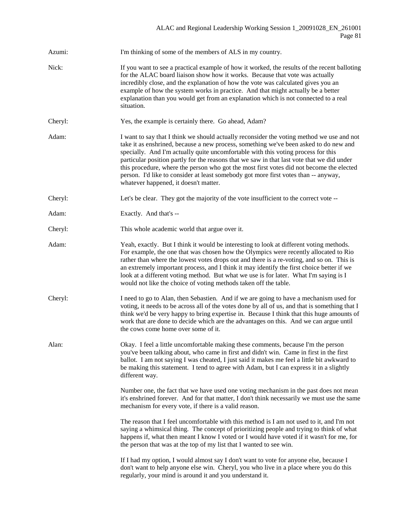| Azumi:  | I'm thinking of some of the members of ALS in my country.                                                                                                                                                                                                                                                                                                                                                                                                                                                                                                                                         |
|---------|---------------------------------------------------------------------------------------------------------------------------------------------------------------------------------------------------------------------------------------------------------------------------------------------------------------------------------------------------------------------------------------------------------------------------------------------------------------------------------------------------------------------------------------------------------------------------------------------------|
| Nick:   | If you want to see a practical example of how it worked, the results of the recent balloting<br>for the ALAC board liaison show how it works. Because that vote was actually<br>incredibly close, and the explanation of how the vote was calculated gives you an<br>example of how the system works in practice. And that might actually be a better<br>explanation than you would get from an explanation which is not connected to a real<br>situation.                                                                                                                                        |
| Cheryl: | Yes, the example is certainly there. Go ahead, Adam?                                                                                                                                                                                                                                                                                                                                                                                                                                                                                                                                              |
| Adam:   | I want to say that I think we should actually reconsider the voting method we use and not<br>take it as enshrined, because a new process, something we've been asked to do new and<br>specially. And I'm actually quite uncomfortable with this voting process for this<br>particular position partly for the reasons that we saw in that last vote that we did under<br>this procedure, where the person who got the most first votes did not become the elected<br>person. I'd like to consider at least somebody got more first votes than -- anyway,<br>whatever happened, it doesn't matter. |
| Cheryl: | Let's be clear. They got the majority of the vote insufficient to the correct vote --                                                                                                                                                                                                                                                                                                                                                                                                                                                                                                             |
| Adam:   | Exactly. And that's --                                                                                                                                                                                                                                                                                                                                                                                                                                                                                                                                                                            |
| Cheryl: | This whole academic world that argue over it.                                                                                                                                                                                                                                                                                                                                                                                                                                                                                                                                                     |
| Adam:   | Yeah, exactly. But I think it would be interesting to look at different voting methods.<br>For example, the one that was chosen how the Olympics were recently allocated to Rio<br>rather than where the lowest votes drops out and there is a re-voting, and so on. This is<br>an extremely important process, and I think it may identify the first choice better if we<br>look at a different voting method. But what we use is for later. What I'm saying is I<br>would not like the choice of voting methods taken off the table.                                                            |
| Cheryl: | I need to go to Alan, then Sebastien. And if we are going to have a mechanism used for<br>voting, it needs to be across all of the votes done by all of us, and that is something that I<br>think we'd be very happy to bring expertise in. Because I think that this huge amounts of<br>work that are done to decide which are the advantages on this. And we can argue until<br>the cows come home over some of it.                                                                                                                                                                             |
| Alan:   | Okay. I feel a little uncomfortable making these comments, because I'm the person<br>you've been talking about, who came in first and didn't win. Came in first in the first<br>ballot. I am not saying I was cheated, I just said it makes me feel a little bit awkward to<br>be making this statement. I tend to agree with Adam, but I can express it in a slightly<br>different way.                                                                                                                                                                                                          |
|         | Number one, the fact that we have used one voting mechanism in the past does not mean<br>it's enshrined forever. And for that matter, I don't think necessarily we must use the same<br>mechanism for every vote, if there is a valid reason.                                                                                                                                                                                                                                                                                                                                                     |
|         | The reason that I feel uncomfortable with this method is I am not used to it, and I'm not<br>saying a whimsical thing. The concept of prioritizing people and trying to think of what<br>happens if, what then meant I know I voted or I would have voted if it wasn't for me, for<br>the person that was at the top of my list that I wanted to see win.                                                                                                                                                                                                                                         |
|         | If I had my option, I would almost say I don't want to vote for anyone else, because I<br>don't want to help anyone else win. Cheryl, you who live in a place where you do this<br>regularly, your mind is around it and you understand it.                                                                                                                                                                                                                                                                                                                                                       |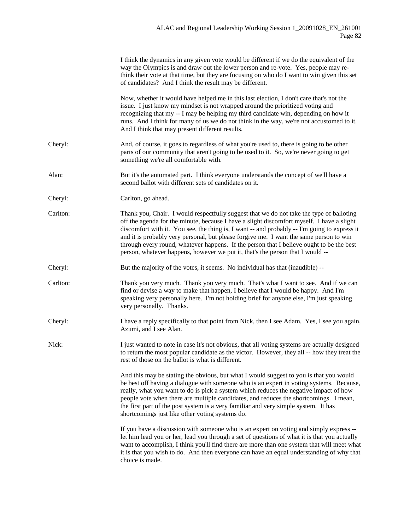|          | I think the dynamics in any given vote would be different if we do the equivalent of the<br>way the Olympics is and draw out the lower person and re-vote. Yes, people may re-<br>think their vote at that time, but they are focusing on who do I want to win given this set<br>of candidates? And I think the result may be different.                                                                                                                                                                                                                      |
|----------|---------------------------------------------------------------------------------------------------------------------------------------------------------------------------------------------------------------------------------------------------------------------------------------------------------------------------------------------------------------------------------------------------------------------------------------------------------------------------------------------------------------------------------------------------------------|
|          | Now, whether it would have helped me in this last election, I don't care that's not the<br>issue. I just know my mindset is not wrapped around the prioritized voting and<br>recognizing that my -- I may be helping my third candidate win, depending on how it<br>runs. And I think for many of us we do not think in the way, we're not accustomed to it.<br>And I think that may present different results.                                                                                                                                               |
| Cheryl:  | And, of course, it goes to regardless of what you're used to, there is going to be other<br>parts of our community that aren't going to be used to it. So, we're never going to get<br>something we're all comfortable with.                                                                                                                                                                                                                                                                                                                                  |
| Alan:    | But it's the automated part. I think everyone understands the concept of we'll have a<br>second ballot with different sets of candidates on it.                                                                                                                                                                                                                                                                                                                                                                                                               |
| Cheryl:  | Carlton, go ahead.                                                                                                                                                                                                                                                                                                                                                                                                                                                                                                                                            |
| Carlton: | Thank you, Chair. I would respectfully suggest that we do not take the type of balloting<br>off the agenda for the minute, because I have a slight discomfort myself. I have a slight<br>discomfort with it. You see, the thing is, I want -- and probably -- I'm going to express it<br>and it is probably very personal, but please forgive me. I want the same person to win<br>through every round, whatever happens. If the person that I believe ought to be the best<br>person, whatever happens, however we put it, that's the person that I would -- |
| Cheryl:  | But the majority of the votes, it seems. No individual has that (inaudible) --                                                                                                                                                                                                                                                                                                                                                                                                                                                                                |
| Carlton: | Thank you very much. Thank you very much. That's what I want to see. And if we can<br>find or devise a way to make that happen, I believe that I would be happy. And I'm<br>speaking very personally here. I'm not holding brief for anyone else, I'm just speaking<br>very personally. Thanks.                                                                                                                                                                                                                                                               |
| Cheryl:  | I have a reply specifically to that point from Nick, then I see Adam. Yes, I see you again,<br>Azumi, and I see Alan.                                                                                                                                                                                                                                                                                                                                                                                                                                         |
| Nick:    | I just wanted to note in case it's not obvious, that all voting systems are actually designed<br>to return the most popular candidate as the victor. However, they all -- how they treat the<br>rest of those on the ballot is what is different.                                                                                                                                                                                                                                                                                                             |
|          | And this may be stating the obvious, but what I would suggest to you is that you would<br>be best off having a dialogue with someone who is an expert in voting systems. Because,<br>really, what you want to do is pick a system which reduces the negative impact of how<br>people vote when there are multiple candidates, and reduces the shortcomings. I mean,<br>the first part of the post system is a very familiar and very simple system. It has<br>shortcomings just like other voting systems do.                                                 |
|          | If you have a discussion with someone who is an expert on voting and simply express --<br>let him lead you or her, lead you through a set of questions of what it is that you actually<br>want to accomplish, I think you'll find there are more than one system that will meet what<br>it is that you wish to do. And then everyone can have an equal understanding of why that<br>choice is made.                                                                                                                                                           |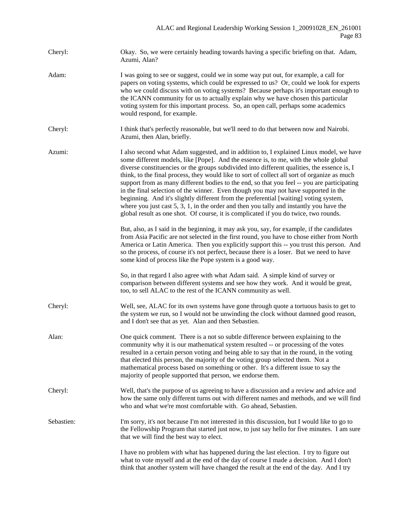- Cheryl: Okay. So, we were certainly heading towards having a specific briefing on that. Adam, Azumi, Alan?
- Adam: I was going to see or suggest, could we in some way put out, for example, a call for papers on voting systems, which could be expressed to us? Or, could we look for experts who we could discuss with on voting systems? Because perhaps it's important enough to the ICANN community for us to actually explain why we have chosen this particular voting system for this important process. So, an open call, perhaps some academics would respond, for example.
- Cheryl: I think that's perfectly reasonable, but we'll need to do that between now and Nairobi. Azumi, then Alan, briefly.
- Azumi: I also second what Adam suggested, and in addition to, I explained Linux model, we have some different models, like [Pope]. And the essence is, to me, with the whole global diverse constituencies or the groups subdivided into different qualities, the essence is, I think, to the final process, they would like to sort of collect all sort of organize as much support from as many different bodies to the end, so that you feel -- you are participating in the final selection of the winner. Even though you may not have supported in the beginning. And it's slightly different from the preferential [waiting] voting system, where you just cast 5, 3, 1, in the order and then you tally and instantly you have the global result as one shot. Of course, it is complicated if you do twice, two rounds.
	- But, also, as I said in the beginning, it may ask you, say, for example, if the candidates from Asia Pacific are not selected in the first round, you have to chose either from North America or Latin America. Then you explicitly support this -- you trust this person. And so the process, of course it's not perfect, because there is a loser. But we need to have some kind of process like the Pope system is a good way.
	- So, in that regard I also agree with what Adam said. A simple kind of survey or comparison between different systems and see how they work. And it would be great, too, to sell ALAC to the rest of the ICANN community as well.
- Cheryl: Well, see, ALAC for its own systems have gone through quote a tortuous basis to get to the system we run, so I would not be unwinding the clock without damned good reason, and I don't see that as yet. Alan and then Sebastien.
- Alan: One quick comment. There is a not so subtle difference between explaining to the community why it is our mathematical system resulted -- or processing of the votes resulted in a certain person voting and being able to say that in the round, in the voting that elected this person, the majority of the voting group selected them. Not a mathematical process based on something or other. It's a different issue to say the majority of people supported that person, we endorse them.
- Cheryl: Well, that's the purpose of us agreeing to have a discussion and a review and advice and how the same only different turns out with different names and methods, and we will find who and what we're most comfortable with. Go ahead, Sebastien.
- Sebastien: I'm sorry, it's not because I'm not interested in this discussion, but I would like to go to the Fellowship Program that started just now, to just say hello for five minutes. I am sure that we will find the best way to elect.
	- I have no problem with what has happened during the last election. I try to figure out what to vote myself and at the end of the day of course I made a decision. And I don't think that another system will have changed the result at the end of the day. And I try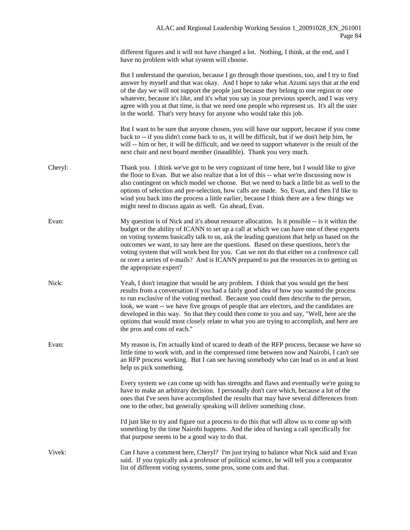different figures and it will not have changed a lot. Nothing, I think, at the end, and I have no problem with what system will choose.

|         | But I understand the question, because I go through those questions, too, and I try to find<br>answer by myself and that was okay. And I hope to take what Azumi says that at the end<br>of the day we will not support the people just because they belong to one region or one<br>whatever, because it's like, and it's what you say in your previous speech, and I was very<br>agree with you at that time, is that we need one people who represent us. It's all the user<br>in the world. That's very heavy for anyone who would take this job.                                                   |
|---------|--------------------------------------------------------------------------------------------------------------------------------------------------------------------------------------------------------------------------------------------------------------------------------------------------------------------------------------------------------------------------------------------------------------------------------------------------------------------------------------------------------------------------------------------------------------------------------------------------------|
|         | But I want to be sure that anyone chosen, you will have our support, because if you come<br>back to -- if you didn't come back to us, it will be difficult, but if we don't help him, he<br>will -- him or her, it will be difficult, and we need to support whatever is the result of the<br>next chair and next board member (inaudible). Thank you very much.                                                                                                                                                                                                                                       |
| Cheryl: | Thank you. I think we've got to be very cognizant of time here, but I would like to give<br>the floor to Evan. But we also realize that a lot of this -- what we're discussing now is<br>also contingent on which model we choose. But we need to back a little bit as well to the<br>options of selection and pre-selection, how calls are made. So, Evan, and then I'd like to<br>wind you back into the process a little earlier, because I think there are a few things we<br>might need to discuss again as well. Go ahead, Evan.                                                                 |
| Evan:   | My question is of Nick and it's about resource allocation. Is it possible -- is it within the<br>budget or the ability of ICANN to set up a call at which we can have one of these experts<br>on voting systems basically talk to us, ask the leading questions that help us based on the<br>outcomes we want, to say here are the questions. Based on these questions, here's the<br>voting system that will work best for you. Can we not do that either on a conference call<br>or over a series of e-mails? And is ICANN prepared to put the resources in to getting us<br>the appropriate expert? |
| Nick:   | Yeah, I don't imagine that would be any problem. I think that you would get the best<br>results from a conversation if you had a fairly good idea of how you wanted the process<br>to run exclusive of the voting method. Because you could then describe to the person,<br>look, we want -- we have five groups of people that are electors, and the candidates are<br>developed in this way. So that they could then come to you and say, "Well, here are the<br>options that would most closely relate to what you are trying to accomplish, and here are<br>the pros and cons of each."            |
| Evan:   | My reason is, I'm actually kind of scared to death of the RFP process, because we have so<br>little time to work with, and in the compressed time between now and Nairobi, I can't see<br>an RFP process working. But I can see having somebody who can lead us in and at least<br>help us pick something.                                                                                                                                                                                                                                                                                             |
|         | Every system we can come up with has strengths and flaws and eventually we're going to<br>have to make an arbitrary decision. I personally don't care which, because a lot of the<br>ones that I've seen have accomplished the results that may have several differences from<br>one to the other, but generally speaking will deliver something close.                                                                                                                                                                                                                                                |
|         | I'd just like to try and figure out a process to do this that will allow us to come up with<br>something by the time Nairobi happens. And the idea of having a call specifically for<br>that purpose seems to be a good way to do that.                                                                                                                                                                                                                                                                                                                                                                |
| Vivek:  | Can I have a comment here, Cheryl? I'm just trying to balance what Nick said and Evan<br>said. If you typically ask a professor of political science, he will tell you a comparator<br>list of different voting systems, some pros, some cons and that.                                                                                                                                                                                                                                                                                                                                                |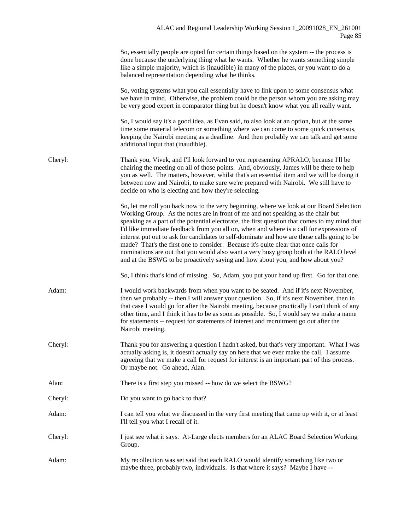|         | So, essentially people are opted for certain things based on the system -- the process is<br>done because the underlying thing what he wants. Whether he wants something simple<br>like a simple majority, which is (inaudible) in many of the places, or you want to do a<br>balanced representation depending what he thinks.                                                                                                                                                                                                                                                                                                                                                                                                             |
|---------|---------------------------------------------------------------------------------------------------------------------------------------------------------------------------------------------------------------------------------------------------------------------------------------------------------------------------------------------------------------------------------------------------------------------------------------------------------------------------------------------------------------------------------------------------------------------------------------------------------------------------------------------------------------------------------------------------------------------------------------------|
|         | So, voting systems what you call essentially have to link upon to some consensus what<br>we have in mind. Otherwise, the problem could be the person whom you are asking may<br>be very good expert in comparator thing but he doesn't know what you all really want.                                                                                                                                                                                                                                                                                                                                                                                                                                                                       |
|         | So, I would say it's a good idea, as Evan said, to also look at an option, but at the same<br>time some material telecom or something where we can come to some quick consensus,<br>keeping the Nairobi meeting as a deadline. And then probably we can talk and get some<br>additional input that (inaudible).                                                                                                                                                                                                                                                                                                                                                                                                                             |
| Cheryl: | Thank you, Vivek, and I'll look forward to you representing APRALO, because I'll be<br>chairing the meeting on all of those points. And, obviously, James will be there to help<br>you as well. The matters, however, whilst that's an essential item and we will be doing it<br>between now and Nairobi, to make sure we're prepared with Nairobi. We still have to<br>decide on who is electing and how they're selecting.                                                                                                                                                                                                                                                                                                                |
|         | So, let me roll you back now to the very beginning, where we look at our Board Selection<br>Working Group. As the notes are in front of me and not speaking as the chair but<br>speaking as a part of the potential electorate, the first question that comes to my mind that<br>I'd like immediate feedback from you all on, when and where is a call for expressions of<br>interest put out to ask for candidates to self-dominate and how are those calls going to be<br>made? That's the first one to consider. Because it's quite clear that once calls for<br>nominations are out that you would also want a very busy group both at the RALO level<br>and at the BSWG to be proactively saying and how about you, and how about you? |
|         | So, I think that's kind of missing. So, Adam, you put your hand up first. Go for that one.                                                                                                                                                                                                                                                                                                                                                                                                                                                                                                                                                                                                                                                  |
| Adam:   | I would work backwards from when you want to be seated. And if it's next November,<br>then we probably -- then I will answer your question. So, if it's next November, then in<br>that case I would go for after the Nairobi meeting, because practically I can't think of any<br>other time, and I think it has to be as soon as possible. So, I would say we make a name<br>for statements -- request for statements of interest and recruitment go out after the<br>Nairobi meeting.                                                                                                                                                                                                                                                     |
| Cheryl: | Thank you for answering a question I hadn't asked, but that's very important. What I was<br>actually asking is, it doesn't actually say on here that we ever make the call. I assume<br>agreeing that we make a call for request for interest is an important part of this process.<br>Or maybe not. Go ahead, Alan.                                                                                                                                                                                                                                                                                                                                                                                                                        |
| Alan:   | There is a first step you missed -- how do we select the BSWG?                                                                                                                                                                                                                                                                                                                                                                                                                                                                                                                                                                                                                                                                              |
| Cheryl: | Do you want to go back to that?                                                                                                                                                                                                                                                                                                                                                                                                                                                                                                                                                                                                                                                                                                             |
| Adam:   | I can tell you what we discussed in the very first meeting that came up with it, or at least<br>I'll tell you what I recall of it.                                                                                                                                                                                                                                                                                                                                                                                                                                                                                                                                                                                                          |
| Cheryl: | I just see what it says. At-Large elects members for an ALAC Board Selection Working<br>Group.                                                                                                                                                                                                                                                                                                                                                                                                                                                                                                                                                                                                                                              |
| Adam:   | My recollection was set said that each RALO would identify something like two or<br>maybe three, probably two, individuals. Is that where it says? Maybe I have --                                                                                                                                                                                                                                                                                                                                                                                                                                                                                                                                                                          |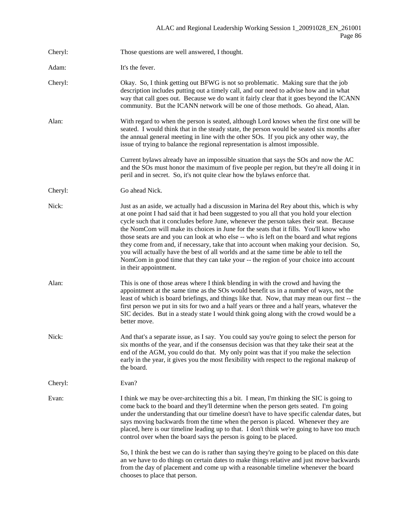Cheryl: Those questions are well answered, I thought. Adam: It's the fever. Cheryl: Okay. So, I think getting out BFWG is not so problematic. Making sure that the job description includes putting out a timely call, and our need to advise how and in what way that call goes out. Because we do want it fairly clear that it goes beyond the ICANN community. But the ICANN network will be one of those methods. Go ahead, Alan. Alan: With regard to when the person is seated, although Lord knows when the first one will be seated. I would think that in the steady state, the person would be seated six months after the annual general meeting in line with the other SOs. If you pick any other way, the issue of trying to balance the regional representation is almost impossible. Current bylaws already have an impossible situation that says the SOs and now the AC and the SOs must honor the maximum of five people per region, but they're all doing it in peril and in secret. So, it's not quite clear how the bylaws enforce that. Cheryl: Go ahead Nick. Nick: Just as an aside, we actually had a discussion in Marina del Rey about this, which is why at one point I had said that it had been suggested to you all that you hold your election cycle such that it concludes before June, whenever the person takes their seat. Because the NomCom will make its choices in June for the seats that it fills. You'll know who those seats are and you can look at who else -- who is left on the board and what regions they come from and, if necessary, take that into account when making your decision. So, you will actually have the best of all worlds and at the same time be able to tell the NomCom in good time that they can take your -- the region of your choice into account in their appointment. Alan: This is one of those areas where I think blending in with the crowd and having the appointment at the same time as the SOs would benefit us in a number of ways, not the least of which is board briefings, and things like that. Now, that may mean our first -- the first person we put in sits for two and a half years or three and a half years, whatever the SIC decides. But in a steady state I would think going along with the crowd would be a better move. Nick: And that's a separate issue, as I say. You could say you're going to select the person for six months of the year, and if the consensus decision was that they take their seat at the end of the AGM, you could do that. My only point was that if you make the selection early in the year, it gives you the most flexibility with respect to the regional makeup of the board. Cheryl: Evan? Evan: I think we may be over-architecting this a bit. I mean, I'm thinking the SIC is going to come back to the board and they'll determine when the person gets seated. I'm going under the understanding that our timeline doesn't have to have specific calendar dates, but says moving backwards from the time when the person is placed. Whenever they are placed, here is our timeline leading up to that. I don't think we're going to have too much control over when the board says the person is going to be placed. So, I think the best we can do is rather than saying they're going to be placed on this date an we have to do things on certain dates to make things relative and just move backwards from the day of placement and come up with a reasonable timeline whenever the board chooses to place that person.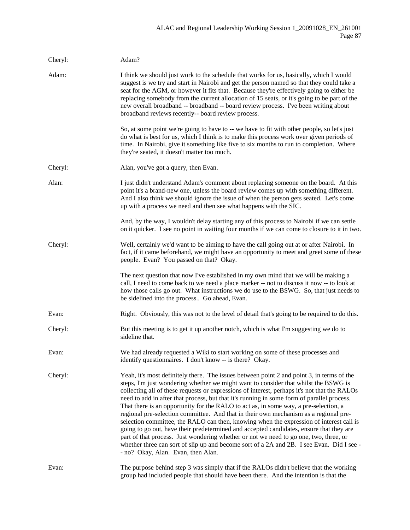| Cheryl: | Adam?                                                                                                                                                                                                                                                                                                                                                                                                                                                                                                                                                                                                                                                                                                                                                                                                                                                                                                                                                                            |
|---------|----------------------------------------------------------------------------------------------------------------------------------------------------------------------------------------------------------------------------------------------------------------------------------------------------------------------------------------------------------------------------------------------------------------------------------------------------------------------------------------------------------------------------------------------------------------------------------------------------------------------------------------------------------------------------------------------------------------------------------------------------------------------------------------------------------------------------------------------------------------------------------------------------------------------------------------------------------------------------------|
| Adam:   | I think we should just work to the schedule that works for us, basically, which I would<br>suggest is we try and start in Nairobi and get the person named so that they could take a<br>seat for the AGM, or however it fits that. Because they're effectively going to either be<br>replacing somebody from the current allocation of 15 seats, or it's going to be part of the<br>new overall broadband -- broadband -- board review process. I've been writing about<br>broadband reviews recently-- board review process.                                                                                                                                                                                                                                                                                                                                                                                                                                                    |
|         | So, at some point we're going to have to -- we have to fit with other people, so let's just<br>do what is best for us, which I think is to make this process work over given periods of<br>time. In Nairobi, give it something like five to six months to run to completion. Where<br>they're seated, it doesn't matter too much.                                                                                                                                                                                                                                                                                                                                                                                                                                                                                                                                                                                                                                                |
| Cheryl: | Alan, you've got a query, then Evan.                                                                                                                                                                                                                                                                                                                                                                                                                                                                                                                                                                                                                                                                                                                                                                                                                                                                                                                                             |
| Alan:   | I just didn't understand Adam's comment about replacing someone on the board. At this<br>point it's a brand-new one, unless the board review comes up with something different.<br>And I also think we should ignore the issue of when the person gets seated. Let's come<br>up with a process we need and then see what happens with the SIC.                                                                                                                                                                                                                                                                                                                                                                                                                                                                                                                                                                                                                                   |
|         | And, by the way, I wouldn't delay starting any of this process to Nairobi if we can settle<br>on it quicker. I see no point in waiting four months if we can come to closure to it in two.                                                                                                                                                                                                                                                                                                                                                                                                                                                                                                                                                                                                                                                                                                                                                                                       |
| Cheryl: | Well, certainly we'd want to be aiming to have the call going out at or after Nairobi. In<br>fact, if it came beforehand, we might have an opportunity to meet and greet some of these<br>people. Evan? You passed on that? Okay.                                                                                                                                                                                                                                                                                                                                                                                                                                                                                                                                                                                                                                                                                                                                                |
|         | The next question that now I've established in my own mind that we will be making a<br>call, I need to come back to we need a place marker -- not to discuss it now -- to look at<br>how those calls go out. What instructions we do use to the BSWG. So, that just needs to<br>be sidelined into the process Go ahead, Evan.                                                                                                                                                                                                                                                                                                                                                                                                                                                                                                                                                                                                                                                    |
| Evan:   | Right. Obviously, this was not to the level of detail that's going to be required to do this.                                                                                                                                                                                                                                                                                                                                                                                                                                                                                                                                                                                                                                                                                                                                                                                                                                                                                    |
| Cheryl: | But this meeting is to get it up another notch, which is what I'm suggesting we do to<br>sideline that.                                                                                                                                                                                                                                                                                                                                                                                                                                                                                                                                                                                                                                                                                                                                                                                                                                                                          |
| Evan:   | We had already requested a Wiki to start working on some of these processes and<br>identify questionnaires. I don't know -- is there? Okay.                                                                                                                                                                                                                                                                                                                                                                                                                                                                                                                                                                                                                                                                                                                                                                                                                                      |
| Cheryl: | Yeah, it's most definitely there. The issues between point 2 and point 3, in terms of the<br>steps, I'm just wondering whether we might want to consider that whilst the BSWG is<br>collecting all of these requests or expressions of interest, perhaps it's not that the RALOs<br>need to add in after that process, but that it's running in some form of parallel process.<br>That there is an opportunity for the RALO to act as, in some way, a pre-selection, a<br>regional pre-selection committee. And that in their own mechanism as a regional pre-<br>selection committee, the RALO can then, knowing when the expression of interest call is<br>going to go out, have their predetermined and accepted candidates, ensure that they are<br>part of that process. Just wondering whether or not we need to go one, two, three, or<br>whether three can sort of slip up and become sort of a 2A and 2B. I see Evan. Did I see -<br>- no? Okay, Alan. Evan, then Alan. |
| Evan:   | The purpose behind step 3 was simply that if the RALOs didn't believe that the working<br>group had included people that should have been there. And the intention is that the                                                                                                                                                                                                                                                                                                                                                                                                                                                                                                                                                                                                                                                                                                                                                                                                   |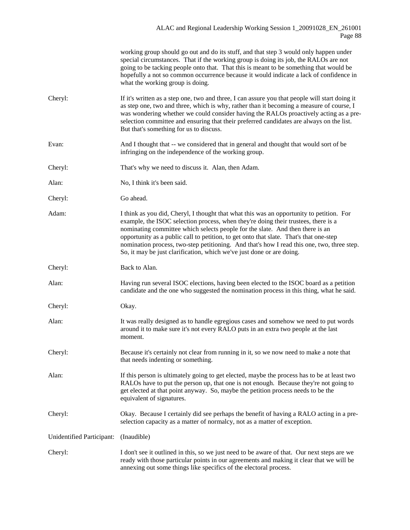|                           | working group should go out and do its stuff, and that step 3 would only happen under<br>special circumstances. That if the working group is doing its job, the RALOs are not<br>going to be tacking people onto that. That this is meant to be something that would be<br>hopefully a not so common occurrence because it would indicate a lack of confidence in<br>what the working group is doing.                                                                                                                            |
|---------------------------|----------------------------------------------------------------------------------------------------------------------------------------------------------------------------------------------------------------------------------------------------------------------------------------------------------------------------------------------------------------------------------------------------------------------------------------------------------------------------------------------------------------------------------|
| Cheryl:                   | If it's written as a step one, two and three, I can assure you that people will start doing it<br>as step one, two and three, which is why, rather than it becoming a measure of course, I<br>was wondering whether we could consider having the RALOs proactively acting as a pre-<br>selection committee and ensuring that their preferred candidates are always on the list.<br>But that's something for us to discuss.                                                                                                       |
| Evan:                     | And I thought that -- we considered that in general and thought that would sort of be<br>infringing on the independence of the working group.                                                                                                                                                                                                                                                                                                                                                                                    |
| Cheryl:                   | That's why we need to discuss it. Alan, then Adam.                                                                                                                                                                                                                                                                                                                                                                                                                                                                               |
| Alan:                     | No, I think it's been said.                                                                                                                                                                                                                                                                                                                                                                                                                                                                                                      |
| Cheryl:                   | Go ahead.                                                                                                                                                                                                                                                                                                                                                                                                                                                                                                                        |
| Adam:                     | I think as you did, Cheryl, I thought that what this was an opportunity to petition. For<br>example, the ISOC selection process, when they're doing their trustees, there is a<br>nominating committee which selects people for the slate. And then there is an<br>opportunity as a public call to petition, to get onto that slate. That's that one-step<br>nomination process, two-step petitioning. And that's how I read this one, two, three step.<br>So, it may be just clarification, which we've just done or are doing. |
| Cheryl:                   | Back to Alan.                                                                                                                                                                                                                                                                                                                                                                                                                                                                                                                    |
| Alan:                     | Having run several ISOC elections, having been elected to the ISOC board as a petition<br>candidate and the one who suggested the nomination process in this thing, what he said.                                                                                                                                                                                                                                                                                                                                                |
| Cheryl:                   | Okay.                                                                                                                                                                                                                                                                                                                                                                                                                                                                                                                            |
| Alan:                     | It was really designed as to handle egregious cases and somehow we need to put words<br>around it to make sure it's not every RALO puts in an extra two people at the last<br>moment.                                                                                                                                                                                                                                                                                                                                            |
| Cheryl:                   | Because it's certainly not clear from running in it, so we now need to make a note that<br>that needs indenting or something.                                                                                                                                                                                                                                                                                                                                                                                                    |
| Alan:                     | If this person is ultimately going to get elected, maybe the process has to be at least two<br>RALOs have to put the person up, that one is not enough. Because they're not going to<br>get elected at that point anyway. So, maybe the petition process needs to be the<br>equivalent of signatures.                                                                                                                                                                                                                            |
| Cheryl:                   | Okay. Because I certainly did see perhaps the benefit of having a RALO acting in a pre-<br>selection capacity as a matter of normalcy, not as a matter of exception.                                                                                                                                                                                                                                                                                                                                                             |
| Unidentified Participant: | (Inaudible)                                                                                                                                                                                                                                                                                                                                                                                                                                                                                                                      |
| Cheryl:                   | I don't see it outlined in this, so we just need to be aware of that. Our next steps are we<br>ready with those particular points in our agreements and making it clear that we will be<br>annexing out some things like specifics of the electoral process.                                                                                                                                                                                                                                                                     |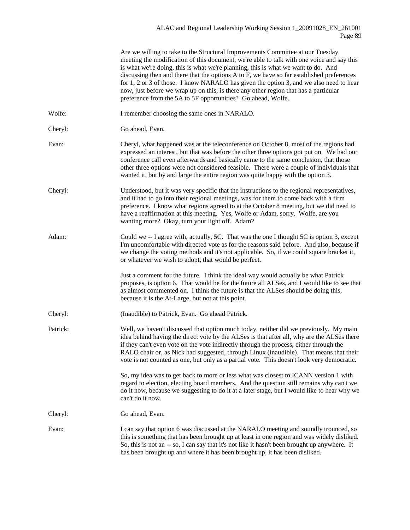|          | Are we willing to take to the Structural Improvements Committee at our Tuesday<br>meeting the modification of this document, we're able to talk with one voice and say this<br>is what we're doing, this is what we're planning, this is what we want to do. And<br>discussing then and there that the options A to F, we have so far established preferences<br>for 1, 2 or 3 of those. I know NARALO has given the option 3, and we also need to hear<br>now, just before we wrap up on this, is there any other region that has a particular<br>preference from the 5A to 5F opportunities? Go ahead, Wolfe. |
|----------|-----------------------------------------------------------------------------------------------------------------------------------------------------------------------------------------------------------------------------------------------------------------------------------------------------------------------------------------------------------------------------------------------------------------------------------------------------------------------------------------------------------------------------------------------------------------------------------------------------------------|
| Wolfe:   | I remember choosing the same ones in NARALO.                                                                                                                                                                                                                                                                                                                                                                                                                                                                                                                                                                    |
| Cheryl:  | Go ahead, Evan.                                                                                                                                                                                                                                                                                                                                                                                                                                                                                                                                                                                                 |
| Evan:    | Cheryl, what happened was at the teleconference on October 8, most of the regions had<br>expressed an interest, but that was before the other three options got put on. We had our<br>conference call even afterwards and basically came to the same conclusion, that those<br>other three options were not considered feasible. There were a couple of individuals that<br>wanted it, but by and large the entire region was quite happy with the option 3.                                                                                                                                                    |
| Cheryl:  | Understood, but it was very specific that the instructions to the regional representatives,<br>and it had to go into their regional meetings, was for them to come back with a firm<br>preference. I know what regions agreed to at the October 8 meeting, but we did need to<br>have a reaffirmation at this meeting. Yes, Wolfe or Adam, sorry. Wolfe, are you<br>wanting more? Okay, turn your light off. Adam?                                                                                                                                                                                              |
| Adam:    | Could we -- I agree with, actually, 5C. That was the one I thought 5C is option 3, except<br>I'm uncomfortable with directed vote as for the reasons said before. And also, because if<br>we change the voting methods and it's not applicable. So, if we could square bracket it,<br>or whatever we wish to adopt, that would be perfect.                                                                                                                                                                                                                                                                      |
|          | Just a comment for the future. I think the ideal way would actually be what Patrick<br>proposes, is option 6. That would be for the future all ALSes, and I would like to see that<br>as almost commented on. I think the future is that the ALSes should be doing this,<br>because it is the At-Large, but not at this point.                                                                                                                                                                                                                                                                                  |
| Cheryl:  | (Inaudible) to Patrick, Evan. Go ahead Patrick.                                                                                                                                                                                                                                                                                                                                                                                                                                                                                                                                                                 |
| Patrick: | Well, we haven't discussed that option much today, neither did we previously. My main<br>idea behind having the direct vote by the ALSes is that after all, why are the ALSes there<br>if they can't even vote on the vote indirectly through the process, either through the<br>RALO chair or, as Nick had suggested, through Linux (inaudible). That means that their<br>vote is not counted as one, but only as a partial vote. This doesn't look very democratic.                                                                                                                                           |
|          | So, my idea was to get back to more or less what was closest to ICANN version 1 with<br>regard to election, electing board members. And the question still remains why can't we<br>do it now, because we suggesting to do it at a later stage, but I would like to hear why we<br>can't do it now.                                                                                                                                                                                                                                                                                                              |
| Cheryl:  | Go ahead, Evan.                                                                                                                                                                                                                                                                                                                                                                                                                                                                                                                                                                                                 |
| Evan:    | I can say that option 6 was discussed at the NARALO meeting and soundly trounced, so<br>this is something that has been brought up at least in one region and was widely disliked.<br>So, this is not an -- so, I can say that it's not like it hasn't been brought up anywhere. It<br>has been brought up and where it has been brought up, it has been disliked.                                                                                                                                                                                                                                              |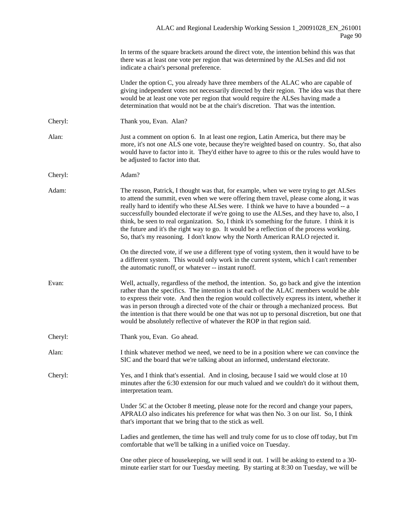In terms of the square brackets around the direct vote, the intention behind this was that there was at least one vote per region that was determined by the ALSes and did not indicate a chair's personal preference.

Under the option C, you already have three members of the ALAC who are capable of giving independent votes not necessarily directed by their region. The idea was that there would be at least one vote per region that would require the ALSes having made a determination that would not be at the chair's discretion. That was the intention.

- Cheryl: Thank you, Evan. Alan?
- Alan: Just a comment on option 6. In at least one region, Latin America, but there may be more, it's not one ALS one vote, because they're weighted based on country. So, that also would have to factor into it. They'd either have to agree to this or the rules would have to be adjusted to factor into that.
- Cheryl: Adam?
- Adam: The reason, Patrick, I thought was that, for example, when we were trying to get ALSes to attend the summit, even when we were offering them travel, please come along, it was really hard to identify who these ALSes were. I think we have to have a bounded -- a successfully bounded electorate if we're going to use the ALSes, and they have to, also, I think, be seen to real organization. So, I think it's something for the future. I think it is the future and it's the right way to go. It would be a reflection of the process working. So, that's my reasoning. I don't know why the North American RALO rejected it.

On the directed vote, if we use a different type of voting system, then it would have to be a different system. This would only work in the current system, which I can't remember the automatic runoff, or whatever -- instant runoff.

- Evan: Well, actually, regardless of the method, the intention. So, go back and give the intention rather than the specifics. The intention is that each of the ALAC members would be able to express their vote. And then the region would collectively express its intent, whether it was in person through a directed vote of the chair or through a mechanized process. But the intention is that there would be one that was not up to personal discretion, but one that would be absolutely reflective of whatever the ROP in that region said.
- Cheryl: Thank you, Evan. Go ahead.
- Alan: I think whatever method we need, we need to be in a position where we can convince the SIC and the board that we're talking about an informed, understand electorate.

Cheryl: Yes, and I think that's essential. And in closing, because I said we would close at 10 minutes after the 6:30 extension for our much valued and we couldn't do it without them, interpretation team.

> Under 5C at the October 8 meeting, please note for the record and change your papers, APRALO also indicates his preference for what was then No. 3 on our list. So, I think that's important that we bring that to the stick as well.

Ladies and gentlemen, the time has well and truly come for us to close off today, but I'm comfortable that we'll be talking in a unified voice on Tuesday.

One other piece of housekeeping, we will send it out. I will be asking to extend to a 30 minute earlier start for our Tuesday meeting. By starting at 8:30 on Tuesday, we will be